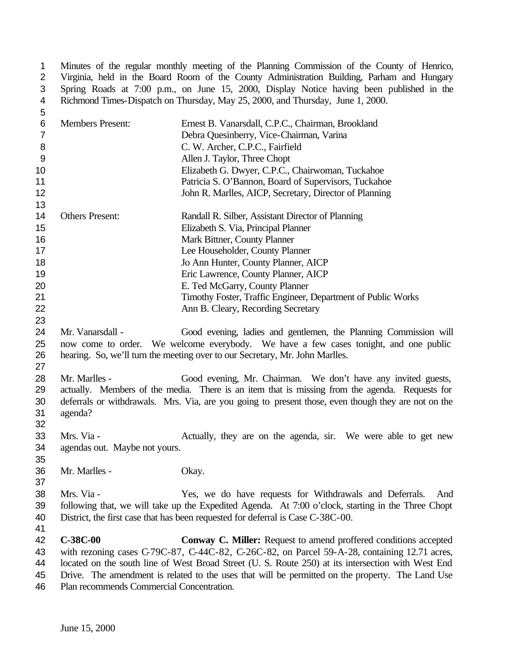1 Minutes of the regular monthly meeting of the Planning Commission of the County of Henrico,<br>2 Virginia, held in the Board Room of the County Administration Building, Parham and Hungary 2 Virginia, held in the Board Room of the County Administration Building, Parham and Hungary<br>3 Spring Roads at 7:00 p.m., on June 15, 2000, Display Notice having been published in the Spring Roads at 7:00 p.m., on June 15, 2000, Display Notice having been published in the Richmond Times-Dispatch on Thursday, May 25, 2000, and Thursday, June 1, 2000.

| 5              |                                           |                                                                                                     |
|----------------|-------------------------------------------|-----------------------------------------------------------------------------------------------------|
| 6              | <b>Members Present:</b>                   | Ernest B. Vanarsdall, C.P.C., Chairman, Brookland                                                   |
| $\overline{7}$ |                                           | Debra Quesinberry, Vice-Chairman, Varina                                                            |
| 8              |                                           | C. W. Archer, C.P.C., Fairfield                                                                     |
| 9              |                                           | Allen J. Taylor, Three Chopt                                                                        |
| 10             |                                           | Elizabeth G. Dwyer, C.P.C., Chairwoman, Tuckahoe                                                    |
| 11             |                                           | Patricia S. O'Bannon, Board of Supervisors, Tuckahoe                                                |
| 12             |                                           | John R. Marlles, AICP, Secretary, Director of Planning                                              |
| 13             |                                           |                                                                                                     |
| 14             | <b>Others Present:</b>                    | Randall R. Silber, Assistant Director of Planning                                                   |
| 15             |                                           | Elizabeth S. Via, Principal Planner                                                                 |
| 16             |                                           | Mark Bittner, County Planner                                                                        |
| 17             |                                           | Lee Householder, County Planner                                                                     |
| 18             |                                           | Jo Ann Hunter, County Planner, AICP                                                                 |
| 19             |                                           | Eric Lawrence, County Planner, AICP                                                                 |
| 20             |                                           | E. Ted McGarry, County Planner                                                                      |
| 21             |                                           | Timothy Foster, Traffic Engineer, Department of Public Works                                        |
| 22             |                                           | Ann B. Cleary, Recording Secretary                                                                  |
| 23             |                                           |                                                                                                     |
| 24             | Mr. Vanarsdall -                          | Good evening, ladies and gentlemen, the Planning Commission will                                    |
| 25             |                                           | now come to order. We welcome everybody. We have a few cases tonight, and one public                |
| 26             |                                           | hearing. So, we'll turn the meeting over to our Secretary, Mr. John Marlles.                        |
| 27             |                                           |                                                                                                     |
| 28             | Mr. Marlles -                             | Good evening, Mr. Chairman. We don't have any invited guests,                                       |
| 29             |                                           | actually. Members of the media. There is an item that is missing from the agenda. Requests for      |
| 30             |                                           | deferrals or withdrawals. Mrs. Via, are you going to present those, even though they are not on the |
| 31             | agenda?                                   |                                                                                                     |
| 32             |                                           |                                                                                                     |
| 33             | Mrs. Via -                                | Actually, they are on the agenda, sir. We were able to get new                                      |
| 34             | agendas out. Maybe not yours.             |                                                                                                     |
| 35             |                                           |                                                                                                     |
| 36             | Mr. Marlles -                             | Okay.                                                                                               |
| 37             |                                           |                                                                                                     |
| 38             | Mrs. Via -                                | Yes, we do have requests for Withdrawals and Deferrals.<br>And                                      |
| 39             |                                           | following that, we will take up the Expedited Agenda. At 7:00 o'clock, starting in the Three Chopt  |
| 40             |                                           | District, the first case that has been requested for deferral is Case C-38C-00.                     |
| 41             |                                           |                                                                                                     |
| 42             | C-38C-00                                  | Conway C. Miller: Request to amend proffered conditions accepted                                    |
| 43             |                                           | with rezoning cases C-79C-87, C-44C-82, C-26C-82, on Parcel 59-A-28, containing 12.71 acres,        |
| 44             |                                           | located on the south line of West Broad Street (U. S. Route 250) at its intersection with West End  |
| 45             |                                           | Drive. The amendment is related to the uses that will be permitted on the property. The Land Use    |
| 46             | Plan recommends Commercial Concentration. |                                                                                                     |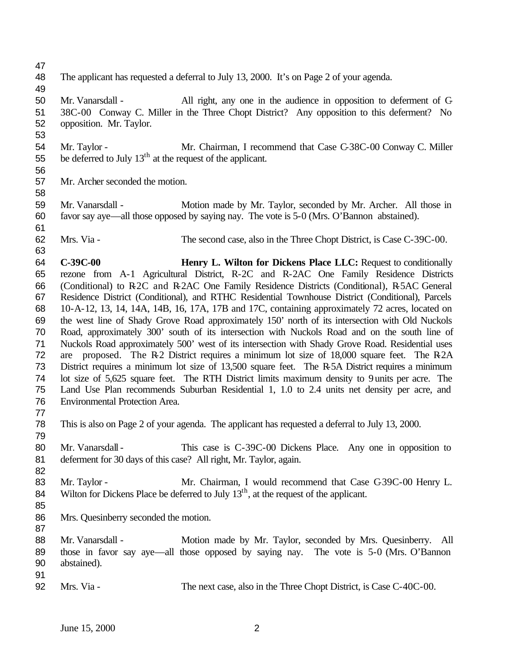- The applicant has requested a deferral to July 13, 2000. It's on Page 2 of your agenda.
- Mr. Vanarsdall All right, any one in the audience in opposition to deferment of C- 38C-00 Conway C. Miller in the Three Chopt District? Any opposition to this deferment? No opposition. Mr. Taylor.
- 54 Mr. Taylor Mr. Chairman, I recommend that Case C-38C-00 Conway C. Miller 55 be deferred to July  $13<sup>th</sup>$  at the request of the applicant.
- 

Mr. Archer seconded the motion.

- Mr. Vanarsdall Motion made by Mr. Taylor, seconded by Mr. Archer. All those in favor say aye—all those opposed by saying nay. The vote is 5-0 (Mrs. O'Bannon abstained).
- 

- Mrs. Via The second case, also in the Three Chopt District, is Case C-39C-00.
- **C-39C-00 Henry L. Wilton for Dickens Place LLC:** Request to conditionally rezone from A-1 Agricultural District, R-2C and R-2AC One Family Residence Districts (Conditional) to R-2C and R-2AC One Family Residence Districts (Conditional), R-5AC General Residence District (Conditional), and RTHC Residential Townhouse District (Conditional), Parcels 10-A-12, 13, 14, 14A, 14B, 16, 17A, 17B and 17C, containing approximately 72 acres, located on the west line of Shady Grove Road approximately 150' north of its intersection with Old Nuckols Road, approximately 300' south of its intersection with Nuckols Road and on the south line of Nuckols Road approximately 500' west of its intersection with Shady Grove Road. Residential uses 72 are proposed. The R-2 District requires a minimum lot size of 18,000 square feet. The R-2A District requires a minimum lot size of 13,500 square feet. The R-5A District requires a minimum lot size of 5,625 square feet. The RTH District limits maximum density to 9 units per acre. The Land Use Plan recommends Suburban Residential 1, 1.0 to 2.4 units net density per acre, and Environmental Protection Area.
- This is also on Page 2 of your agenda. The applicant has requested a deferral to July 13, 2000.
- 80 Mr. Vanarsdall This case is C-39C-00 Dickens Place. Any one in opposition to deferment for 30 days of this case? All right, Mr. Taylor, again.
- 83 Mr. Taylor Mr. Chairman, I would recommend that Case C-39C-00 Henry L. 84 Wilton for Dickens Place be deferred to July  $13<sup>th</sup>$ , at the request of the applicant.
- 

- Mrs. Quesinberry seconded the motion.
- 
- 88 Mr. Vanarsdall Motion made by Mr. Taylor, seconded by Mrs. Quesinberry. All those in favor say aye—all those opposed by saying nay. The vote is 5-0 (Mrs. O'Bannon abstained).
- 
- Mrs. Via The next case, also in the Three Chopt District, is Case C-40C-00.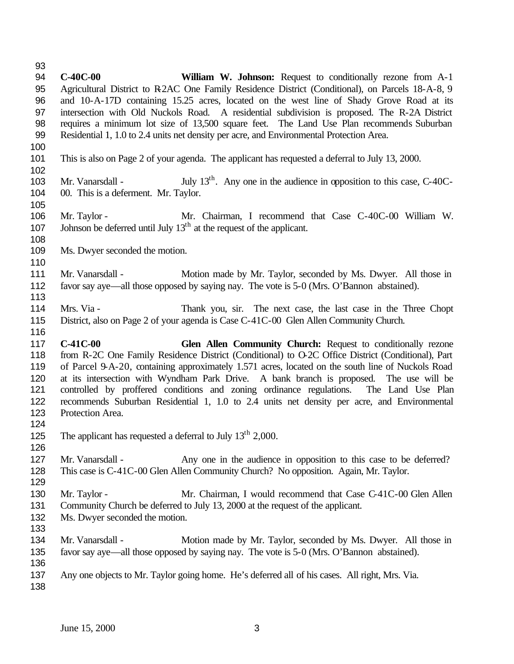**C-40C-00 William W. Johnson:** Request to conditionally rezone from A-1 Agricultural District to R-2AC One Family Residence District (Conditional), on Parcels 18-A-8, 9 and 10-A-17D containing 15.25 acres, located on the west line of Shady Grove Road at its intersection with Old Nuckols Road. A residential subdivision is proposed. The R-2A District requires a minimum lot size of 13,500 square feet. The Land Use Plan recommends Suburban Residential 1, 1.0 to 2.4 units net density per acre, and Environmental Protection Area. This is also on Page 2 of your agenda. The applicant has requested a deferral to July 13, 2000. 103 Mr. Vanarsdall - July  $13<sup>th</sup>$ . Any one in the audience in opposition to this case, C-40C- 00. This is a deferment. Mr. Taylor. Mr. Taylor - Mr. Chairman, I recommend that Case C-40C-00 William W. 107 Johnson be deferred until July  $13<sup>th</sup>$  at the request of the applicant. Ms. Dwyer seconded the motion. Mr. Vanarsdall - Motion made by Mr. Taylor, seconded by Ms. Dwyer. All those in favor say aye—all those opposed by saying nay. The vote is 5-0 (Mrs. O'Bannon abstained). Mrs. Via - Thank you, sir. The next case, the last case in the Three Chopt District, also on Page 2 of your agenda is Case C-41C-00 Glen Allen Community Church. **C-41C-00 Glen Allen Community Church:** Request to conditionally rezone from R-2C One Family Residence District (Conditional) to O-2C Office District (Conditional), Part of Parcel 9-A-20, containing approximately 1.571 acres, located on the south line of Nuckols Road at its intersection with Wyndham Park Drive. A bank branch is proposed. The use will be controlled by proffered conditions and zoning ordinance regulations. The Land Use Plan recommends Suburban Residential 1, 1.0 to 2.4 units net density per acre, and Environmental Protection Area. 125 The applicant has requested a deferral to July  $13<sup>th</sup> 2,000$ . Mr. Vanarsdall - Any one in the audience in opposition to this case to be deferred? This case is C-41C-00 Glen Allen Community Church? No opposition. Again, Mr. Taylor. 130 Mr. Taylor - Mr. Chairman, I would recommend that Case C-41C-00 Glen Allen Community Church be deferred to July 13, 2000 at the request of the applicant. Ms. Dwyer seconded the motion. Mr. Vanarsdall - Motion made by Mr. Taylor, seconded by Ms. Dwyer. All those in favor say aye—all those opposed by saying nay. The vote is 5-0 (Mrs. O'Bannon abstained). Any one objects to Mr. Taylor going home. He's deferred all of his cases. All right, Mrs. Via.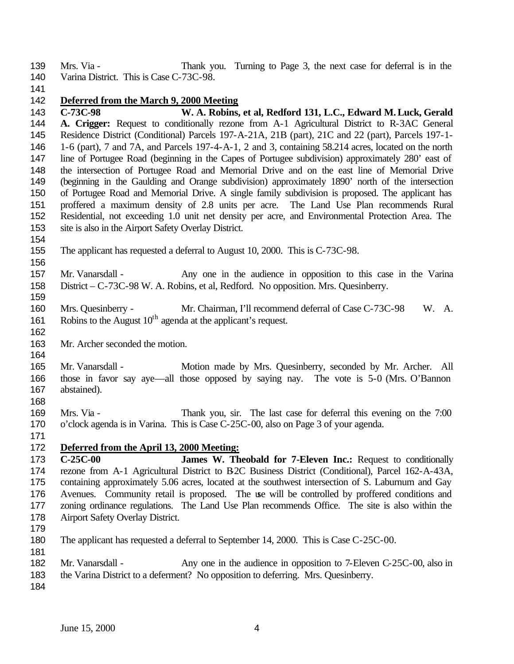Mrs. Via - Thank you. Turning to Page 3, the next case for deferral is in the 140 Varina District. This is Case C-73C-98.

## **Deferred from the March 9, 2000 Meeting**

 **C-73C-98 W. A. Robins, et al, Redford 131, L.C., Edward M. Luck, Gerald A. Crigger:** Request to conditionally rezone from A-1 Agricultural District to R-3AC General Residence District (Conditional) Parcels 197-A-21A, 21B (part), 21C and 22 (part), Parcels 197-1- 1-6 (part), 7 and 7A, and Parcels 197-4-A-1, 2 and 3, containing 58.214 acres, located on the north line of Portugee Road (beginning in the Capes of Portugee subdivision) approximately 280' east of the intersection of Portugee Road and Memorial Drive and on the east line of Memorial Drive (beginning in the Gaulding and Orange subdivision) approximately 1890' north of the intersection of Portugee Road and Memorial Drive. A single family subdivision is proposed. The applicant has proffered a maximum density of 2.8 units per acre. The Land Use Plan recommends Rural Residential, not exceeding 1.0 unit net density per acre, and Environmental Protection Area. The site is also in the Airport Safety Overlay District.

- The applicant has requested a deferral to August 10, 2000. This is C-73C-98.
- Mr. Vanarsdall Any one in the audience in opposition to this case in the Varina District – C-73C-98 W. A. Robins, et al, Redford. No opposition. Mrs. Quesinberry.
- Mrs. Quesinberry Mr. Chairman, I'll recommend deferral of Case C-73C-98 W. A. 161 Robins to the August  $10<sup>th</sup>$  agenda at the applicant's request.
- Mr. Archer seconded the motion.
- 165 Mr. Vanarsdall Motion made by Mrs. Quesinberry, seconded by Mr. Archer. All those in favor say aye—all those opposed by saying nay. The vote is 5-0 (Mrs. O'Bannon abstained).
- Mrs. Via Thank you, sir. The last case for deferral this evening on the 7:00 o'clock agenda is in Varina. This is Case C-25C-00, also on Page 3 of your agenda.
- 

## **Deferred from the April 13, 2000 Meeting:**

- **C-25C-00 James W. Theobald for 7-Eleven Inc.:** Request to conditionally rezone from A-1 Agricultural District to B-2C Business District (Conditional), Parcel 162-A-43A, containing approximately 5.06 acres, located at the southwest intersection of S. Laburnum and Gay Avenues. Community retail is proposed. The use will be controlled by proffered conditions and zoning ordinance regulations. The Land Use Plan recommends Office. The site is also within the Airport Safety Overlay District.
- 

- The applicant has requested a deferral to September 14, 2000. This is Case C-25C-00.
- 182 Mr. Vanarsdall Any one in the audience in opposition to 7-Eleven C-25C-00, also in
- the Varina District to a deferment? No opposition to deferring. Mrs. Quesinberry.
-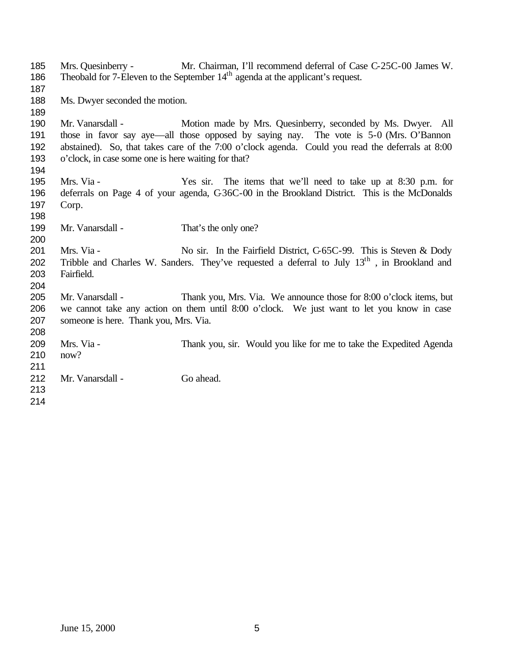Mrs. Quesinberry - Mr. Chairman, I'll recommend deferral of Case C-25C-00 James W. 186 Theobald for 7-Eleven to the September  $14<sup>th</sup>$  agenda at the applicant's request. Ms. Dwyer seconded the motion. Mr. Vanarsdall - Motion made by Mrs. Quesinberry, seconded by Ms. Dwyer. All those in favor say aye—all those opposed by saying nay. The vote is 5-0 (Mrs. O'Bannon abstained). So, that takes care of the 7:00 o'clock agenda. Could you read the deferrals at 8:00 o'clock, in case some one is here waiting for that? Mrs. Via - Yes sir. The items that we'll need to take up at 8:30 p.m. for deferrals on Page 4 of your agenda, C-36C-00 in the Brookland District. This is the McDonalds Corp. 199 Mr. Vanarsdall - That's the only one? 201 Mrs. Via - No sir. In the Fairfield District, C-65C-99. This is Steven & Dody 202 Tribble and Charles W. Sanders. They've requested a deferral to July  $13<sup>th</sup>$ , in Brookland and Fairfield. Mr. Vanarsdall - Thank you, Mrs. Via. We announce those for 8:00 o'clock items, but we cannot take any action on them until 8:00 o'clock. We just want to let you know in case someone is here. Thank you, Mrs. Via. Mrs. Via - Thank you, sir. Would you like for me to take the Expedited Agenda now? 212 Mr. Vanarsdall - Go ahead.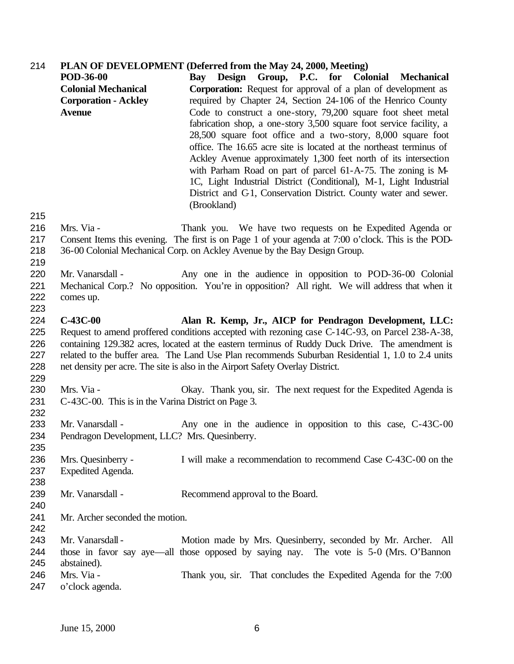## **PLAN OF DEVELOPMENT (Deferred from the May 24, 2000, Meeting)**

|            | <b>POD-36-00</b>                                    | Bay Design Group, P.C. for Colonial Mechanical                                                      |
|------------|-----------------------------------------------------|-----------------------------------------------------------------------------------------------------|
|            | <b>Colonial Mechanical</b>                          | <b>Corporation:</b> Request for approval of a plan of development as                                |
|            | <b>Corporation - Ackley</b>                         | required by Chapter 24, Section 24-106 of the Henrico County                                        |
|            | <b>Avenue</b>                                       | Code to construct a one-story, 79,200 square foot sheet metal                                       |
|            |                                                     | fabrication shop, a one-story 3,500 square foot service facility, a                                 |
|            |                                                     | 28,500 square foot office and a two-story, 8,000 square foot                                        |
|            |                                                     | office. The 16.65 acre site is located at the northeast terminus of                                 |
|            |                                                     | Ackley Avenue approximately 1,300 feet north of its intersection                                    |
|            |                                                     | with Parham Road on part of parcel 61-A-75. The zoning is M-                                        |
|            |                                                     | 1C, Light Industrial District (Conditional), M-1, Light Industrial                                  |
|            |                                                     | District and C1, Conservation District. County water and sewer.                                     |
|            |                                                     | (Brookland)                                                                                         |
| 215        |                                                     |                                                                                                     |
| 216        | Mrs. Via -                                          | Thank you. We have two requests on the Expedited Agenda or                                          |
| 217        |                                                     | Consent Items this evening. The first is on Page 1 of your agenda at 7:00 o'clock. This is the POD- |
| 218        |                                                     | 36-00 Colonial Mechanical Corp. on Ackley Avenue by the Bay Design Group.                           |
| 219<br>220 | Mr. Vanarsdall -                                    | Any one in the audience in opposition to POD-36-00 Colonial                                         |
| 221        |                                                     | Mechanical Corp.? No opposition. You're in opposition? All right. We will address that when it      |
| 222        | comes up.                                           |                                                                                                     |
| 223        |                                                     |                                                                                                     |
| 224        | $C-43C-00$                                          | Alan R. Kemp, Jr., AICP for Pendragon Development, LLC:                                             |
| 225        |                                                     | Request to amend proffered conditions accepted with rezoning case C-14C-93, on Parcel 238-A-38,     |
| 226        |                                                     | containing 129.382 acres, located at the eastern terminus of Ruddy Duck Drive. The amendment is     |
| 227        |                                                     | related to the buffer area. The Land Use Plan recommends Suburban Residential 1, 1.0 to 2.4 units   |
| 228        |                                                     | net density per acre. The site is also in the Airport Safety Overlay District.                      |
| 229        |                                                     |                                                                                                     |
| 230        | Mrs. Via -                                          | Okay. Thank you, sir. The next request for the Expedited Agenda is                                  |
| 231        | C-43C-00. This is in the Varina District on Page 3. |                                                                                                     |
| 232        |                                                     |                                                                                                     |
| 233        | Mr. Vanarsdall -                                    | Any one in the audience in opposition to this case, C-43C-00                                        |
| 234        | Pendragon Development, LLC? Mrs. Quesinberry.       |                                                                                                     |
| 235        |                                                     |                                                                                                     |
| 236        | Mrs. Quesinberry -                                  | I will make a recommendation to recommend Case C-43C-00 on the                                      |
| 237<br>238 | Expedited Agenda.                                   |                                                                                                     |
| 239        | Mr. Vanarsdall -                                    | Recommend approval to the Board.                                                                    |
| 240        |                                                     |                                                                                                     |
| 241        | Mr. Archer seconded the motion.                     |                                                                                                     |
| 242        |                                                     |                                                                                                     |
| 243        | Mr. Vanarsdall -                                    | Motion made by Mrs. Quesinberry, seconded by Mr. Archer. All                                        |
| 244        |                                                     | those in favor say aye—all those opposed by saying nay. The vote is 5-0 (Mrs. O'Bannon              |
| 245        | abstained).                                         |                                                                                                     |
| 246        | Mrs. Via -                                          | Thank you, sir. That concludes the Expedited Agenda for the 7:00                                    |
| 247        | o'clock agenda.                                     |                                                                                                     |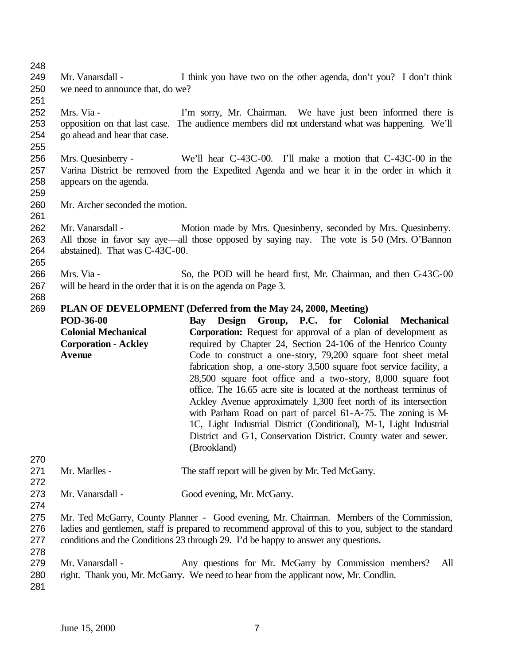- Mr. Vanarsdall - I think you have two on the other agenda, don't you? I don't think we need to announce that, do we? Mrs. Via - I'm sorry, Mr. Chairman. We have just been informed there is opposition on that last case. The audience members did not understand what was happening. We'll go ahead and hear that case. Mrs. Quesinberry - We'll hear C-43C-00. I'll make a motion that C-43C-00 in the Varina District be removed from the Expedited Agenda and we hear it in the order in which it appears on the agenda. Mr. Archer seconded the motion. Mr. Vanarsdall - Motion made by Mrs. Quesinberry, seconded by Mrs. Quesinberry. All those in favor say aye—all those opposed by saying nay. The vote is 5-0 (Mrs. O'Bannon abstained). That was C-43C-00. Mrs. Via - So, the POD will be heard first, Mr. Chairman, and then C-43C-00 will be heard in the order that it is on the agenda on Page 3. **PLAN OF DEVELOPMENT (Deferred from the May 24, 2000, Meeting) POD-36-00 Colonial Mechanical Corporation - Ackley Avenue Bay Design Group, P.C. for Colonial Mechanical Corporation:** Request for approval of a plan of development as required by Chapter 24, Section 24-106 of the Henrico County Code to construct a one-story, 79,200 square foot sheet metal fabrication shop, a one-story 3,500 square foot service facility, a 28,500 square foot office and a two-story, 8,000 square foot office. The 16.65 acre site is located at the northeast terminus of Ackley Avenue approximately 1,300 feet north of its intersection with Parham Road on part of parcel 61-A-75. The zoning is M-1C, Light Industrial District (Conditional), M-1, Light Industrial District and C-1, Conservation District. County water and sewer. (Brookland) 271 Mr. Marlles - The staff report will be given by Mr. Ted McGarry. Mr. Vanarsdall - Good evening, Mr. McGarry. Mr. Ted McGarry, County Planner - Good evening, Mr. Chairman. Members of the Commission, ladies and gentlemen, staff is prepared to recommend approval of this to you, subject to the standard conditions and the Conditions 23 through 29. I'd be happy to answer any questions. Mr. Vanarsdall - Any questions for Mr. McGarry by Commission members? All right. Thank you, Mr. McGarry. We need to hear from the applicant now, Mr. Condlin.
-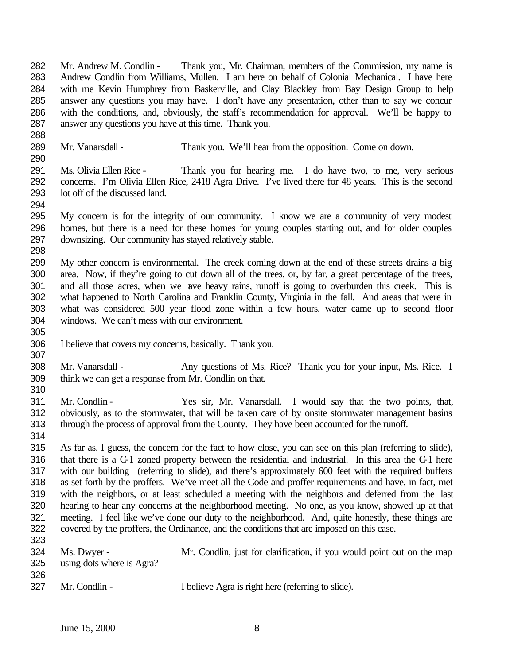Mr. Andrew M. Condlin - Thank you, Mr. Chairman, members of the Commission, my name is Andrew Condlin from Williams, Mullen. I am here on behalf of Colonial Mechanical. I have here with me Kevin Humphrey from Baskerville, and Clay Blackley from Bay Design Group to help answer any questions you may have. I don't have any presentation, other than to say we concur with the conditions, and, obviously, the staff's recommendation for approval. We'll be happy to answer any questions you have at this time. Thank you.

- Mr. Vanarsdall Thank you. We'll hear from the opposition. Come on down.
- Ms. Olivia Ellen Rice Thank you for hearing me. I do have two, to me, very serious concerns. I'm Olivia Ellen Rice, 2418 Agra Drive. I've lived there for 48 years. This is the second lot off of the discussed land.
- My concern is for the integrity of our community. I know we are a community of very modest homes, but there is a need for these homes for young couples starting out, and for older couples downsizing. Our community has stayed relatively stable.
- 

- My other concern is environmental. The creek coming down at the end of these streets drains a big area. Now, if they're going to cut down all of the trees, or, by far, a great percentage of the trees, and all those acres, when we have heavy rains, runoff is going to overburden this creek. This is what happened to North Carolina and Franklin County, Virginia in the fall. And areas that were in what was considered 500 year flood zone within a few hours, water came up to second floor windows. We can't mess with our environment.
- 
- I believe that covers my concerns, basically. Thank you.
- Mr. Vanarsdall Any questions of Ms. Rice? Thank you for your input, Ms. Rice. I think we can get a response from Mr. Condlin on that.
- Mr. Condlin Yes sir, Mr. Vanarsdall. I would say that the two points, that, obviously, as to the stormwater, that will be taken care of by onsite stormwater management basins through the process of approval from the County. They have been accounted for the runoff.
- 

 As far as, I guess, the concern for the fact to how close, you can see on this plan (referring to slide), that there is a C-1 zoned property between the residential and industrial. In this area the C-1 here with our building (referring to slide), and there's approximately 600 feet with the required buffers as set forth by the proffers. We've meet all the Code and proffer requirements and have, in fact, met with the neighbors, or at least scheduled a meeting with the neighbors and deferred from the last hearing to hear any concerns at the neighborhood meeting. No one, as you know, showed up at that meeting. I feel like we've done our duty to the neighborhood. And, quite honestly, these things are covered by the proffers, the Ordinance, and the conditions that are imposed on this case. 

- Ms. Dwyer Mr. Condlin, just for clarification, if you would point out on the map using dots where is Agra?
- Mr. Condlin I believe Agra is right here (referring to slide).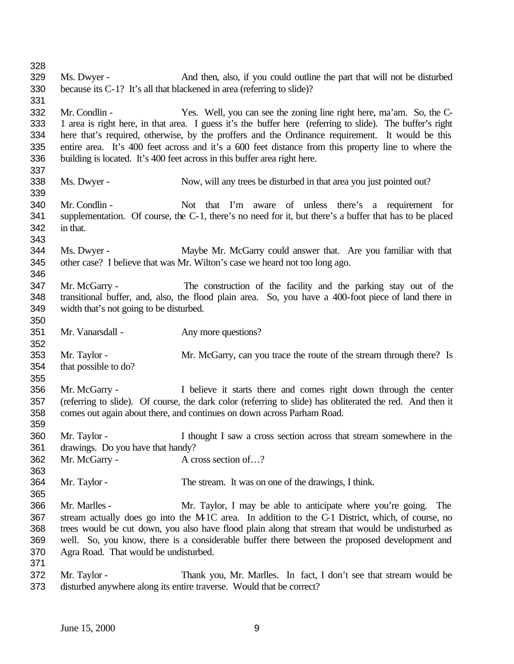Ms. Dwyer - And then, also, if you could outline the part that will not be disturbed because its C-1? It's all that blackened in area (referring to slide)? Mr. Condlin - Yes. Well, you can see the zoning line right here, ma'am. So, the C- 1 area is right here, in that area. I guess it's the buffer here (referring to slide). The buffer's right here that's required, otherwise, by the proffers and the Ordinance requirement. It would be this entire area. It's 400 feet across and it's a 600 feet distance from this property line to where the building is located. It's 400 feet across in this buffer area right here. Ms. Dwyer - Now, will any trees be disturbed in that area you just pointed out? Mr. Condlin - Not that I'm aware of unless there's a requirement for supplementation. Of course, the C-1, there's no need for it, but there's a buffer that has to be placed in that. Ms. Dwyer - Maybe Mr. McGarry could answer that. Are you familiar with that other case? I believe that was Mr. Wilton's case we heard not too long ago. Mr. McGarry - The construction of the facility and the parking stay out of the transitional buffer, and, also, the flood plain area. So, you have a 400-foot piece of land there in width that's not going to be disturbed. 351 Mr. Vanarsdall - Any more questions? Mr. Taylor - Mr. McGarry, can you trace the route of the stream through there? Is that possible to do? Mr. McGarry - I believe it starts there and comes right down through the center (referring to slide). Of course, the dark color (referring to slide) has obliterated the red. And then it comes out again about there, and continues on down across Parham Road. Mr. Taylor - I thought I saw a cross section across that stream somewhere in the drawings. Do you have that handy? 362 Mr. McGarry - A cross section of...? Mr. Taylor - The stream. It was on one of the drawings, I think. Mr. Marlles - Mr. Taylor, I may be able to anticipate where you're going. The stream actually does go into the M-1C area. In addition to the C-1 District, which, of course, no trees would be cut down, you also have flood plain along that stream that would be undisturbed as well. So, you know, there is a considerable buffer there between the proposed development and Agra Road. That would be undisturbed. Mr. Taylor - Thank you, Mr. Marlles. In fact, I don't see that stream would be disturbed anywhere along its entire traverse. Would that be correct?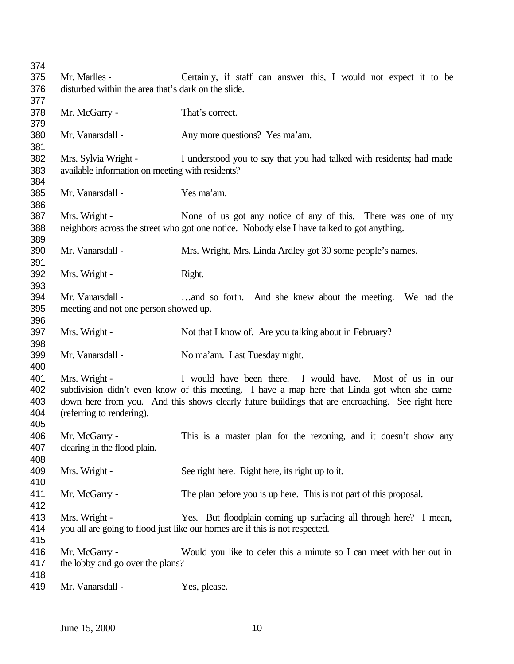| 374 |                                                     |                                                                                                  |
|-----|-----------------------------------------------------|--------------------------------------------------------------------------------------------------|
| 375 | Mr. Marlles -                                       | Certainly, if staff can answer this, I would not expect it to be                                 |
| 376 | disturbed within the area that's dark on the slide. |                                                                                                  |
| 377 |                                                     |                                                                                                  |
| 378 | Mr. McGarry -                                       | That's correct.                                                                                  |
| 379 |                                                     |                                                                                                  |
| 380 | Mr. Vanarsdall -                                    | Any more questions? Yes ma'am.                                                                   |
| 381 |                                                     |                                                                                                  |
| 382 | Mrs. Sylvia Wright -                                | I understood you to say that you had talked with residents; had made                             |
| 383 | available information on meeting with residents?    |                                                                                                  |
| 384 |                                                     |                                                                                                  |
| 385 | Mr. Vanarsdall -                                    | Yes ma'am.                                                                                       |
| 386 |                                                     |                                                                                                  |
| 387 | Mrs. Wright -                                       | None of us got any notice of any of this. There was one of my                                    |
| 388 |                                                     | neighbors across the street who got one notice. Nobody else I have talked to got anything.       |
| 389 |                                                     |                                                                                                  |
| 390 | Mr. Vanarsdall -                                    | Mrs. Wright, Mrs. Linda Ardley got 30 some people's names.                                       |
| 391 |                                                     |                                                                                                  |
| 392 | Mrs. Wright -                                       | Right.                                                                                           |
| 393 |                                                     |                                                                                                  |
| 394 | Mr. Vanarsdall -                                    | and so forth. And she knew about the meeting. We had the                                         |
| 395 | meeting and not one person showed up.               |                                                                                                  |
| 396 |                                                     |                                                                                                  |
| 397 | Mrs. Wright -                                       | Not that I know of. Are you talking about in February?                                           |
| 398 |                                                     |                                                                                                  |
| 399 | Mr. Vanarsdall -                                    | No ma'am. Last Tuesday night.                                                                    |
| 400 |                                                     |                                                                                                  |
| 401 | Mrs. Wright -                                       | I would have been there. I would have. Most of us in our                                         |
| 402 |                                                     | subdivision didn't even know of this meeting. I have a map here that Linda got when she came     |
| 403 |                                                     | down here from you. And this shows clearly future buildings that are encroaching. See right here |
| 404 | (referring to rendering).                           |                                                                                                  |
| 405 |                                                     |                                                                                                  |
| 406 | Mr. McGarry -                                       | This is a master plan for the rezoning, and it doesn't show any                                  |
| 407 | clearing in the flood plain.                        |                                                                                                  |
| 408 |                                                     |                                                                                                  |
| 409 | Mrs. Wright -                                       | See right here. Right here, its right up to it.                                                  |
| 410 |                                                     |                                                                                                  |
| 411 | Mr. McGarry -                                       | The plan before you is up here. This is not part of this proposal.                               |
| 412 |                                                     |                                                                                                  |
| 413 | Mrs. Wright -                                       | Yes. But floodplain coming up surfacing all through here? I mean,                                |
| 414 |                                                     | you all are going to flood just like our homes are if this is not respected.                     |
| 415 |                                                     |                                                                                                  |
| 416 | Mr. McGarry -                                       | Would you like to defer this a minute so I can meet with her out in                              |
| 417 | the lobby and go over the plans?                    |                                                                                                  |
| 418 |                                                     |                                                                                                  |
| 419 | Mr. Vanarsdall -                                    | Yes, please.                                                                                     |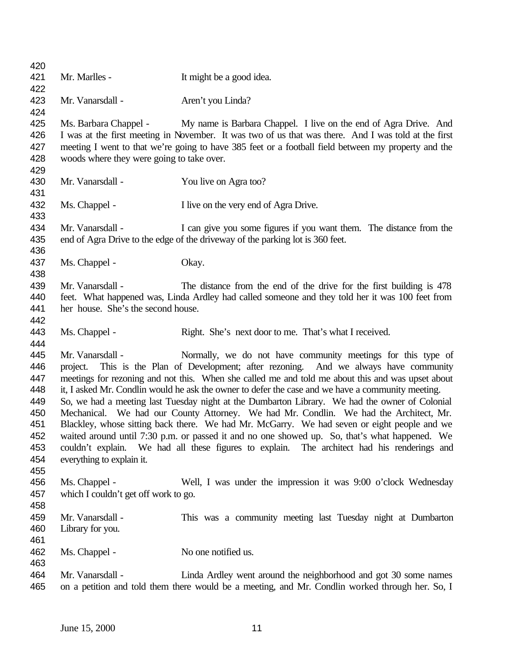| 420        |                                                                                                                                                                                              |                                                                                                                                                                                      |  |
|------------|----------------------------------------------------------------------------------------------------------------------------------------------------------------------------------------------|--------------------------------------------------------------------------------------------------------------------------------------------------------------------------------------|--|
| 421        | Mr. Marlles -                                                                                                                                                                                | It might be a good idea.                                                                                                                                                             |  |
| 422        |                                                                                                                                                                                              |                                                                                                                                                                                      |  |
| 423        | Mr. Vanarsdall -                                                                                                                                                                             | Aren't you Linda?                                                                                                                                                                    |  |
| 424        |                                                                                                                                                                                              |                                                                                                                                                                                      |  |
| 425        | Ms. Barbara Chappel -                                                                                                                                                                        | My name is Barbara Chappel. I live on the end of Agra Drive. And                                                                                                                     |  |
| 426        |                                                                                                                                                                                              | I was at the first meeting in November. It was two of us that was there. And I was told at the first                                                                                 |  |
| 427        |                                                                                                                                                                                              | meeting I went to that we're going to have 385 feet or a football field between my property and the                                                                                  |  |
| 428        | woods where they were going to take over.                                                                                                                                                    |                                                                                                                                                                                      |  |
| 429        |                                                                                                                                                                                              |                                                                                                                                                                                      |  |
| 430        | Mr. Vanarsdall -                                                                                                                                                                             | You live on Agra too?                                                                                                                                                                |  |
| 431        |                                                                                                                                                                                              |                                                                                                                                                                                      |  |
| 432        | Ms. Chappel -                                                                                                                                                                                | I live on the very end of Agra Drive.                                                                                                                                                |  |
| 433        |                                                                                                                                                                                              |                                                                                                                                                                                      |  |
| 434        | Mr. Vanarsdall -                                                                                                                                                                             | I can give you some figures if you want them. The distance from the                                                                                                                  |  |
| 435        |                                                                                                                                                                                              | end of Agra Drive to the edge of the driveway of the parking lot is 360 feet.                                                                                                        |  |
| 436        |                                                                                                                                                                                              |                                                                                                                                                                                      |  |
| 437        | Ms. Chappel -                                                                                                                                                                                | Okay.                                                                                                                                                                                |  |
| 438        |                                                                                                                                                                                              |                                                                                                                                                                                      |  |
| 439        | Mr. Vanarsdall -                                                                                                                                                                             | The distance from the end of the drive for the first building is 478                                                                                                                 |  |
| 440        |                                                                                                                                                                                              | feet. What happened was, Linda Ardley had called someone and they told her it was 100 feet from                                                                                      |  |
| 441        | her house. She's the second house.                                                                                                                                                           |                                                                                                                                                                                      |  |
| 442        |                                                                                                                                                                                              |                                                                                                                                                                                      |  |
| 443        | Ms. Chappel -                                                                                                                                                                                | Right. She's next door to me. That's what I received.                                                                                                                                |  |
| 444        |                                                                                                                                                                                              |                                                                                                                                                                                      |  |
| 445        | Mr. Vanarsdall -                                                                                                                                                                             | Normally, we do not have community meetings for this type of                                                                                                                         |  |
| 446        | project.                                                                                                                                                                                     | This is the Plan of Development; after rezoning. And we always have community                                                                                                        |  |
| 447        |                                                                                                                                                                                              | meetings for rezoning and not this. When she called me and told me about this and was upset about                                                                                    |  |
| 448        |                                                                                                                                                                                              | it, I asked Mr. Condlin would he ask the owner to defer the case and we have a community meeting.                                                                                    |  |
| 449        |                                                                                                                                                                                              | So, we had a meeting last Tuesday night at the Dumbarton Library. We had the owner of Colonial                                                                                       |  |
| 450<br>451 |                                                                                                                                                                                              | Mechanical. We had our County Attorney. We had Mr. Condlin. We had the Architect, Mr.<br>Blackley, whose sitting back there. We had Mr. McGarry. We had seven or eight people and we |  |
| 452        |                                                                                                                                                                                              |                                                                                                                                                                                      |  |
| 453        | waited around until 7:30 p.m. or passed it and no one showed up. So, that's what happened. We<br>couldn't explain. We had all these figures to explain. The architect had his renderings and |                                                                                                                                                                                      |  |
| 454        | everything to explain it.                                                                                                                                                                    |                                                                                                                                                                                      |  |
| 455        |                                                                                                                                                                                              |                                                                                                                                                                                      |  |
| 456        | Ms. Chappel -                                                                                                                                                                                | Well, I was under the impression it was 9:00 o'clock Wednesday                                                                                                                       |  |
| 457        | which I couldn't get off work to go.                                                                                                                                                         |                                                                                                                                                                                      |  |
| 458        |                                                                                                                                                                                              |                                                                                                                                                                                      |  |
| 459        | Mr. Vanarsdall -                                                                                                                                                                             | This was a community meeting last Tuesday night at Dumbarton                                                                                                                         |  |
| 460        | Library for you.                                                                                                                                                                             |                                                                                                                                                                                      |  |
| 461        |                                                                                                                                                                                              |                                                                                                                                                                                      |  |
| 462        | Ms. Chappel -                                                                                                                                                                                | No one notified us.                                                                                                                                                                  |  |
| 463        |                                                                                                                                                                                              |                                                                                                                                                                                      |  |
| 464        | Mr. Vanarsdall -                                                                                                                                                                             | Linda Ardley went around the neighborhood and got 30 some names                                                                                                                      |  |
| 465        |                                                                                                                                                                                              | on a petition and told them there would be a meeting, and Mr. Condlin worked through her. So, I                                                                                      |  |
|            |                                                                                                                                                                                              |                                                                                                                                                                                      |  |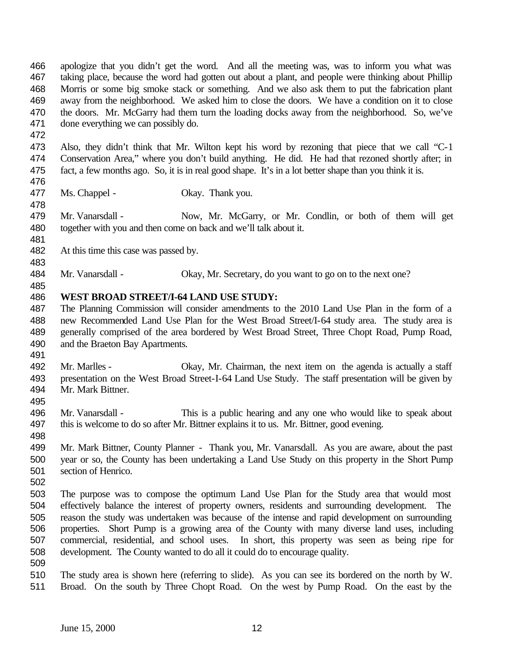apologize that you didn't get the word. And all the meeting was, was to inform you what was taking place, because the word had gotten out about a plant, and people were thinking about Phillip Morris or some big smoke stack or something. And we also ask them to put the fabrication plant away from the neighborhood. We asked him to close the doors. We have a condition on it to close the doors. Mr. McGarry had them turn the loading docks away from the neighborhood. So, we've done everything we can possibly do.

- Also, they didn't think that Mr. Wilton kept his word by rezoning that piece that we call "C-1 Conservation Area," where you don't build anything. He did. He had that rezoned shortly after; in fact, a few months ago. So, it is in real good shape. It's in a lot better shape than you think it is.
- 477 Ms. Chappel Okay. Thank you.
- Mr. Vanarsdall Now, Mr. McGarry, or Mr. Condlin, or both of them will get together with you and then come on back and we'll talk about it.
- At this time this case was passed by.
- 484 Mr. Vanarsdall Okay, Mr. Secretary, do you want to go on to the next one?

#### **WEST BROAD STREET/I-64 LAND USE STUDY:**

- The Planning Commission will consider amendments to the 2010 Land Use Plan in the form of a new Recommended Land Use Plan for the West Broad Street/I-64 study area. The study area is generally comprised of the area bordered by West Broad Street, Three Chopt Road, Pump Road, and the Braeton Bay Apartments.
- 

- Mr. Marlles Okay, Mr. Chairman, the next item on the agenda is actually a staff presentation on the West Broad Street-I-64 Land Use Study. The staff presentation will be given by Mr. Mark Bittner.
- Mr. Vanarsdall - This is a public hearing and any one who would like to speak about 497 this is welcome to do so after Mr. Bittner explains it to us. Mr. Bittner, good evening.
- 
- Mr. Mark Bittner, County Planner Thank you, Mr. Vanarsdall. As you are aware, about the past year or so, the County has been undertaking a Land Use Study on this property in the Short Pump section of Henrico.
- 
- The purpose was to compose the optimum Land Use Plan for the Study area that would most effectively balance the interest of property owners, residents and surrounding development. The reason the study was undertaken was because of the intense and rapid development on surrounding properties. Short Pump is a growing area of the County with many diverse land uses, including commercial, residential, and school uses. In short, this property was seen as being ripe for development. The County wanted to do all it could do to encourage quality.
- 
- The study area is shown here (referring to slide). As you can see its bordered on the north by W. Broad. On the south by Three Chopt Road. On the west by Pump Road. On the east by the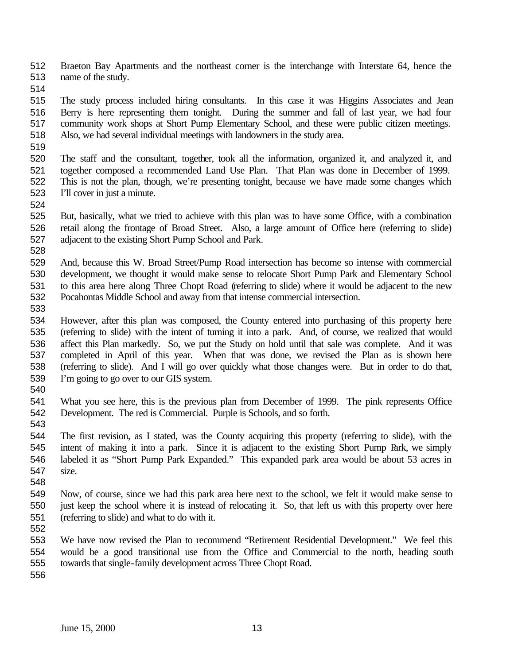Braeton Bay Apartments and the northeast corner is the interchange with Interstate 64, hence the name of the study.

 The study process included hiring consultants. In this case it was Higgins Associates and Jean Berry is here representing them tonight. During the summer and fall of last year, we had four community work shops at Short Pump Elementary School, and these were public citizen meetings. Also, we had several individual meetings with landowners in the study area.

 The staff and the consultant, together, took all the information, organized it, and analyzed it, and together composed a recommended Land Use Plan. That Plan was done in December of 1999. This is not the plan, though, we're presenting tonight, because we have made some changes which I'll cover in just a minute.

 But, basically, what we tried to achieve with this plan was to have some Office, with a combination retail along the frontage of Broad Street. Also, a large amount of Office here (referring to slide) adjacent to the existing Short Pump School and Park.

 And, because this W. Broad Street/Pump Road intersection has become so intense with commercial development, we thought it would make sense to relocate Short Pump Park and Elementary School to this area here along Three Chopt Road (referring to slide) where it would be adjacent to the new Pocahontas Middle School and away from that intense commercial intersection.

 However, after this plan was composed, the County entered into purchasing of this property here (referring to slide) with the intent of turning it into a park. And, of course, we realized that would affect this Plan markedly. So, we put the Study on hold until that sale was complete. And it was completed in April of this year. When that was done, we revised the Plan as is shown here (referring to slide). And I will go over quickly what those changes were. But in order to do that, I'm going to go over to our GIS system.

 What you see here, this is the previous plan from December of 1999. The pink represents Office Development. The red is Commercial. Purple is Schools, and so forth.

 The first revision, as I stated, was the County acquiring this property (referring to slide), with the intent of making it into a park. Since it is adjacent to the existing Short Pump Park, we simply labeled it as "Short Pump Park Expanded." This expanded park area would be about 53 acres in size.

 Now, of course, since we had this park area here next to the school, we felt it would make sense to just keep the school where it is instead of relocating it. So, that left us with this property over here (referring to slide) and what to do with it.

 We have now revised the Plan to recommend "Retirement Residential Development." We feel this would be a good transitional use from the Office and Commercial to the north, heading south towards that single-family development across Three Chopt Road.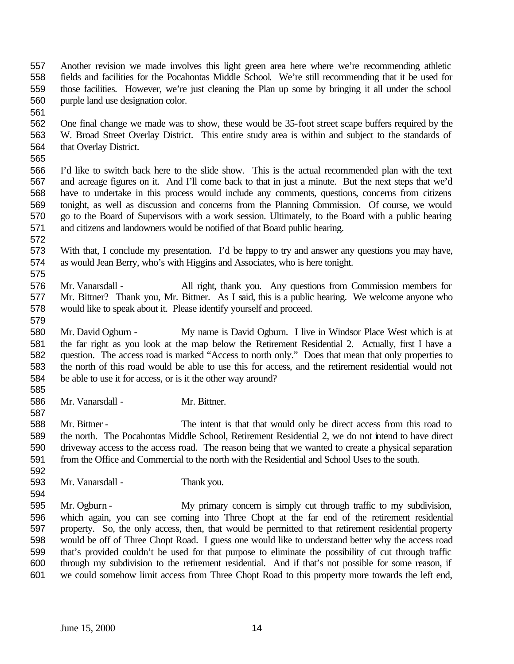- Another revision we made involves this light green area here where we're recommending athletic fields and facilities for the Pocahontas Middle School. We're still recommending that it be used for those facilities. However, we're just cleaning the Plan up some by bringing it all under the school purple land use designation color.
- 

 One final change we made was to show, these would be 35-foot street scape buffers required by the W. Broad Street Overlay District. This entire study area is within and subject to the standards of that Overlay District.

 I'd like to switch back here to the slide show. This is the actual recommended plan with the text and acreage figures on it. And I'll come back to that in just a minute. But the next steps that we'd have to undertake in this process would include any comments, questions, concerns from citizens tonight, as well as discussion and concerns from the Planning Commission. Of course, we would go to the Board of Supervisors with a work session. Ultimately, to the Board with a public hearing and citizens and landowners would be notified of that Board public hearing.

- With that, I conclude my presentation. I'd be happy to try and answer any questions you may have, as would Jean Berry, who's with Higgins and Associates, who is here tonight.
- Mr. Vanarsdall All right, thank you. Any questions from Commission members for Mr. Bittner? Thank you, Mr. Bittner. As I said, this is a public hearing. We welcome anyone who would like to speak about it. Please identify yourself and proceed.
- Mr. David Ogburn My name is David Ogburn. I live in Windsor Place West which is at the far right as you look at the map below the Retirement Residential 2. Actually, first I have a question. The access road is marked "Access to north only." Does that mean that only properties to the north of this road would be able to use this for access, and the retirement residential would not be able to use it for access, or is it the other way around?
- Mr. Vanarsdall Mr. Bittner.

 Mr. Bittner - The intent is that that would only be direct access from this road to the north. The Pocahontas Middle School, Retirement Residential 2, we do not intend to have direct driveway access to the access road. The reason being that we wanted to create a physical separation from the Office and Commercial to the north with the Residential and School Uses to the south.

- Mr. Vanarsdall Thank you.
- Mr. Ogburn My primary concern is simply cut through traffic to my subdivision, which again, you can see coming into Three Chopt at the far end of the retirement residential property. So, the only access, then, that would be permitted to that retirement residential property would be off of Three Chopt Road. I guess one would like to understand better why the access road that's provided couldn't be used for that purpose to eliminate the possibility of cut through traffic through my subdivision to the retirement residential. And if that's not possible for some reason, if we could somehow limit access from Three Chopt Road to this property more towards the left end,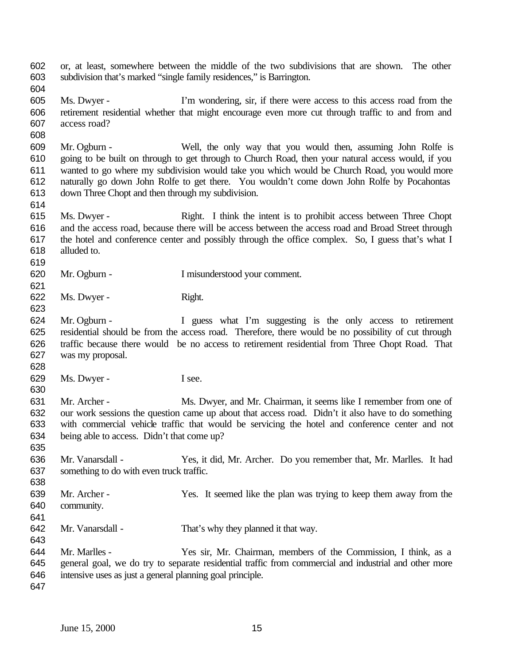or, at least, somewhere between the middle of the two subdivisions that are shown. The other subdivision that's marked "single family residences," is Barrington.

 Ms. Dwyer - I'm wondering, sir, if there were access to this access road from the retirement residential whether that might encourage even more cut through traffic to and from and access road?

 Mr. Ogburn - Well, the only way that you would then, assuming John Rolfe is going to be built on through to get through to Church Road, then your natural access would, if you wanted to go where my subdivision would take you which would be Church Road, you would more naturally go down John Rolfe to get there. You wouldn't come down John Rolfe by Pocahontas down Three Chopt and then through my subdivision.

- Ms. Dwyer Right. I think the intent is to prohibit access between Three Chopt and the access road, because there will be access between the access road and Broad Street through the hotel and conference center and possibly through the office complex. So, I guess that's what I alluded to.
- Mr. Ogburn I misunderstood your comment.
- 622 Ms. Dwyer Right.
- Mr. Ogburn I guess what I'm suggesting is the only access to retirement residential should be from the access road. Therefore, there would be no possibility of cut through traffic because there would be no access to retirement residential from Three Chopt Road. That was my proposal.
- 629 Ms. Dwyer I see.
- Mr. Archer Ms. Dwyer, and Mr. Chairman, it seems like I remember from one of our work sessions the question came up about that access road. Didn't it also have to do something with commercial vehicle traffic that would be servicing the hotel and conference center and not being able to access. Didn't that come up?
- Mr. Vanarsdall Yes, it did, Mr. Archer. Do you remember that, Mr. Marlles. It had something to do with even truck traffic.
- Mr. Archer Yes. It seemed like the plan was trying to keep them away from the community.
- 
- Mr. Vanarsdall That's why they planned it that way.
- Mr. Marlles Yes sir, Mr. Chairman, members of the Commission, I think, as a general goal, we do try to separate residential traffic from commercial and industrial and other more intensive uses as just a general planning goal principle.
-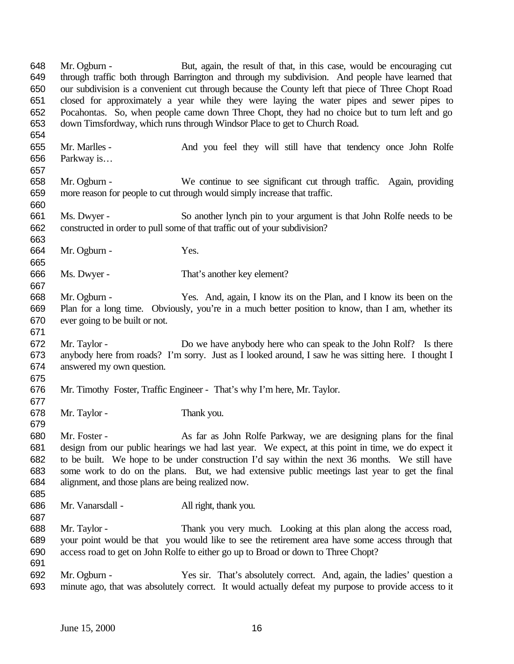through traffic both through Barrington and through my subdivision. And people have learned that our subdivision is a convenient cut through because the County left that piece of Three Chopt Road closed for approximately a year while they were laying the water pipes and sewer pipes to Pocahontas. So, when people came down Three Chopt, they had no choice but to turn left and go down Timsfordway, which runs through Windsor Place to get to Church Road. Mr. Marlles - And you feel they will still have that tendency once John Rolfe Parkway is… Mr. Ogburn - We continue to see significant cut through traffic. Again, providing more reason for people to cut through would simply increase that traffic. Ms. Dwyer - So another lynch pin to your argument is that John Rolfe needs to be constructed in order to pull some of that traffic out of your subdivision? Mr. Ogburn - Yes. Ms. Dwyer - That's another key element? Mr. Ogburn - Yes. And, again, I know its on the Plan, and I know its been on the Plan for a long time. Obviously, you're in a much better position to know, than I am, whether its ever going to be built or not. Mr. Taylor - Do we have anybody here who can speak to the John Rolf? Is there anybody here from roads? I'm sorry. Just as I looked around, I saw he was sitting here. I thought I answered my own question. Mr. Timothy Foster, Traffic Engineer - That's why I'm here, Mr. Taylor. Mr. Taylor - Thank you. Mr. Foster - As far as John Rolfe Parkway, we are designing plans for the final

Mr. Ogburn - But, again, the result of that, in this case, would be encouraging cut

 design from our public hearings we had last year. We expect, at this point in time, we do expect it to be built. We hope to be under construction I'd say within the next 36 months. We still have some work to do on the plans. But, we had extensive public meetings last year to get the final alignment, and those plans are being realized now. 

Mr. Vanarsdall - All right, thank you.

 Mr. Taylor - Thank you very much. Looking at this plan along the access road, your point would be that you would like to see the retirement area have some access through that access road to get on John Rolfe to either go up to Broad or down to Three Chopt? 

 Mr. Ogburn - Yes sir. That's absolutely correct. And, again, the ladies' question a minute ago, that was absolutely correct. It would actually defeat my purpose to provide access to it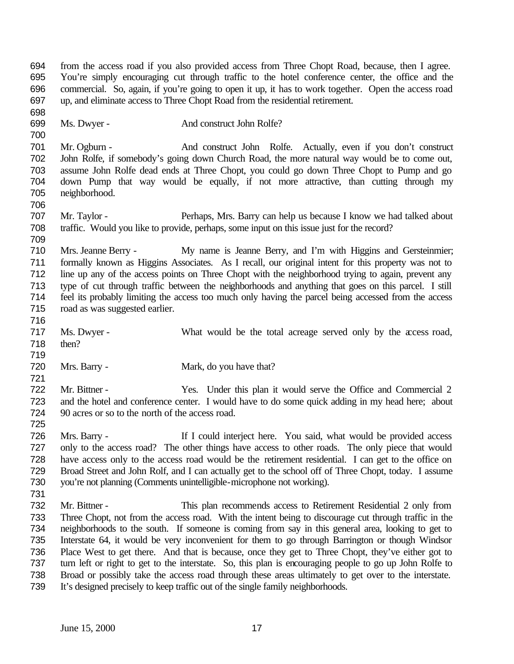from the access road if you also provided access from Three Chopt Road, because, then I agree. You're simply encouraging cut through traffic to the hotel conference center, the office and the commercial. So, again, if you're going to open it up, it has to work together. Open the access road up, and eliminate access to Three Chopt Road from the residential retirement.

Ms. Dwyer - And construct John Rolfe?

 Mr. Ogburn - And construct John Rolfe. Actually, even if you don't construct John Rolfe, if somebody's going down Church Road, the more natural way would be to come out, assume John Rolfe dead ends at Three Chopt, you could go down Three Chopt to Pump and go down Pump that way would be equally, if not more attractive, than cutting through my neighborhood. 

 Mr. Taylor - Perhaps, Mrs. Barry can help us because I know we had talked about traffic. Would you like to provide, perhaps, some input on this issue just for the record?

 Mrs. Jeanne Berry - My name is Jeanne Berry, and I'm with Higgins and Gersteinmier; formally known as Higgins Associates. As I recall, our original intent for this property was not to line up any of the access points on Three Chopt with the neighborhood trying to again, prevent any type of cut through traffic between the neighborhoods and anything that goes on this parcel. I still feel its probably limiting the access too much only having the parcel being accessed from the access road as was suggested earlier.

 Ms. Dwyer - What would be the total acreage served only by the access road, then?

 720 Mrs. Barry - Mark, do you have that?

 Mr. Bittner - Yes. Under this plan it would serve the Office and Commercial 2 and the hotel and conference center. I would have to do some quick adding in my head here; about 90 acres or so to the north of the access road.

 Mrs. Barry - If I could interject here. You said, what would be provided access only to the access road? The other things have access to other roads. The only piece that would have access only to the access road would be the retirement residential. I can get to the office on Broad Street and John Rolf, and I can actually get to the school off of Three Chopt, today. I assume you're not planning (Comments unintelligible-microphone not working).

 Mr. Bittner - This plan recommends access to Retirement Residential 2 only from Three Chopt, not from the access road. With the intent being to discourage cut through traffic in the neighborhoods to the south. If someone is coming from say in this general area, looking to get to Interstate 64, it would be very inconvenient for them to go through Barrington or though Windsor Place West to get there. And that is because, once they get to Three Chopt, they've either got to turn left or right to get to the interstate. So, this plan is encouraging people to go up John Rolfe to Broad or possibly take the access road through these areas ultimately to get over to the interstate. It's designed precisely to keep traffic out of the single family neighborhoods.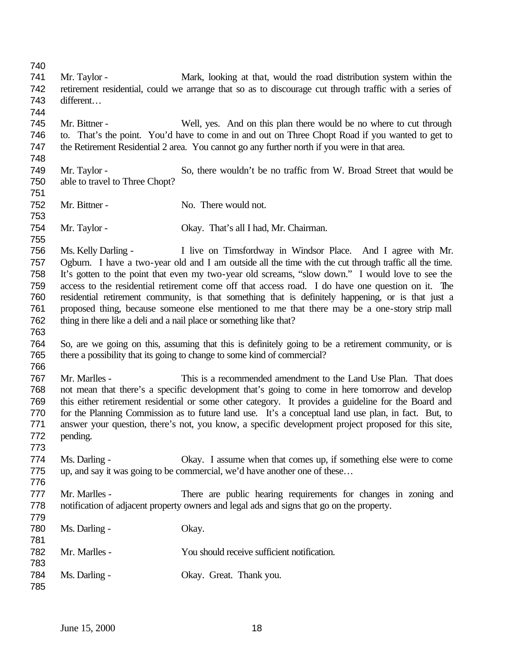Mr. Taylor - Mark, looking at that, would the road distribution system within the retirement residential, could we arrange that so as to discourage cut through traffic with a series of different… Mr. Bittner - Well, yes. And on this plan there would be no where to cut through to. That's the point. You'd have to come in and out on Three Chopt Road if you wanted to get to the Retirement Residential 2 area. You cannot go any further north if you were in that area. Mr. Taylor - So, there wouldn't be no traffic from W. Broad Street that would be able to travel to Three Chopt? 752 Mr. Bittner - No. There would not. Mr. Taylor - Okay. That's all I had, Mr. Chairman. Ms. Kelly Darling - I live on Timsfordway in Windsor Place. And I agree with Mr. Ogburn. I have a two-year old and I am outside all the time with the cut through traffic all the time. It's gotten to the point that even my two-year old screams, "slow down." I would love to see the access to the residential retirement come off that access road. I do have one question on it. The residential retirement community, is that something that is definitely happening, or is that just a proposed thing, because someone else mentioned to me that there may be a one-story strip mall thing in there like a deli and a nail place or something like that? So, are we going on this, assuming that this is definitely going to be a retirement community, or is there a possibility that its going to change to some kind of commercial? Mr. Marlles - This is a recommended amendment to the Land Use Plan. That does not mean that there's a specific development that's going to come in here tomorrow and develop this either retirement residential or some other category. It provides a guideline for the Board and for the Planning Commission as to future land use. It's a conceptual land use plan, in fact. But, to answer your question, there's not, you know, a specific development project proposed for this site, pending. Ms. Darling - Okay. I assume when that comes up, if something else were to come up, and say it was going to be commercial, we'd have another one of these… Mr. Marlles - There are public hearing requirements for changes in zoning and notification of adjacent property owners and legal ads and signs that go on the property. 780 Ms. Darling - Okay. Mr. Marlles - You should receive sufficient notification. Ms. Darling - Okay. Great. Thank you.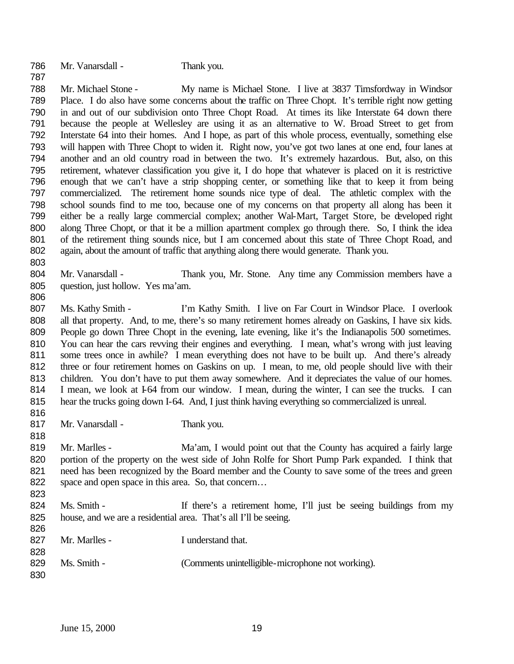Mr. Vanarsdall - Thank you. 

 Mr. Michael Stone - My name is Michael Stone. I live at 3837 Timsfordway in Windsor Place. I do also have some concerns about the traffic on Three Chopt. It's terrible right now getting in and out of our subdivision onto Three Chopt Road. At times its like Interstate 64 down there because the people at Wellesley are using it as an alternative to W. Broad Street to get from Interstate 64 into their homes. And I hope, as part of this whole process, eventually, something else will happen with Three Chopt to widen it. Right now, you've got two lanes at one end, four lanes at another and an old country road in between the two. It's extremely hazardous. But, also, on this retirement, whatever classification you give it, I do hope that whatever is placed on it is restrictive enough that we can't have a strip shopping center, or something like that to keep it from being commercialized. The retirement home sounds nice type of deal. The athletic complex with the school sounds find to me too, because one of my concerns on that property all along has been it either be a really large commercial complex; another Wal-Mart, Target Store, be developed right along Three Chopt, or that it be a million apartment complex go through there. So, I think the idea of the retirement thing sounds nice, but I am concerned about this state of Three Chopt Road, and again, about the amount of traffic that anything along there would generate. Thank you.

- Mr. Vanarsdall - Thank you, Mr. Stone. Any time any Commission members have a question, just hollow. Yes ma'am.
- 807 Ms. Kathy Smith I'm Kathy Smith. I live on Far Court in Windsor Place. I overlook all that property. And, to me, there's so many retirement homes already on Gaskins, I have six kids. People go down Three Chopt in the evening, late evening, like it's the Indianapolis 500 sometimes. You can hear the cars revving their engines and everything. I mean, what's wrong with just leaving 811 some trees once in awhile? I mean everything does not have to be built up. And there's already three or four retirement homes on Gaskins on up. I mean, to me, old people should live with their 813 children. You don't have to put them away somewhere. And it depreciates the value of our homes. 814 I mean, we look at I-64 from our window. I mean, during the winter, I can see the trucks. I can hear the trucks going down I-64. And, I just think having everything so commercialized is unreal.
- 817 Mr. Vanarsdall Thank you.

- 819 Mr. Marlles - Ma'am, I would point out that the County has acquired a fairly large portion of the property on the west side of John Rolfe for Short Pump Park expanded. I think that need has been recognized by the Board member and the County to save some of the trees and green 822 space and open space in this area. So, that concern...
- 824 Ms. Smith If there's a retirement home, I'll just be seeing buildings from my house, and we are a residential area. That's all I'll be seeing.
- 827 Mr. Marlles I understand that. 829 Ms. Smith - (Comments unintelligible-microphone not working).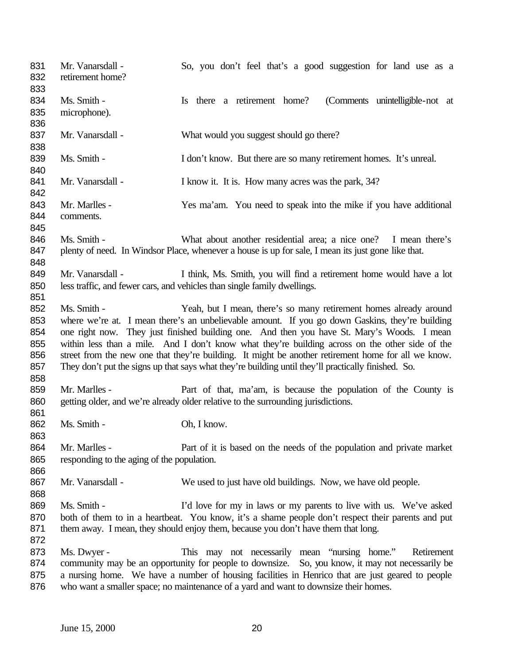| 831<br>832 | Mr. Vanarsdall -<br>retirement home?       | So, you don't feel that's a good suggestion for land use as a                                       |
|------------|--------------------------------------------|-----------------------------------------------------------------------------------------------------|
| 833        |                                            |                                                                                                     |
| 834        | Ms. Smith -                                | Is there a retirement home?<br>(Comments unintelligible-not at                                      |
| 835<br>836 | microphone).                               |                                                                                                     |
| 837<br>838 | Mr. Vanarsdall -                           | What would you suggest should go there?                                                             |
| 839<br>840 | Ms. Smith -                                | I don't know. But there are so many retirement homes. It's unreal.                                  |
| 841<br>842 | Mr. Vanarsdall -                           | I know it. It is. How many acres was the park, 34?                                                  |
| 843        | Mr. Marlles -                              | Yes ma'am. You need to speak into the mike if you have additional                                   |
| 844<br>845 | comments.                                  |                                                                                                     |
| 846        | Ms. Smith -                                | What about another residential area; a nice one? I mean there's                                     |
| 847<br>848 |                                            | plenty of need. In Windsor Place, whenever a house is up for sale, I mean its just gone like that.  |
| 849        | Mr. Vanarsdall -                           | I think, Ms. Smith, you will find a retirement home would have a lot                                |
| 850        |                                            | less traffic, and fewer cars, and vehicles than single family dwellings.                            |
| 851        |                                            |                                                                                                     |
| 852        | Ms. Smith -                                | Yeah, but I mean, there's so many retirement homes already around                                   |
| 853        |                                            | where we're at. I mean there's an unbelievable amount. If you go down Gaskins, they're building     |
| 854        |                                            | one right now. They just finished building one. And then you have St. Mary's Woods. I mean          |
| 855        |                                            | within less than a mile. And I don't know what they're building across on the other side of the     |
| 856        |                                            | street from the new one that they're building. It might be another retirement home for all we know. |
| 857<br>858 |                                            | They don't put the signs up that says what they're building until they'll practically finished. So. |
| 859        | Mr. Marlles -                              | Part of that, ma'am, is because the population of the County is                                     |
| 860<br>861 |                                            | getting older, and we're already older relative to the surrounding jurisdictions.                   |
| 862<br>863 | Ms. Smith -                                | Oh, I know.                                                                                         |
| 864        | Mr. Marlles -                              | Part of it is based on the needs of the population and private market                               |
| 865<br>866 | responding to the aging of the population. |                                                                                                     |
| 867<br>868 | Mr. Vanarsdall -                           | We used to just have old buildings. Now, we have old people.                                        |
| 869        | Ms. Smith -                                | I'd love for my in laws or my parents to live with us. We've asked                                  |
| 870        |                                            | both of them to in a heartbeat. You know, it's a shame people don't respect their parents and put   |
| 871        |                                            | them away. I mean, they should enjoy them, because you don't have them that long.                   |
| 872        |                                            |                                                                                                     |
| 873        | Ms. Dwyer -                                | This may not necessarily mean "nursing home."<br>Retirement                                         |
| 874        |                                            | community may be an opportunity for people to downsize. So, you know, it may not necessarily be     |
| 875        |                                            | a nursing home. We have a number of housing facilities in Henrico that are just geared to people    |
| 876        |                                            | who want a smaller space; no maintenance of a yard and want to downsize their homes.                |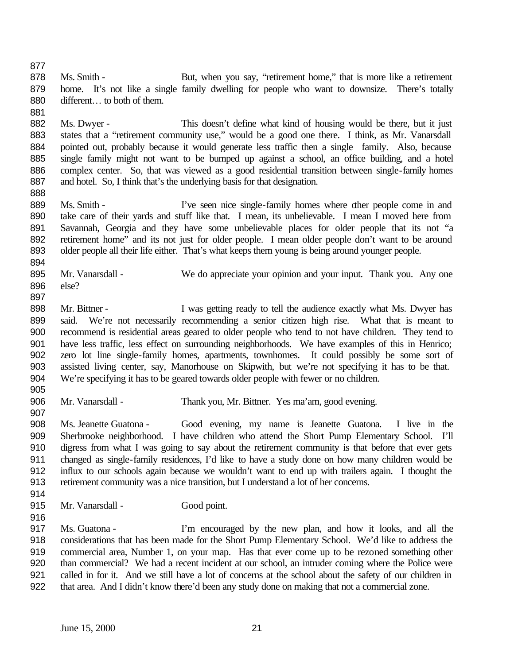- 878 Ms. Smith But, when you say, "retirement home," that is more like a retirement home. It's not like a single family dwelling for people who want to downsize. There's totally 880 different... to both of them.
- 882 Ms. Dwyer This doesn't define what kind of housing would be there, but it just states that a "retirement community use," would be a good one there. I think, as Mr. Vanarsdall pointed out, probably because it would generate less traffic then a single family. Also, because single family might not want to be bumped up against a school, an office building, and a hotel complex center. So, that was viewed as a good residential transition between single-family homes 887 and hotel. So, I think that's the underlying basis for that designation.
- 889 Ms. Smith I've seen nice single-family homes where other people come in and take care of their yards and stuff like that. I mean, its unbelievable. I mean I moved here from Savannah, Georgia and they have some unbelievable places for older people that its not "a retirement home" and its not just for older people. I mean older people don't want to be around 893 older people all their life either. That's what keeps them young is being around younger people.
- Mr. Vanarsdall - We do appreciate your opinion and your input. Thank you. Any one else?
- 
- 898 Mr. Bittner I was getting ready to tell the audience exactly what Ms. Dwyer has said. We're not necessarily recommending a senior citizen high rise. What that is meant to recommend is residential areas geared to older people who tend to not have children. They tend to have less traffic, less effect on surrounding neighborhoods. We have examples of this in Henrico; zero lot line single-family homes, apartments, townhomes. It could possibly be some sort of assisted living center, say, Manorhouse on Skipwith, but we're not specifying it has to be that. We're specifying it has to be geared towards older people with fewer or no children.
- Mr. Vanarsdall Thank you, Mr. Bittner. Yes ma'am, good evening.
- Ms. Jeanette Guatona Good evening, my name is Jeanette Guatona. I live in the Sherbrooke neighborhood. I have children who attend the Short Pump Elementary School. I'll digress from what I was going to say about the retirement community is that before that ever gets changed as single-family residences, I'd like to have a study done on how many children would be influx to our schools again because we wouldn't want to end up with trailers again. I thought the retirement community was a nice transition, but I understand a lot of her concerns.
- 

- Mr. Vanarsdall Good point.
- 
- 
- Ms. Guatona I'm encouraged by the new plan, and how it looks, and all the considerations that has been made for the Short Pump Elementary School. We'd like to address the commercial area, Number 1, on your map. Has that ever come up to be rezoned something other than commercial? We had a recent incident at our school, an intruder coming where the Police were called in for it. And we still have a lot of concerns at the school about the safety of our children in that area. And I didn't know there'd been any study done on making that not a commercial zone.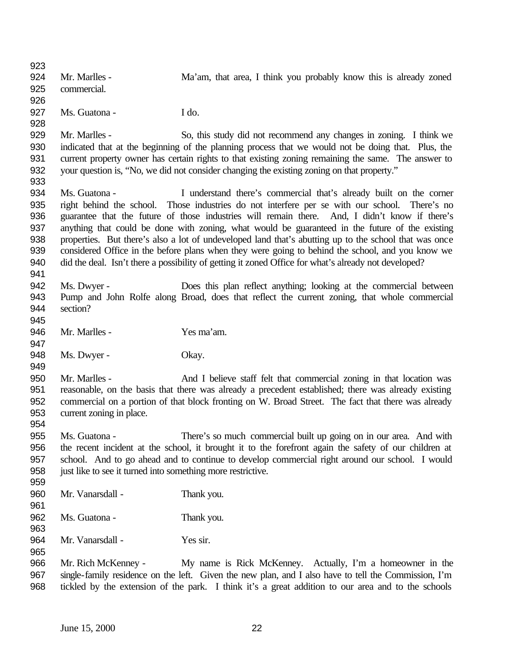Mr. Marlles - Ma'am, that area, I think you probably know this is already zoned commercial. Ms. Guatona - I do. Mr. Marlles - So, this study did not recommend any changes in zoning. I think we indicated that at the beginning of the planning process that we would not be doing that. Plus, the current property owner has certain rights to that existing zoning remaining the same. The answer to your question is, "No, we did not consider changing the existing zoning on that property." Ms. Guatona - I understand there's commercial that's already built on the corner right behind the school. Those industries do not interfere per se with our school. There's no guarantee that the future of those industries will remain there. And, I didn't know if there's anything that could be done with zoning, what would be guaranteed in the future of the existing properties. But there's also a lot of undeveloped land that's abutting up to the school that was once considered Office in the before plans when they were going to behind the school, and you know we did the deal. Isn't there a possibility of getting it zoned Office for what's already not developed? Ms. Dwyer - Does this plan reflect anything; looking at the commercial between Pump and John Rolfe along Broad, does that reflect the current zoning, that whole commercial section? Mr. Marlles - Yes ma'am. 948 Ms. Dwyer - Okay. Mr. Marlles - And I believe staff felt that commercial zoning in that location was reasonable, on the basis that there was already a precedent established; there was already existing commercial on a portion of that block fronting on W. Broad Street. The fact that there was already current zoning in place. Ms. Guatona - There's so much commercial built up going on in our area. And with the recent incident at the school, it brought it to the forefront again the safety of our children at school. And to go ahead and to continue to develop commercial right around our school. I would just like to see it turned into something more restrictive. Mr. Vanarsdall - Thank you. Ms. Guatona - Thank you. Mr. Vanarsdall - Yes sir. Mr. Rich McKenney - My name is Rick McKenney. Actually, I'm a homeowner in the single-family residence on the left. Given the new plan, and I also have to tell the Commission, I'm tickled by the extension of the park. I think it's a great addition to our area and to the schools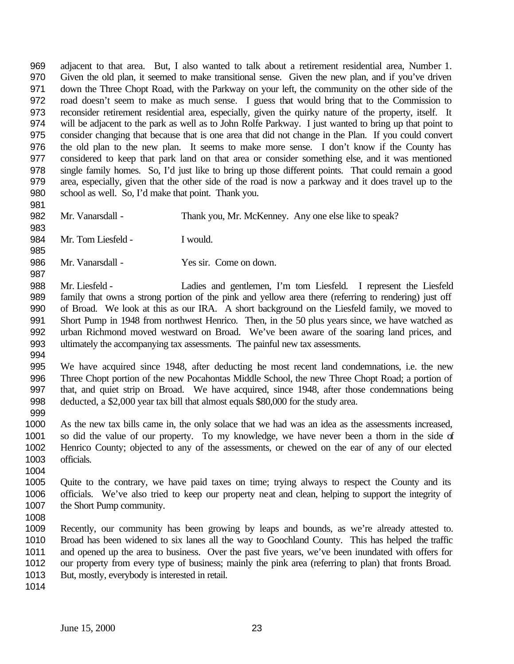adjacent to that area. But, I also wanted to talk about a retirement residential area, Number 1. Given the old plan, it seemed to make transitional sense. Given the new plan, and if you've driven down the Three Chopt Road, with the Parkway on your left, the community on the other side of the road doesn't seem to make as much sense. I guess that would bring that to the Commission to reconsider retirement residential area, especially, given the quirky nature of the property, itself. It will be adjacent to the park as well as to John Rolfe Parkway. I just wanted to bring up that point to consider changing that because that is one area that did not change in the Plan. If you could convert the old plan to the new plan. It seems to make more sense. I don't know if the County has considered to keep that park land on that area or consider something else, and it was mentioned single family homes. So, I'd just like to bring up those different points. That could remain a good area, especially, given that the other side of the road is now a parkway and it does travel up to the school as well. So, I'd make that point. Thank you.

 

Mr. Vanarsdall - Thank you, Mr. McKenney. Any one else like to speak?

Mr. Tom Liesfeld - I would.

Mr. Vanarsdall - Yes sir. Come on down.

 Mr. Liesfeld - Ladies and gentlemen, I'm tom Liesfeld. I represent the Liesfeld family that owns a strong portion of the pink and yellow area there (referring to rendering) just off of Broad. We look at this as our IRA. A short background on the Liesfeld family, we moved to Short Pump in 1948 from northwest Henrico. Then, in the 50 plus years since, we have watched as urban Richmond moved westward on Broad. We've been aware of the soaring land prices, and ultimately the accompanying tax assessments. The painful new tax assessments.

 We have acquired since 1948, after deducting the most recent land condemnations, i.e. the new Three Chopt portion of the new Pocahontas Middle School, the new Three Chopt Road; a portion of that, and quiet strip on Broad. We have acquired, since 1948, after those condemnations being deducted, a \$2,000 year tax bill that almost equals \$80,000 for the study area.

 As the new tax bills came in, the only solace that we had was an idea as the assessments increased, so did the value of our property. To my knowledge, we have never been a thorn in the side of Henrico County; objected to any of the assessments, or chewed on the ear of any of our elected officials.

 Quite to the contrary, we have paid taxes on time; trying always to respect the County and its officials. We've also tried to keep our property neat and clean, helping to support the integrity of 1007 the Short Pump community.

 Recently, our community has been growing by leaps and bounds, as we're already attested to. Broad has been widened to six lanes all the way to Goochland County. This has helped the traffic and opened up the area to business. Over the past five years, we've been inundated with offers for our property from every type of business; mainly the pink area (referring to plan) that fronts Broad. But, mostly, everybody is interested in retail.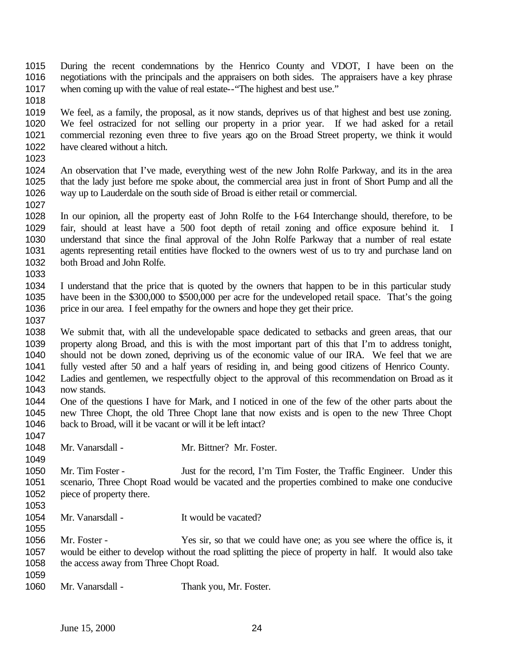- During the recent condemnations by the Henrico County and VDOT, I have been on the negotiations with the principals and the appraisers on both sides. The appraisers have a key phrase when coming up with the value of real estate--"The highest and best use."
- 

 We feel, as a family, the proposal, as it now stands, deprives us of that highest and best use zoning. We feel ostracized for not selling our property in a prior year. If we had asked for a retail commercial rezoning even three to five years ago on the Broad Street property, we think it would have cleared without a hitch.

 An observation that I've made, everything west of the new John Rolfe Parkway, and its in the area that the lady just before me spoke about, the commercial area just in front of Short Pump and all the way up to Lauderdale on the south side of Broad is either retail or commercial. 

 In our opinion, all the property east of John Rolfe to the I-64 Interchange should, therefore, to be fair, should at least have a 500 foot depth of retail zoning and office exposure behind it. I understand that since the final approval of the John Rolfe Parkway that a number of real estate agents representing retail entities have flocked to the owners west of us to try and purchase land on both Broad and John Rolfe. 

- I understand that the price that is quoted by the owners that happen to be in this particular study have been in the \$300,000 to \$500,000 per acre for the undeveloped retail space. That's the going price in our area. I feel empathy for the owners and hope they get their price.
- 

 We submit that, with all the undevelopable space dedicated to setbacks and green areas, that our property along Broad, and this is with the most important part of this that I'm to address tonight, should not be down zoned, depriving us of the economic value of our IRA. We feel that we are fully vested after 50 and a half years of residing in, and being good citizens of Henrico County.

- Ladies and gentlemen, we respectfully object to the approval of this recommendation on Broad as it now stands.
- One of the questions I have for Mark, and I noticed in one of the few of the other parts about the new Three Chopt, the old Three Chopt lane that now exists and is open to the new Three Chopt back to Broad, will it be vacant or will it be left intact?
- Mr. Vanarsdall Mr. Bittner? Mr. Foster.

1050 Mr. Tim Foster - Just for the record, I'm Tim Foster, the Traffic Engineer. Under this scenario, Three Chopt Road would be vacated and the properties combined to make one conducive 1052 piece of property there.

Mr. Vanarsdall - It would be vacated?

 Mr. Foster - Yes sir, so that we could have one; as you see where the office is, it would be either to develop without the road splitting the piece of property in half. It would also take 1058 the access away from Three Chopt Road.

- 
- Mr. Vanarsdall Thank you, Mr. Foster.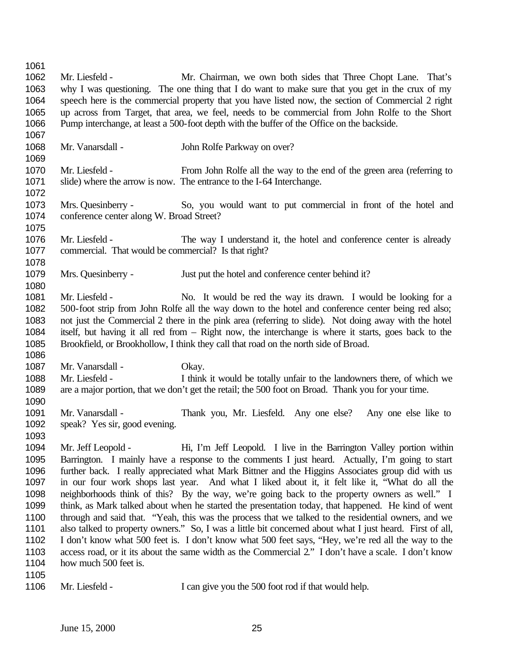Mr. Liesfeld - Mr. Chairman, we own both sides that Three Chopt Lane. That's why I was questioning. The one thing that I do want to make sure that you get in the crux of my speech here is the commercial property that you have listed now, the section of Commercial 2 right up across from Target, that area, we feel, needs to be commercial from John Rolfe to the Short Pump interchange, at least a 500-foot depth with the buffer of the Office on the backside. 1068 Mr. Vanarsdall - John Rolfe Parkway on over? Mr. Liesfeld - From John Rolfe all the way to the end of the green area (referring to slide) where the arrow is now. The entrance to the I-64 Interchange. Mrs. Quesinberry - So, you would want to put commercial in front of the hotel and conference center along W. Broad Street? Mr. Liesfeld - The way I understand it, the hotel and conference center is already commercial. That would be commercial? Is that right? Mrs. Quesinberry - Just put the hotel and conference center behind it? Mr. Liesfeld - No. It would be red the way its drawn. I would be looking for a 500-foot strip from John Rolfe all the way down to the hotel and conference center being red also; not just the Commercial 2 there in the pink area (referring to slide). Not doing away with the hotel itself, but having it all red from – Right now, the interchange is where it starts, goes back to the Brookfield, or Brookhollow, I think they call that road on the north side of Broad. 1087 Mr. Vanarsdall - Okay. Mr. Liesfeld - I think it would be totally unfair to the landowners there, of which we are a major portion, that we don't get the retail; the 500 foot on Broad. Thank you for your time. Mr. Vanarsdall - Thank you, Mr. Liesfeld. Any one else? Any one else like to speak? Yes sir, good evening. Mr. Jeff Leopold - Hi, I'm Jeff Leopold. I live in the Barrington Valley portion within Barrington. I mainly have a response to the comments I just heard. Actually, I'm going to start further back. I really appreciated what Mark Bittner and the Higgins Associates group did with us in our four work shops last year. And what I liked about it, it felt like it, "What do all the neighborhoods think of this? By the way, we're going back to the property owners as well." I think, as Mark talked about when he started the presentation today, that happened. He kind of went through and said that. "Yeah, this was the process that we talked to the residential owners, and we also talked to property owners." So, I was a little bit concerned about what I just heard. First of all, I don't know what 500 feet is. I don't know what 500 feet says, "Hey, we're red all the way to the access road, or it its about the same width as the Commercial 2." I don't have a scale. I don't know 1104 how much 500 feet is. 1106 Mr. Liesfeld - I can give you the 500 foot rod if that would help.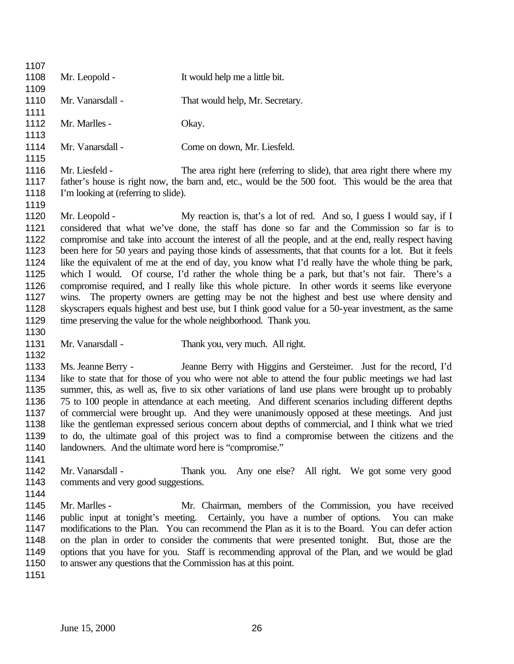| 1108         | Mr. Leopold -                                                                                    | It would help me a little bit.                                                                         |  |
|--------------|--------------------------------------------------------------------------------------------------|--------------------------------------------------------------------------------------------------------|--|
| 1109         | Mr. Vanarsdall -                                                                                 |                                                                                                        |  |
| 1110<br>1111 |                                                                                                  | That would help, Mr. Secretary.                                                                        |  |
| 1112         | Mr. Marlles -                                                                                    | Okay.                                                                                                  |  |
| 1113         |                                                                                                  |                                                                                                        |  |
| 1114         | Mr. Vanarsdall -                                                                                 | Come on down, Mr. Liesfeld.                                                                            |  |
| 1115         |                                                                                                  |                                                                                                        |  |
| 1116         | Mr. Liesfeld -                                                                                   | The area right here (referring to slide), that area right there where my                               |  |
| 1117         |                                                                                                  | father's house is right now, the barn and, etc., would be the 500 foot. This would be the area that    |  |
| 1118         | I'm looking at (referring to slide).                                                             |                                                                                                        |  |
| 1119         |                                                                                                  |                                                                                                        |  |
| 1120         | Mr. Leopold -                                                                                    | My reaction is, that's a lot of red. And so, I guess I would say, if I                                 |  |
| 1121         |                                                                                                  | considered that what we've done, the staff has done so far and the Commission so far is to             |  |
| 1122         |                                                                                                  | compromise and take into account the interest of all the people, and at the end, really respect having |  |
| 1123         |                                                                                                  | been here for 50 years and paying those kinds of assessments, that that counts for a lot. But it feels |  |
| 1124         |                                                                                                  | like the equivalent of me at the end of day, you know what I'd really have the whole thing be park,    |  |
| 1125         |                                                                                                  | which I would. Of course, I'd rather the whole thing be a park, but that's not fair. There's a         |  |
| 1126         | compromise required, and I really like this whole picture. In other words it seems like everyone |                                                                                                        |  |
| 1127         |                                                                                                  | wins. The property owners are getting may be not the highest and best use where density and            |  |
| 1128         |                                                                                                  | skyscrapers equals highest and best use, but I think good value for a 50-year investment, as the same  |  |
| 1129         |                                                                                                  | time preserving the value for the whole neighborhood. Thank you.                                       |  |
| 1130         |                                                                                                  |                                                                                                        |  |
| 1131         | Mr. Vanarsdall -                                                                                 | Thank you, very much. All right.                                                                       |  |
| 1132         |                                                                                                  |                                                                                                        |  |
| 1133         | Ms. Jeanne Berry -                                                                               | Jeanne Berry with Higgins and Gersteimer. Just for the record, I'd                                     |  |
| 1134         |                                                                                                  | like to state that for those of you who were not able to attend the four public meetings we had last   |  |
| 1135         |                                                                                                  | summer, this, as well as, five to six other variations of land use plans were brought up to probably   |  |
| 1136         |                                                                                                  | 75 to 100 people in attendance at each meeting. And different scenarios including different depths     |  |
| 1137         |                                                                                                  | of commercial were brought up. And they were unanimously opposed at these meetings. And just           |  |
| 1138<br>1139 |                                                                                                  | like the gentleman expressed serious concern about depths of commercial, and I think what we tried     |  |
| 1140         | landowners. And the ultimate word here is "compromise."                                          | to do, the ultimate goal of this project was to find a compromise between the citizens and the         |  |
| 1141         |                                                                                                  |                                                                                                        |  |
| 1142         | Mr. Vanarsdall -                                                                                 | Thank you. Any one else? All right. We got some very good                                              |  |
| 1143         | comments and very good suggestions.                                                              |                                                                                                        |  |
| 1144         |                                                                                                  |                                                                                                        |  |
| 1145         | Mr. Marlles -                                                                                    | Mr. Chairman, members of the Commission, you have received                                             |  |
| 1146         | public input at tonight's meeting.                                                               | Certainly, you have a number of options. You can make                                                  |  |
| 1147         |                                                                                                  | modifications to the Plan. You can recommend the Plan as it is to the Board. You can defer action      |  |
| 1148         |                                                                                                  | on the plan in order to consider the comments that were presented tonight. But, those are the          |  |
| 1149         |                                                                                                  | options that you have for you. Staff is recommending approval of the Plan, and we would be glad        |  |
| 1150         |                                                                                                  | to answer any questions that the Commission has at this point.                                         |  |
|              |                                                                                                  |                                                                                                        |  |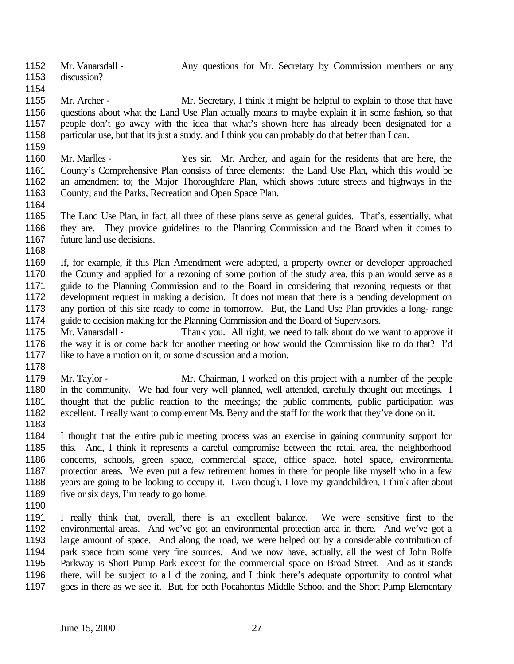- 1152 Mr. Vanarsdall Any questions for Mr. Secretary by Commission members or any discussion?
- 1155 Mr. Archer Mr. Secretary, I think it might be helpful to explain to those that have questions about what the Land Use Plan actually means to maybe explain it in some fashion, so that people don't go away with the idea that what's shown here has already been designated for a particular use, but that its just a study, and I think you can probably do that better than I can.
- 
- Mr. Marlles Yes sir. Mr. Archer, and again for the residents that are here, the County's Comprehensive Plan consists of three elements: the Land Use Plan, which this would be an amendment to; the Major Thoroughfare Plan, which shows future streets and highways in the County; and the Parks, Recreation and Open Space Plan.
- 
- The Land Use Plan, in fact, all three of these plans serve as general guides. That's, essentially, what they are. They provide guidelines to the Planning Commission and the Board when it comes to 1167 future land use decisions.
- 
- If, for example, if this Plan Amendment were adopted, a property owner or developer approached the County and applied for a rezoning of some portion of the study area, this plan would serve as a guide to the Planning Commission and to the Board in considering that rezoning requests or that development request in making a decision. It does not mean that there is a pending development on any portion of this site ready to come in tomorrow. But, the Land Use Plan provides a long- range guide to decision making for the Planning Commission and the Board of Supervisors.
- Mr. Vanarsdall Thank you. All right, we need to talk about do we want to approve it the way it is or come back for another meeting or how would the Commission like to do that? I'd like to have a motion on it, or some discussion and a motion.
- 
- Mr. Taylor Mr. Chairman, I worked on this project with a number of the people 1180 in the community. We had four very well planned, well attended, carefully thought out meetings. I thought that the public reaction to the meetings; the public comments, public participation was excellent. I really want to complement Ms. Berry and the staff for the work that they've done on it.
- 

 I thought that the entire public meeting process was an exercise in gaining community support for this. And, I think it represents a careful compromise between the retail area, the neighborhood concerns, schools, green space, commercial space, office space, hotel space, environmental protection areas. We even put a few retirement homes in there for people like myself who in a few years are going to be looking to occupy it. Even though, I love my grandchildren, I think after about 1189 five or six days, I'm ready to go home.

- 
- I really think that, overall, there is an excellent balance. We were sensitive first to the environmental areas. And we've got an environmental protection area in there. And we've got a large amount of space. And along the road, we were helped out by a considerable contribution of park space from some very fine sources. And we now have, actually, all the west of John Rolfe Parkway is Short Pump Park except for the commercial space on Broad Street. And as it stands there, will be subject to all of the zoning, and I think there's adequate opportunity to control what goes in there as we see it. But, for both Pocahontas Middle School and the Short Pump Elementary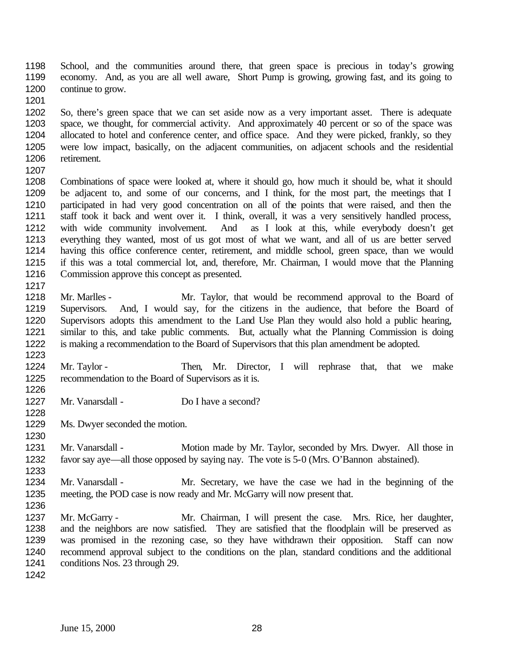School, and the communities around there, that green space is precious in today's growing economy. And, as you are all well aware, Short Pump is growing, growing fast, and its going to continue to grow.

 So, there's green space that we can set aside now as a very important asset. There is adequate space, we thought, for commercial activity. And approximately 40 percent or so of the space was allocated to hotel and conference center, and office space. And they were picked, frankly, so they were low impact, basically, on the adjacent communities, on adjacent schools and the residential retirement.

 Combinations of space were looked at, where it should go, how much it should be, what it should be adjacent to, and some of our concerns, and I think, for the most part, the meetings that I participated in had very good concentration on all of the points that were raised, and then the staff took it back and went over it. I think, overall, it was a very sensitively handled process, with wide community involvement. And as I look at this, while everybody doesn't get everything they wanted, most of us got most of what we want, and all of us are better served having this office conference center, retirement, and middle school, green space, than we would if this was a total commercial lot, and, therefore, Mr. Chairman, I would move that the Planning Commission approve this concept as presented.

- Mr. Marlles Mr. Taylor, that would be recommend approval to the Board of Supervisors. And, I would say, for the citizens in the audience, that before the Board of Supervisors adopts this amendment to the Land Use Plan they would also hold a public hearing, similar to this, and take public comments. But, actually what the Planning Commission is doing is making a recommendation to the Board of Supervisors that this plan amendment be adopted.
- Mr. Taylor Then, Mr. Director, I will rephrase that, that we make recommendation to the Board of Supervisors as it is.
- Mr. Vanarsdall Do I have a second?
- Ms. Dwyer seconded the motion.
- 1231 Mr. Vanarsdall - Motion made by Mr. Taylor, seconded by Mrs. Dwyer. All those in favor say aye—all those opposed by saying nay. The vote is 5-0 (Mrs. O'Bannon abstained).
- Mr. Vanarsdall Mr. Secretary, we have the case we had in the beginning of the meeting, the POD case is now ready and Mr. McGarry will now present that.
- 

- Mr. McGarry Mr. Chairman, I will present the case. Mrs. Rice, her daughter, and the neighbors are now satisfied. They are satisfied that the floodplain will be preserved as was promised in the rezoning case, so they have withdrawn their opposition. Staff can now recommend approval subject to the conditions on the plan, standard conditions and the additional conditions Nos. 23 through 29.
-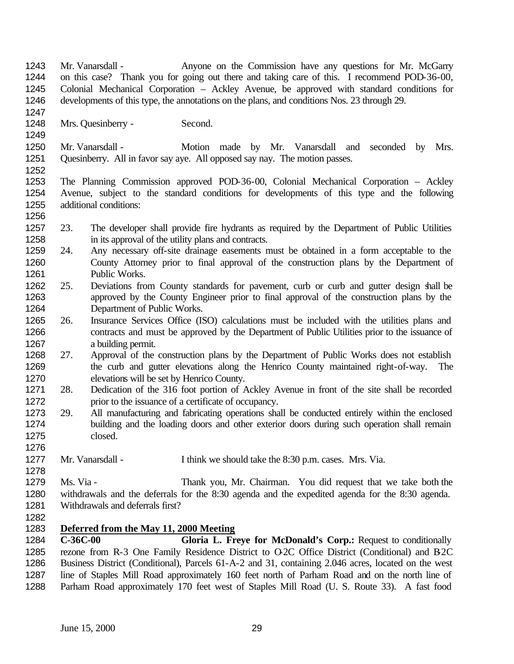- Mr. Vanarsdall Anyone on the Commission have any questions for Mr. McGarry on this case? Thank you for going out there and taking care of this. I recommend POD-36-00, Colonial Mechanical Corporation – Ackley Avenue, be approved with standard conditions for developments of this type, the annotations on the plans, and conditions Nos. 23 through 29.
- Mrs. Quesinberry Second.
- 1250 Mr. Vanarsdall Motion made by Mr. Vanarsdall and seconded by Mrs. Quesinberry. All in favor say aye. All opposed say nay. The motion passes.
- The Planning Commission approved POD-36-00, Colonial Mechanical Corporation Ackley Avenue, subject to the standard conditions for developments of this type and the following additional conditions:
- 23. The developer shall provide fire hydrants as required by the Department of Public Utilities in its approval of the utility plans and contracts.
- 24. Any necessary off-site drainage easements must be obtained in a form acceptable to the County Attorney prior to final approval of the construction plans by the Department of Public Works.
- 25. Deviations from County standards for pavement, curb or curb and gutter design shall be approved by the County Engineer prior to final approval of the construction plans by the Department of Public Works.
- 26. Insurance Services Office (ISO) calculations must be included with the utilities plans and 1266 contracts and must be approved by the Department of Public Utilities prior to the issuance of a building permit.
- 27. Approval of the construction plans by the Department of Public Works does not establish the curb and gutter elevations along the Henrico County maintained right-of-way. The elevations will be set by Henrico County.
- 28. Dedication of the 316 foot portion of Ackley Avenue in front of the site shall be recorded 1272 prior to the issuance of a certificate of occupancy.
- 29. All manufacturing and fabricating operations shall be conducted entirely within the enclosed building and the loading doors and other exterior doors during such operation shall remain closed.
- 1277 Mr. Vanarsdall I think we should take the 8:30 p.m. cases. Mrs. Via.

 Ms. Via - Thank you, Mr. Chairman. You did request that we take both the withdrawals and the deferrals for the 8:30 agenda and the expedited agenda for the 8:30 agenda. Withdrawals and deferrals first?

# **Deferred from the May 11, 2000 Meeting**

 **C-36C-00 Gloria L. Freye for McDonald's Corp.:** Request to conditionally 1285 rezone from R-3 One Family Residence District to O-2C Office District (Conditional) and B-2C Business District (Conditional), Parcels 61-A-2 and 31, containing 2.046 acres, located on the west line of Staples Mill Road approximately 160 feet north of Parham Road and on the north line of Parham Road approximately 170 feet west of Staples Mill Road (U. S. Route 33). A fast food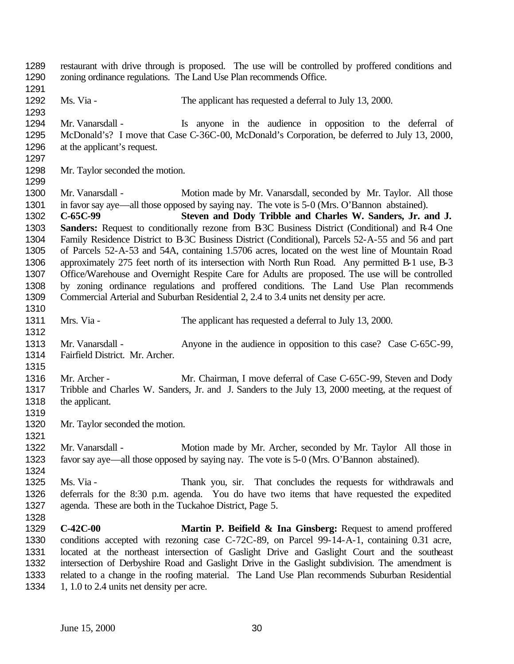restaurant with drive through is proposed. The use will be controlled by proffered conditions and zoning ordinance regulations. The Land Use Plan recommends Office. Ms. Via - The applicant has requested a deferral to July 13, 2000. Mr. Vanarsdall - Is anyone in the audience in opposition to the deferral of McDonald's? I move that Case C-36C-00, McDonald's Corporation, be deferred to July 13, 2000, at the applicant's request. Mr. Taylor seconded the motion. 1300 Mr. Vanarsdall - Motion made by Mr. Vanarsdall, seconded by Mr. Taylor. All those in favor say aye—all those opposed by saying nay. The vote is 5-0 (Mrs. O'Bannon abstained). **C-65C-99 Steven and Dody Tribble and Charles W. Sanders, Jr. and J. Sanders:** Request to conditionally rezone from B-3C Business District (Conditional) and R-4 One Family Residence District to B-3C Business District (Conditional), Parcels 52-A-55 and 56 and part of Parcels 52-A-53 and 54A, containing 1.5706 acres, located on the west line of Mountain Road approximately 275 feet north of its intersection with North Run Road. Any permitted B-1 use, B-3 Office/Warehouse and Overnight Respite Care for Adults are proposed. The use will be controlled by zoning ordinance regulations and proffered conditions. The Land Use Plan recommends Commercial Arterial and Suburban Residential 2, 2.4 to 3.4 units net density per acre. Mrs. Via - The applicant has requested a deferral to July 13, 2000. 1313 Mr. Vanarsdall - Anyone in the audience in opposition to this case? Case C-65C-99, Fairfield District. Mr. Archer. 1316 Mr. Archer - Mr. Chairman, I move deferral of Case C-65C-99, Steven and Dody Tribble and Charles W. Sanders, Jr. and J. Sanders to the July 13, 2000 meeting, at the request of the applicant. Mr. Taylor seconded the motion. 1322 Mr. Vanarsdall - Motion made by Mr. Archer, seconded by Mr. Taylor All those in favor say aye—all those opposed by saying nay. The vote is 5-0 (Mrs. O'Bannon abstained). Ms. Via - Thank you, sir. That concludes the requests for withdrawals and deferrals for the 8:30 p.m. agenda. You do have two items that have requested the expedited agenda. These are both in the Tuckahoe District, Page 5. **C-42C-00 Martin P. Beifield & Ina Ginsberg:** Request to amend proffered conditions accepted with rezoning case C-72C-89, on Parcel 99-14-A-1, containing 0.31 acre, located at the northeast intersection of Gaslight Drive and Gaslight Court and the southeast intersection of Derbyshire Road and Gaslight Drive in the Gaslight subdivision. The amendment is related to a change in the roofing material. The Land Use Plan recommends Suburban Residential 1334 1, 1.0 to 2.4 units net density per acre.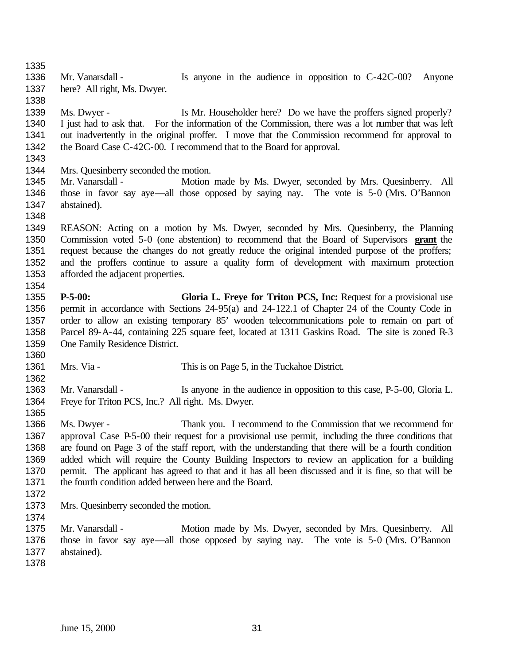1336 Mr. Vanarsdall - Is anyone in the audience in opposition to C-42C-00? Anyone here? All right, Ms. Dwyer.

 Ms. Dwyer - Is Mr. Householder here? Do we have the proffers signed properly? I just had to ask that. For the information of the Commission, there was a lot number that was left out inadvertently in the original proffer. I move that the Commission recommend for approval to the Board Case C-42C-00. I recommend that to the Board for approval.

Mrs. Quesinberry seconded the motion.

- 1345 Mr. Vanarsdall Motion made by Ms. Dwyer, seconded by Mrs. Quesinberry. All those in favor say aye—all those opposed by saying nay. The vote is 5-0 (Mrs. O'Bannon abstained).
- 

 REASON: Acting on a motion by Ms. Dwyer, seconded by Mrs. Quesinberry, the Planning Commission voted 5-0 (one abstention) to recommend that the Board of Supervisors **grant** the request because the changes do not greatly reduce the original intended purpose of the proffers; and the proffers continue to assure a quality form of development with maximum protection afforded the adjacent properties. 

 **P-5-00: Gloria L. Freye for Triton PCS, Inc:** Request for a provisional use permit in accordance with Sections 24-95(a) and 24-122.1 of Chapter 24 of the County Code in order to allow an existing temporary 85' wooden telecommunications pole to remain on part of Parcel 89-A-44, containing 225 square feet, located at 1311 Gaskins Road. The site is zoned R-3 One Family Residence District.

Mrs. Via - This is on Page 5, in the Tuckahoe District.

1363 Mr. Vanarsdall - Is anyone in the audience in opposition to this case, P-5-00, Gloria L. Freye for Triton PCS, Inc.? All right. Ms. Dwyer.

 Ms. Dwyer - Thank you. I recommend to the Commission that we recommend for approval Case P-5-00 their request for a provisional use permit, including the three conditions that are found on Page 3 of the staff report, with the understanding that there will be a fourth condition added which will require the County Building Inspectors to review an application for a building permit. The applicant has agreed to that and it has all been discussed and it is fine, so that will be 1371 the fourth condition added between here and the Board.

- 
- Mrs. Quesinberry seconded the motion.

 Mr. Vanarsdall - Motion made by Ms. Dwyer, seconded by Mrs. Quesinberry. All those in favor say aye—all those opposed by saying nay. The vote is 5-0 (Mrs. O'Bannon abstained).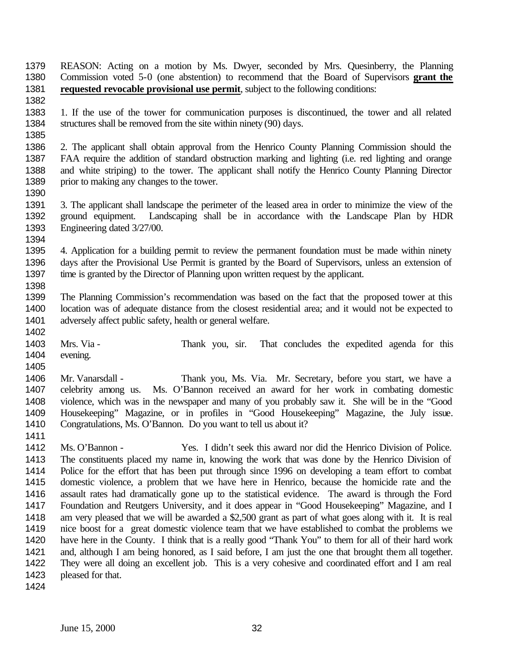REASON: Acting on a motion by Ms. Dwyer, seconded by Mrs. Quesinberry, the Planning Commission voted 5-0 (one abstention) to recommend that the Board of Supervisors **grant the requested revocable provisional use permit**, subject to the following conditions:

 1. If the use of the tower for communication purposes is discontinued, the tower and all related structures shall be removed from the site within ninety (90) days. 

 2. The applicant shall obtain approval from the Henrico County Planning Commission should the FAA require the addition of standard obstruction marking and lighting (i.e. red lighting and orange and white striping) to the tower. The applicant shall notify the Henrico County Planning Director 1389 prior to making any changes to the tower.

 3. The applicant shall landscape the perimeter of the leased area in order to minimize the view of the ground equipment. Landscaping shall be in accordance with the Landscape Plan by HDR Engineering dated 3/27/00. 

 4. Application for a building permit to review the permanent foundation must be made within ninety days after the Provisional Use Permit is granted by the Board of Supervisors, unless an extension of time is granted by the Director of Planning upon written request by the applicant. 

 The Planning Commission's recommendation was based on the fact that the proposed tower at this location was of adequate distance from the closest residential area; and it would not be expected to adversely affect public safety, health or general welfare.

 Mrs. Via - Thank you, sir. That concludes the expedited agenda for this evening. 

 Mr. Vanarsdall - Thank you, Ms. Via. Mr. Secretary, before you start, we have a celebrity among us. Ms. O'Bannon received an award for her work in combating domestic violence, which was in the newspaper and many of you probably saw it. She will be in the "Good Housekeeping" Magazine, or in profiles in "Good Housekeeping" Magazine, the July issue. Congratulations, Ms. O'Bannon. Do you want to tell us about it?

 Ms. O'Bannon - Yes. I didn't seek this award nor did the Henrico Division of Police. The constituents placed my name in, knowing the work that was done by the Henrico Division of Police for the effort that has been put through since 1996 on developing a team effort to combat domestic violence, a problem that we have here in Henrico, because the homicide rate and the assault rates had dramatically gone up to the statistical evidence. The award is through the Ford Foundation and Reutgers University, and it does appear in "Good Housekeeping" Magazine, and I am very pleased that we will be awarded a \$2,500 grant as part of what goes along with it. It is real nice boost for a great domestic violence team that we have established to combat the problems we have here in the County. I think that is a really good "Thank You" to them for all of their hard work and, although I am being honored, as I said before, I am just the one that brought them all together. They were all doing an excellent job. This is a very cohesive and coordinated effort and I am real 1423 pleased for that.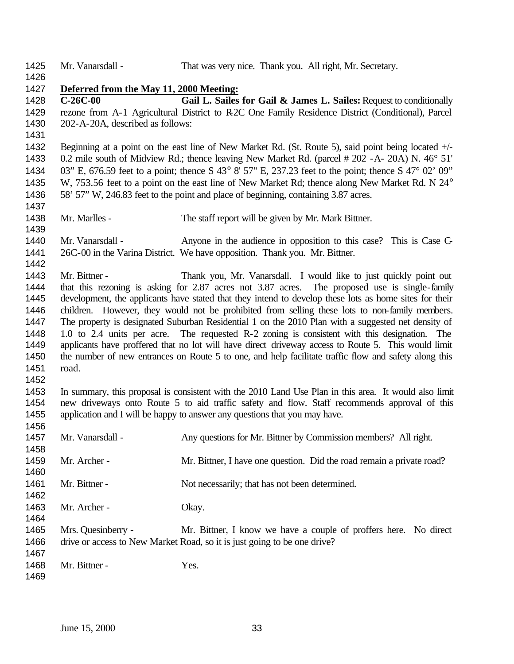| 1425         | Mr. Vanarsdall -                                                                                    | That was very nice. Thank you. All right, Mr. Secretary.                                                                                                                                                |  |
|--------------|-----------------------------------------------------------------------------------------------------|---------------------------------------------------------------------------------------------------------------------------------------------------------------------------------------------------------|--|
| 1426         |                                                                                                     |                                                                                                                                                                                                         |  |
| 1427<br>1428 | Deferred from the May 11, 2000 Meeting:<br>$C-26C-00$                                               | Gail L. Sailes for Gail & James L. Sailes: Request to conditionally                                                                                                                                     |  |
| 1429         |                                                                                                     | rezone from A-1 Agricultural District to R2C One Family Residence District (Conditional), Parcel                                                                                                        |  |
| 1430         | 202-A-20A, described as follows:                                                                    |                                                                                                                                                                                                         |  |
| 1431         |                                                                                                     |                                                                                                                                                                                                         |  |
| 1432         |                                                                                                     |                                                                                                                                                                                                         |  |
| 1433         |                                                                                                     | Beginning at a point on the east line of New Market Rd. (St. Route 5), said point being located +/-                                                                                                     |  |
| 1434         |                                                                                                     | 0.2 mile south of Midview Rd.; thence leaving New Market Rd. (parcel # 202 - A- 20A) N. 46° 51'<br>03" E, 676.59 feet to a point; thence S 43° 8' 57" E, 237.23 feet to the point; thence S 47° 02' 09" |  |
| 1435         |                                                                                                     | W, 753.56 feet to a point on the east line of New Market Rd; thence along New Market Rd. N 24°                                                                                                          |  |
| 1436         |                                                                                                     | 58' 57" W, 246.83 feet to the point and place of beginning, containing 3.87 acres.                                                                                                                      |  |
| 1437         |                                                                                                     |                                                                                                                                                                                                         |  |
| 1438         | Mr. Marlles -                                                                                       | The staff report will be given by Mr. Mark Bittner.                                                                                                                                                     |  |
| 1439         |                                                                                                     |                                                                                                                                                                                                         |  |
| 1440         | Mr. Vanarsdall -                                                                                    | Anyone in the audience in opposition to this case? This is Case C-                                                                                                                                      |  |
| 1441         |                                                                                                     | 26C-00 in the Varina District. We have opposition. Thank you. Mr. Bittner.                                                                                                                              |  |
| 1442         |                                                                                                     |                                                                                                                                                                                                         |  |
| 1443         | Mr. Bittner -                                                                                       | Thank you, Mr. Vanarsdall. I would like to just quickly point out                                                                                                                                       |  |
| 1444         |                                                                                                     | that this rezoning is asking for 2.87 acres not 3.87 acres. The proposed use is single-family                                                                                                           |  |
| 1445         |                                                                                                     | development, the applicants have stated that they intend to develop these lots as home sites for their                                                                                                  |  |
| 1446         |                                                                                                     | children. However, they would not be prohibited from selling these lots to non-family members.                                                                                                          |  |
| 1447         |                                                                                                     | The property is designated Suburban Residential 1 on the 2010 Plan with a suggested net density of                                                                                                      |  |
| 1448         |                                                                                                     | 1.0 to 2.4 units per acre. The requested R-2 zoning is consistent with this designation. The                                                                                                            |  |
| 1449         | applicants have proffered that no lot will have direct driveway access to Route 5. This would limit |                                                                                                                                                                                                         |  |
| 1450         |                                                                                                     | the number of new entrances on Route 5 to one, and help facilitate traffic flow and safety along this                                                                                                   |  |
| 1451         | road.                                                                                               |                                                                                                                                                                                                         |  |
| 1452         |                                                                                                     |                                                                                                                                                                                                         |  |
| 1453         |                                                                                                     | In summary, this proposal is consistent with the 2010 Land Use Plan in this area. It would also limit                                                                                                   |  |
| 1454         |                                                                                                     | new driveways onto Route 5 to aid traffic safety and flow. Staff recommends approval of this                                                                                                            |  |
| 1455         |                                                                                                     | application and I will be happy to answer any questions that you may have.                                                                                                                              |  |
| 1456         |                                                                                                     |                                                                                                                                                                                                         |  |
| 1457         | Mr. Vanarsdall -                                                                                    | Any questions for Mr. Bittner by Commission members? All right.                                                                                                                                         |  |
| 1458         |                                                                                                     |                                                                                                                                                                                                         |  |
| 1459         | Mr. Archer -                                                                                        | Mr. Bittner, I have one question. Did the road remain a private road?                                                                                                                                   |  |
| 1460         |                                                                                                     |                                                                                                                                                                                                         |  |
| 1461         | Mr. Bittner -                                                                                       | Not necessarily; that has not been determined.                                                                                                                                                          |  |
| 1462         |                                                                                                     |                                                                                                                                                                                                         |  |
| 1463         | Mr. Archer -                                                                                        | Okay.                                                                                                                                                                                                   |  |
| 1464         |                                                                                                     |                                                                                                                                                                                                         |  |
| 1465         | Mrs. Quesinberry -                                                                                  | Mr. Bittner, I know we have a couple of proffers here. No direct                                                                                                                                        |  |
| 1466         |                                                                                                     | drive or access to New Market Road, so it is just going to be one drive?                                                                                                                                |  |
| 1467         |                                                                                                     |                                                                                                                                                                                                         |  |
| 1468         | Mr. Bittner -                                                                                       | Yes.                                                                                                                                                                                                    |  |
| 1469         |                                                                                                     |                                                                                                                                                                                                         |  |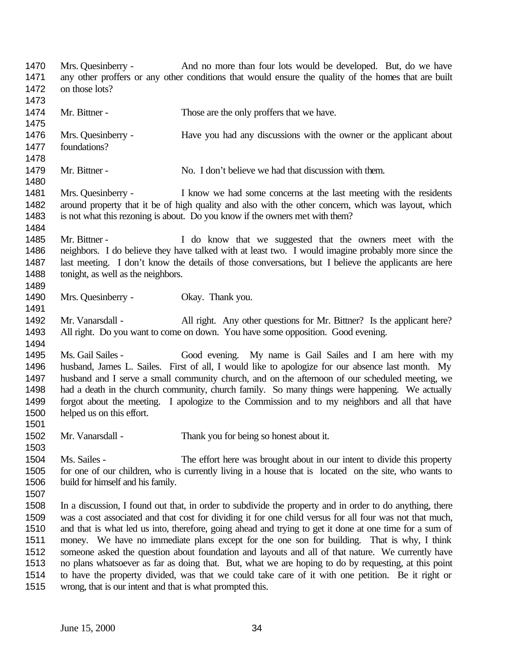| 1470<br>1471                                                 | Mrs. Quesinberry -                                        | And no more than four lots would be developed. But, do we have<br>any other proffers or any other conditions that would ensure the quality of the homes that are built                                                                                                                                                                                                                                                                                                                                                                                                                                                                                                                                                                           |
|--------------------------------------------------------------|-----------------------------------------------------------|--------------------------------------------------------------------------------------------------------------------------------------------------------------------------------------------------------------------------------------------------------------------------------------------------------------------------------------------------------------------------------------------------------------------------------------------------------------------------------------------------------------------------------------------------------------------------------------------------------------------------------------------------------------------------------------------------------------------------------------------------|
| 1472<br>1473                                                 | on those lots?                                            |                                                                                                                                                                                                                                                                                                                                                                                                                                                                                                                                                                                                                                                                                                                                                  |
| 1474<br>1475                                                 | Mr. Bittner -                                             | Those are the only proffers that we have.                                                                                                                                                                                                                                                                                                                                                                                                                                                                                                                                                                                                                                                                                                        |
| 1476<br>1477<br>1478                                         | Mrs. Quesinberry -<br>foundations?                        | Have you had any discussions with the owner or the applicant about                                                                                                                                                                                                                                                                                                                                                                                                                                                                                                                                                                                                                                                                               |
| 1479<br>1480                                                 | Mr. Bittner -                                             | No. I don't believe we had that discussion with them.                                                                                                                                                                                                                                                                                                                                                                                                                                                                                                                                                                                                                                                                                            |
| 1481<br>1482<br>1483<br>1484                                 | Mrs. Quesinberry -                                        | I know we had some concerns at the last meeting with the residents<br>around property that it be of high quality and also with the other concern, which was layout, which<br>is not what this rezoning is about. Do you know if the owners met with them?                                                                                                                                                                                                                                                                                                                                                                                                                                                                                        |
| 1485<br>1486<br>1487<br>1488<br>1489                         | Mr. Bittner -<br>tonight, as well as the neighbors.       | I do know that we suggested that the owners meet with the<br>neighbors. I do believe they have talked with at least two. I would imagine probably more since the<br>last meeting. I don't know the details of those conversations, but I believe the applicants are here                                                                                                                                                                                                                                                                                                                                                                                                                                                                         |
| 1490<br>1491                                                 | Mrs. Quesinberry -                                        | Okay. Thank you.                                                                                                                                                                                                                                                                                                                                                                                                                                                                                                                                                                                                                                                                                                                                 |
| 1492<br>1493<br>1494                                         | Mr. Vanarsdall -                                          | All right. Any other questions for Mr. Bittner? Is the applicant here?<br>All right. Do you want to come on down. You have some opposition. Good evening.                                                                                                                                                                                                                                                                                                                                                                                                                                                                                                                                                                                        |
| 1495<br>1496<br>1497<br>1498<br>1499<br>1500<br>1501         | Ms. Gail Sailes -<br>helped us on this effort.            | Good evening. My name is Gail Sailes and I am here with my<br>husband, James L. Sailes. First of all, I would like to apologize for our absence last month. My<br>husband and I serve a small community church, and on the afternoon of our scheduled meeting, we<br>had a death in the church community, church family. So many things were happening. We actually<br>forgot about the meeting. I apologize to the Commission and to my neighbors and all that have                                                                                                                                                                                                                                                                             |
| 1502<br>1503                                                 | Mr. Vanarsdall -                                          | Thank you for being so honest about it.                                                                                                                                                                                                                                                                                                                                                                                                                                                                                                                                                                                                                                                                                                          |
| 1504<br>1505<br>1506<br>1507                                 | Ms. Sailes -<br>build for himself and his family.         | The effort here was brought about in our intent to divide this property<br>for one of our children, who is currently living in a house that is located on the site, who wants to                                                                                                                                                                                                                                                                                                                                                                                                                                                                                                                                                                 |
| 1508<br>1509<br>1510<br>1511<br>1512<br>1513<br>1514<br>1515 | wrong, that is our intent and that is what prompted this. | In a discussion, I found out that, in order to subdivide the property and in order to do anything, there<br>was a cost associated and that cost for dividing it for one child versus for all four was not that much,<br>and that is what led us into, therefore, going ahead and trying to get it done at one time for a sum of<br>money. We have no immediate plans except for the one son for building. That is why, I think<br>someone asked the question about foundation and layouts and all of that nature. We currently have<br>no plans whatsoever as far as doing that. But, what we are hoping to do by requesting, at this point<br>to have the property divided, was that we could take care of it with one petition. Be it right or |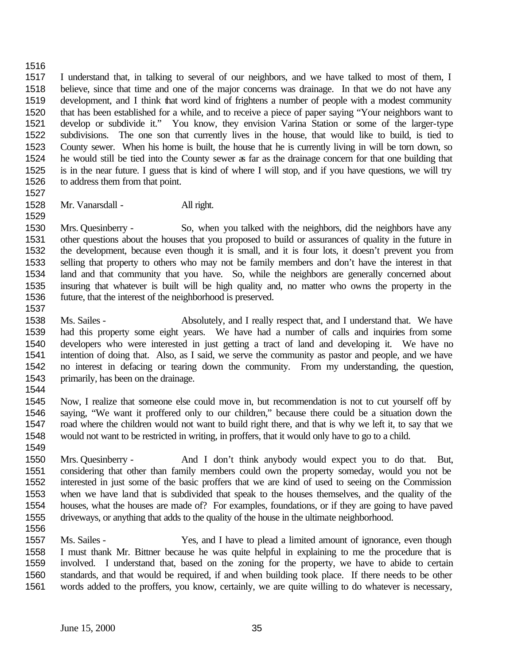### 

 I understand that, in talking to several of our neighbors, and we have talked to most of them, I believe, since that time and one of the major concerns was drainage. In that we do not have any development, and I think that word kind of frightens a number of people with a modest community that has been established for a while, and to receive a piece of paper saying "Your neighbors want to develop or subdivide it." You know, they envision Varina Station or some of the larger-type subdivisions. The one son that currently lives in the house, that would like to build, is tied to County sewer. When his home is built, the house that he is currently living in will be torn down, so he would still be tied into the County sewer as far as the drainage concern for that one building that is in the near future. I guess that is kind of where I will stop, and if you have questions, we will try to address them from that point.

Mr. Vanarsdall - All right.

 Mrs. Quesinberry - So, when you talked with the neighbors, did the neighbors have any other questions about the houses that you proposed to build or assurances of quality in the future in the development, because even though it is small, and it is four lots, it doesn't prevent you from selling that property to others who may not be family members and don't have the interest in that land and that community that you have. So, while the neighbors are generally concerned about insuring that whatever is built will be high quality and, no matter who owns the property in the future, that the interest of the neighborhood is preserved.

- Ms. Sailes Absolutely, and I really respect that, and I understand that. We have had this property some eight years. We have had a number of calls and inquiries from some developers who were interested in just getting a tract of land and developing it. We have no intention of doing that. Also, as I said, we serve the community as pastor and people, and we have no interest in defacing or tearing down the community. From my understanding, the question, primarily, has been on the drainage.
- 

 Now, I realize that someone else could move in, but recommendation is not to cut yourself off by saying, "We want it proffered only to our children," because there could be a situation down the road where the children would not want to build right there, and that is why we left it, to say that we would not want to be restricted in writing, in proffers, that it would only have to go to a child.

 Mrs. Quesinberry - And I don't think anybody would expect you to do that. But, considering that other than family members could own the property someday, would you not be interested in just some of the basic proffers that we are kind of used to seeing on the Commission when we have land that is subdivided that speak to the houses themselves, and the quality of the houses, what the houses are made of? For examples, foundations, or if they are going to have paved driveways, or anything that adds to the quality of the house in the ultimate neighborhood.

 Ms. Sailes - Yes, and I have to plead a limited amount of ignorance, even though I must thank Mr. Bittner because he was quite helpful in explaining to me the procedure that is involved. I understand that, based on the zoning for the property, we have to abide to certain standards, and that would be required, if and when building took place. If there needs to be other words added to the proffers, you know, certainly, we are quite willing to do whatever is necessary,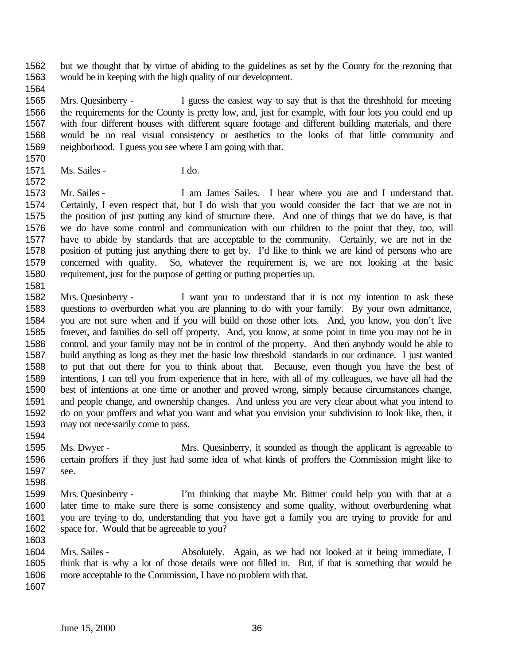but we thought that by virtue of abiding to the guidelines as set by the County for the rezoning that would be in keeping with the high quality of our development.

 Mrs. Quesinberry - I guess the easiest way to say that is that the threshhold for meeting the requirements for the County is pretty low, and, just for example, with four lots you could end up with four different houses with different square footage and different building materials, and there would be no real visual consistency or aesthetics to the looks of that little community and neighborhood. I guess you see where I am going with that.

1571 Ms. Sailes - I do.

 Mr. Sailes - I am James Sailes. I hear where you are and I understand that. Certainly, I even respect that, but I do wish that you would consider the fact that we are not in the position of just putting any kind of structure there. And one of things that we do have, is that we do have some control and communication with our children to the point that they, too, will have to abide by standards that are acceptable to the community. Certainly, we are not in the position of putting just anything there to get by. I'd like to think we are kind of persons who are concerned with quality. So, whatever the requirement is, we are not looking at the basic requirement, just for the purpose of getting or putting properties up.

 Mrs. Quesinberry - I want you to understand that it is not my intention to ask these questions to overburden what you are planning to do with your family. By your own admittance, you are not sure when and if you will build on those other lots. And, you know, you don't live forever, and families do sell off property. And, you know, at some point in time you may not be in control, and your family may not be in control of the property. And then anybody would be able to build anything as long as they met the basic low threshold standards in our ordinance. I just wanted to put that out there for you to think about that. Because, even though you have the best of intentions, I can tell you from experience that in here, with all of my colleagues, we have all had the best of intentions at one time or another and proved wrong, simply because circumstances change, and people change, and ownership changes. And unless you are very clear about what you intend to do on your proffers and what you want and what you envision your subdivision to look like, then, it may not necessarily come to pass.

 Ms. Dwyer - Mrs. Quesinberry, it sounded as though the applicant is agreeable to certain proffers if they just had some idea of what kinds of proffers the Commission might like to see. 

- Mrs. Quesinberry I'm thinking that maybe Mr. Bittner could help you with that at a later time to make sure there is some consistency and some quality, without overburdening what you are trying to do, understanding that you have got a family you are trying to provide for and space for. Would that be agreeable to you?
- Mrs. Sailes Absolutely. Again, as we had not looked at it being immediate, I think that is why a lot of those details were not filled in. But, if that is something that would be more acceptable to the Commission, I have no problem with that.
-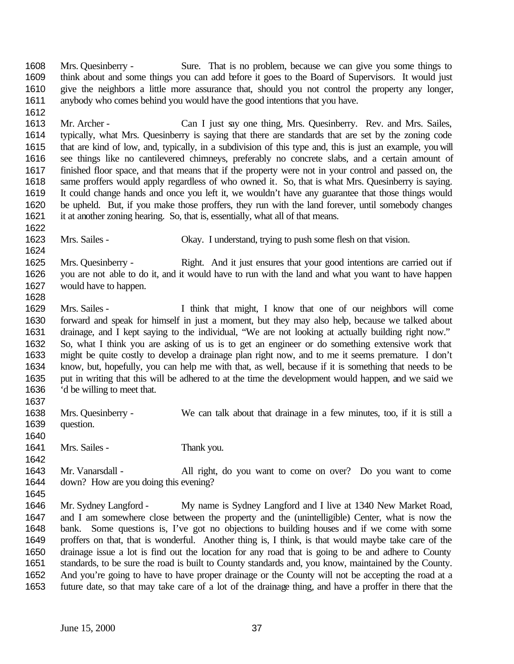Mrs. Quesinberry - Sure. That is no problem, because we can give you some things to think about and some things you can add before it goes to the Board of Supervisors. It would just give the neighbors a little more assurance that, should you not control the property any longer, anybody who comes behind you would have the good intentions that you have.

 Mr. Archer - Can I just say one thing, Mrs. Quesinberry. Rev. and Mrs. Sailes, typically, what Mrs. Quesinberry is saying that there are standards that are set by the zoning code that are kind of low, and, typically, in a subdivision of this type and, this is just an example, you will see things like no cantilevered chimneys, preferably no concrete slabs, and a certain amount of finished floor space, and that means that if the property were not in your control and passed on, the same proffers would apply regardless of who owned it. So, that is what Mrs. Quesinberry is saying. It could change hands and once you left it, we wouldn't have any guarantee that those things would be upheld. But, if you make those proffers, they run with the land forever, until somebody changes it at another zoning hearing. So, that is, essentially, what all of that means.

 Mrs. Sailes - Okay. I understand, trying to push some flesh on that vision. 

 Mrs. Quesinberry - Right. And it just ensures that your good intentions are carried out if you are not able to do it, and it would have to run with the land and what you want to have happen would have to happen. 

 Mrs. Sailes - I think that might, I know that one of our neighbors will come forward and speak for himself in just a moment, but they may also help, because we talked about drainage, and I kept saying to the individual, "We are not looking at actually building right now." So, what I think you are asking of us is to get an engineer or do something extensive work that might be quite costly to develop a drainage plan right now, and to me it seems premature. I don't know, but, hopefully, you can help me with that, as well, because if it is something that needs to be put in writing that this will be adhered to at the time the development would happen, and we said we 'd be willing to meet that.

 Mrs. Quesinberry - We can talk about that drainage in a few minutes, too, if it is still a question.

1641 Mrs. Sailes - Thank you.

 Mr. Vanarsdall - All right, do you want to come on over? Do you want to come down? How are you doing this evening? 

 Mr. Sydney Langford - My name is Sydney Langford and I live at 1340 New Market Road, and I am somewhere close between the property and the (unintelligible) Center, what is now the bank. Some questions is, I've got no objections to building houses and if we come with some proffers on that, that is wonderful. Another thing is, I think, is that would maybe take care of the drainage issue a lot is find out the location for any road that is going to be and adhere to County standards, to be sure the road is built to County standards and, you know, maintained by the County. And you're going to have to have proper drainage or the County will not be accepting the road at a future date, so that may take care of a lot of the drainage thing, and have a proffer in there that the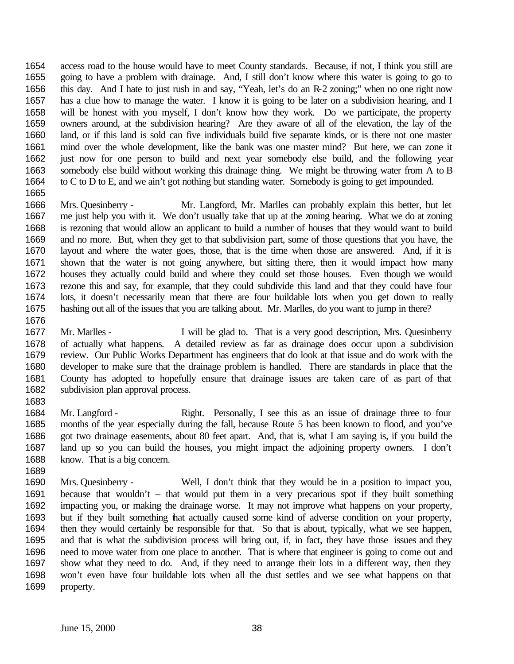access road to the house would have to meet County standards. Because, if not, I think you still are going to have a problem with drainage. And, I still don't know where this water is going to go to this day. And I hate to just rush in and say, "Yeah, let's do an R-2 zoning;" when no one right now has a clue how to manage the water. I know it is going to be later on a subdivision hearing, and I will be honest with you myself, I don't know how they work. Do we participate, the property owners around, at the subdivision hearing? Are they aware of all of the elevation, the lay of the land, or if this land is sold can five individuals build five separate kinds, or is there not one master mind over the whole development, like the bank was one master mind? But here, we can zone it just now for one person to build and next year somebody else build, and the following year somebody else build without working this drainage thing. We might be throwing water from A to B to C to D to E, and we ain't got nothing but standing water. Somebody is going to get impounded. 

 Mrs. Quesinberry - Mr. Langford, Mr. Marlles can probably explain this better, but let me just help you with it. We don't usually take that up at the zoning hearing. What we do at zoning is rezoning that would allow an applicant to build a number of houses that they would want to build and no more. But, when they get to that subdivision part, some of those questions that you have, the layout and where the water goes, those, that is the time when those are answered. And, if it is shown that the water is not going anywhere, but sitting there, then it would impact how many houses they actually could build and where they could set those houses. Even though we would rezone this and say, for example, that they could subdivide this land and that they could have four lots, it doesn't necessarily mean that there are four buildable lots when you get down to really hashing out all of the issues that you are talking about. Mr. Marlles, do you want to jump in there?

- Mr. Marlles I will be glad to. That is a very good description, Mrs. Quesinberry of actually what happens. A detailed review as far as drainage does occur upon a subdivision review. Our Public Works Department has engineers that do look at that issue and do work with the developer to make sure that the drainage problem is handled. There are standards in place that the County has adopted to hopefully ensure that drainage issues are taken care of as part of that subdivision plan approval process.
- Mr. Langford Right. Personally, I see this as an issue of drainage three to four months of the year especially during the fall, because Route 5 has been known to flood, and you've got two drainage easements, about 80 feet apart. And, that is, what I am saying is, if you build the land up so you can build the houses, you might impact the adjoining property owners. I don't know. That is a big concern.
- Mrs. Quesinberry Well, I don't think that they would be in a position to impact you, because that wouldn't – that would put them in a very precarious spot if they built something impacting you, or making the drainage worse. It may not improve what happens on your property, but if they built something that actually caused some kind of adverse condition on your property, then they would certainly be responsible for that. So that is about, typically, what we see happen, and that is what the subdivision process will bring out, if, in fact, they have those issues and they need to move water from one place to another. That is where that engineer is going to come out and show what they need to do. And, if they need to arrange their lots in a different way, then they won't even have four buildable lots when all the dust settles and we see what happens on that property.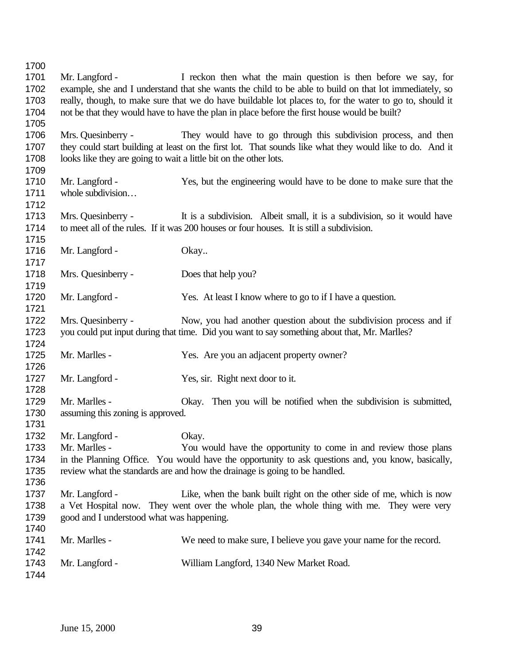Mr. Langford - I reckon then what the main question is then before we say, for example, she and I understand that she wants the child to be able to build on that lot immediately, so really, though, to make sure that we do have buildable lot places to, for the water to go to, should it not be that they would have to have the plan in place before the first house would be built? Mrs. Quesinberry - They would have to go through this subdivision process, and then they could start building at least on the first lot. That sounds like what they would like to do. And it looks like they are going to wait a little bit on the other lots. Mr. Langford - Yes, but the engineering would have to be done to make sure that the whole subdivision… Mrs. Quesinberry - It is a subdivision. Albeit small, it is a subdivision, so it would have to meet all of the rules. If it was 200 houses or four houses. It is still a subdivision. 1716 Mr. Langford - Okay.. Mrs. Quesinberry - Does that help you? 1720 Mr. Langford - Yes. At least I know where to go to if I have a question. Mrs. Quesinberry - Now, you had another question about the subdivision process and if you could put input during that time. Did you want to say something about that, Mr. Marlles? Mr. Marlles - Yes. Are you an adjacent property owner? Mr. Langford - Yes, sir. Right next door to it. Mr. Marlles - Okay. Then you will be notified when the subdivision is submitted, assuming this zoning is approved. Mr. Langford - Okay. Mr. Marlles - You would have the opportunity to come in and review those plans in the Planning Office. You would have the opportunity to ask questions and, you know, basically, review what the standards are and how the drainage is going to be handled. Mr. Langford - Like, when the bank built right on the other side of me, which is now a Vet Hospital now. They went over the whole plan, the whole thing with me. They were very good and I understood what was happening. Mr. Marlles - We need to make sure, I believe you gave your name for the record. Mr. Langford - William Langford, 1340 New Market Road.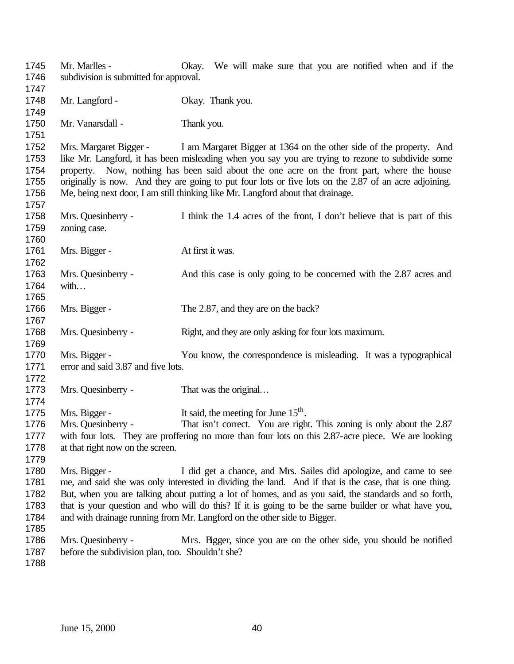Mr. Marlles - Okay. We will make sure that you are notified when and if the subdivision is submitted for approval. 1748 Mr. Langford - Okay. Thank you. 1750 Mr. Vanarsdall - Thank you. Mrs. Margaret Bigger - I am Margaret Bigger at 1364 on the other side of the property. And like Mr. Langford, it has been misleading when you say you are trying to rezone to subdivide some property. Now, nothing has been said about the one acre on the front part, where the house originally is now. And they are going to put four lots or five lots on the 2.87 of an acre adjoining. Me, being next door, I am still thinking like Mr. Langford about that drainage. Mrs. Quesinberry - I think the 1.4 acres of the front, I don't believe that is part of this zoning case. 1761 Mrs. Bigger - At first it was. Mrs. Quesinberry - And this case is only going to be concerned with the 2.87 acres and with… 1766 Mrs. Bigger - The 2.87, and they are on the back? 1768 Mrs. Quesinberry - Right, and they are only asking for four lots maximum. Mrs. Bigger - You know, the correspondence is misleading. It was a typographical 1771 error and said 3.87 and five lots. 1773 Mrs. Quesinberry - That was the original... 1775 Mrs. Bigger - It said, the meeting for June  $15^{th}$ . 1776 Mrs. Quesinberry - That isn't correct. You are right. This zoning is only about the 2.87 with four lots. They are proffering no more than four lots on this 2.87-acre piece. We are looking at that right now on the screen. Mrs. Bigger - I did get a chance, and Mrs. Sailes did apologize, and came to see me, and said she was only interested in dividing the land. And if that is the case, that is one thing. But, when you are talking about putting a lot of homes, and as you said, the standards and so forth, that is your question and who will do this? If it is going to be the same builder or what have you, and with drainage running from Mr. Langford on the other side to Bigger. Mrs. Quesinberry - Mrs. Bigger, since you are on the other side, you should be notified before the subdivision plan, too. Shouldn't she?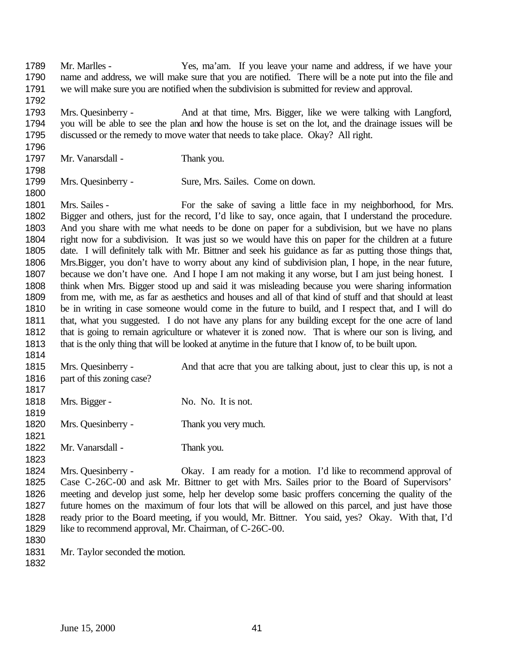Mr. Marlles - Yes, ma'am. If you leave your name and address, if we have your name and address, we will make sure that you are notified. There will be a note put into the file and we will make sure you are notified when the subdivision is submitted for review and approval. Mrs. Quesinberry - And at that time, Mrs. Bigger, like we were talking with Langford, you will be able to see the plan and how the house is set on the lot, and the drainage issues will be discussed or the remedy to move water that needs to take place. Okay? All right. 1797 Mr. Vanarsdall - Thank you. Mrs. Quesinberry - Sure, Mrs. Sailes. Come on down. Mrs. Sailes - For the sake of saving a little face in my neighborhood, for Mrs. Bigger and others, just for the record, I'd like to say, once again, that I understand the procedure. And you share with me what needs to be done on paper for a subdivision, but we have no plans right now for a subdivision. It was just so we would have this on paper for the children at a future date. I will definitely talk with Mr. Bittner and seek his guidance as far as putting those things that, Mrs.Bigger, you don't have to worry about any kind of subdivision plan, I hope, in the near future, 1807 because we don't have one. And I hope I am not making it any worse, but I am just being honest. I think when Mrs. Bigger stood up and said it was misleading because you were sharing information from me, with me, as far as aesthetics and houses and all of that kind of stuff and that should at least be in writing in case someone would come in the future to build, and I respect that, and I will do that, what you suggested. I do not have any plans for any building except for the one acre of land that is going to remain agriculture or whatever it is zoned now. That is where our son is living, and that is the only thing that will be looked at anytime in the future that I know of, to be built upon. Mrs. Quesinberry - And that acre that you are talking about, just to clear this up, is not a 1816 part of this zoning case? 1818 Mrs. Bigger - No. No. It is not. Mrs. Quesinberry - Thank you very much. 1822 Mr. Vanarsdall - Thank you. Mrs. Quesinberry - Okay. I am ready for a motion. I'd like to recommend approval of Case C-26C-00 and ask Mr. Bittner to get with Mrs. Sailes prior to the Board of Supervisors' meeting and develop just some, help her develop some basic proffers concerning the quality of the future homes on the maximum of four lots that will be allowed on this parcel, and just have those ready prior to the Board meeting, if you would, Mr. Bittner. You said, yes? Okay. With that, I'd 1829 like to recommend approval, Mr. Chairman, of C-26C-00. Mr. Taylor seconded the motion.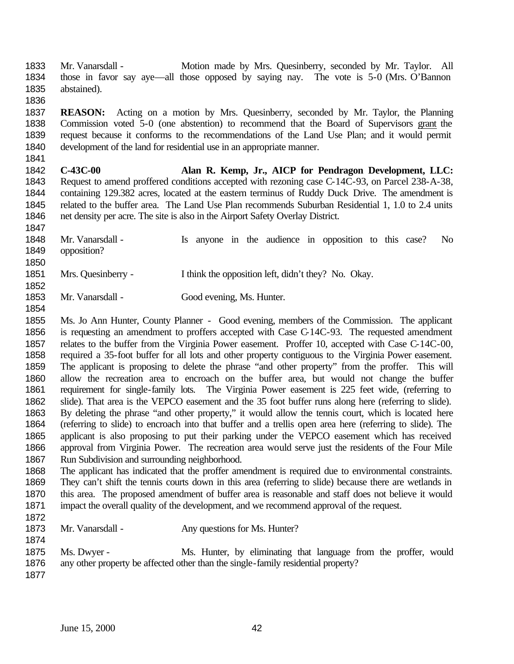Mr. Vanarsdall - Motion made by Mrs. Quesinberry, seconded by Mr. Taylor. All those in favor say aye—all those opposed by saying nay. The vote is 5-0 (Mrs. O'Bannon abstained).

 **REASON:** Acting on a motion by Mrs. Quesinberry, seconded by Mr. Taylor, the Planning Commission voted 5-0 (one abstention) to recommend that the Board of Supervisors grant the request because it conforms to the recommendations of the Land Use Plan; and it would permit development of the land for residential use in an appropriate manner.

- **C-43C-00 Alan R. Kemp, Jr., AICP for Pendragon Development, LLC:** Request to amend proffered conditions accepted with rezoning case C-14C-93, on Parcel 238-A-38, containing 129.382 acres, located at the eastern terminus of Ruddy Duck Drive. The amendment is related to the buffer area. The Land Use Plan recommends Suburban Residential 1, 1.0 to 2.4 units net density per acre. The site is also in the Airport Safety Overlay District.
- Mr. Vanarsdall Is anyone in the audience in opposition to this case? No opposition?
- Mrs. Quesinberry I think the opposition left, didn't they? No. Okay.
- Mr. Vanarsdall Good evening, Ms. Hunter.
- Ms. Jo Ann Hunter, County Planner Good evening, members of the Commission. The applicant is requesting an amendment to proffers accepted with Case C-14C-93. The requested amendment relates to the buffer from the Virginia Power easement. Proffer 10, accepted with Case C-14C-00, required a 35-foot buffer for all lots and other property contiguous to the Virginia Power easement. The applicant is proposing to delete the phrase "and other property" from the proffer. This will allow the recreation area to encroach on the buffer area, but would not change the buffer requirement for single-family lots. The Virginia Power easement is 225 feet wide, (referring to slide). That area is the VEPCO easement and the 35 foot buffer runs along here (referring to slide). By deleting the phrase "and other property," it would allow the tennis court, which is located here (referring to slide) to encroach into that buffer and a trellis open area here (referring to slide). The applicant is also proposing to put their parking under the VEPCO easement which has received approval from Virginia Power. The recreation area would serve just the residents of the Four Mile Run Subdivision and surrounding neighborhood.
- The applicant has indicated that the proffer amendment is required due to environmental constraints. They can't shift the tennis courts down in this area (referring to slide) because there are wetlands in this area. The proposed amendment of buffer area is reasonable and staff does not believe it would impact the overall quality of the development, and we recommend approval of the request.
- 
- 1873 Mr. Vanarsdall Any questions for Ms. Hunter?
- Ms. Dwyer Ms. Hunter, by eliminating that language from the proffer, would any other property be affected other than the single-family residential property?
-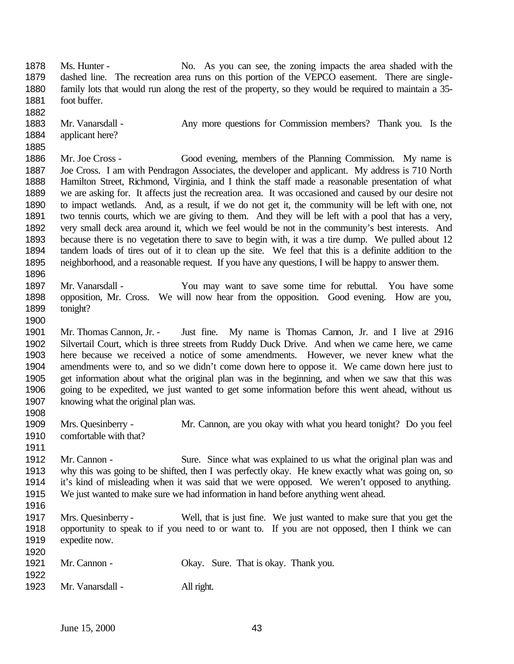Ms. Hunter - No. As you can see, the zoning impacts the area shaded with the dashed line. The recreation area runs on this portion of the VEPCO easement. There are single- family lots that would run along the rest of the property, so they would be required to maintain a 35- foot buffer. 1883 Mr. Vanarsdall - Any more questions for Commission members? Thank you. Is the applicant here? Mr. Joe Cross - Good evening, members of the Planning Commission. My name is Joe Cross. I am with Pendragon Associates, the developer and applicant. My address is 710 North Hamilton Street, Richmond, Virginia, and I think the staff made a reasonable presentation of what we are asking for. It affects just the recreation area. It was occasioned and caused by our desire not to impact wetlands. And, as a result, if we do not get it, the community will be left with one, not two tennis courts, which we are giving to them. And they will be left with a pool that has a very, very small deck area around it, which we feel would be not in the community's best interests. And because there is no vegetation there to save to begin with, it was a tire dump. We pulled about 12 tandem loads of tires out of it to clean up the site. We feel that this is a definite addition to the neighborhood, and a reasonable request. If you have any questions, I will be happy to answer them. Mr. Vanarsdall - You may want to save some time for rebuttal. You have some opposition, Mr. Cross. We will now hear from the opposition. Good evening. How are you, tonight? Mr. Thomas Cannon, Jr. - Just fine. My name is Thomas Cannon, Jr. and I live at 2916 Silvertail Court, which is three streets from Ruddy Duck Drive. And when we came here, we came here because we received a notice of some amendments. However, we never knew what the amendments were to, and so we didn't come down here to oppose it. We came down here just to get information about what the original plan was in the beginning, and when we saw that this was going to be expedited, we just wanted to get some information before this went ahead, without us knowing what the original plan was. Mrs. Quesinberry - Mr. Cannon, are you okay with what you heard tonight? Do you feel comfortable with that? Mr. Cannon - Sure. Since what was explained to us what the original plan was and why this was going to be shifted, then I was perfectly okay. He knew exactly what was going on, so it's kind of misleading when it was said that we were opposed. We weren't opposed to anything. We just wanted to make sure we had information in hand before anything went ahead. Mrs. Quesinberry - Well, that is just fine. We just wanted to make sure that you get the opportunity to speak to if you need to or want to. If you are not opposed, then I think we can expedite now. Mr. Cannon - Okay. Sure. That is okay. Thank you. Mr. Vanarsdall - All right.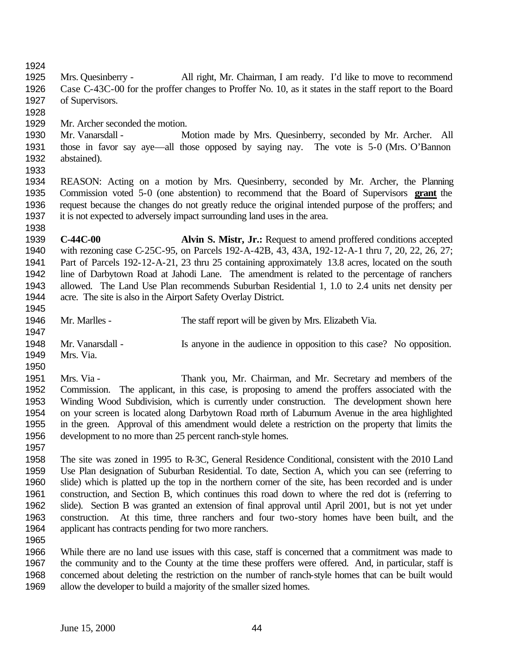Mrs. Quesinberry - All right, Mr. Chairman, I am ready. I'd like to move to recommend Case C-43C-00 for the proffer changes to Proffer No. 10, as it states in the staff report to the Board of Supervisors.

Mr. Archer seconded the motion.

 Mr. Vanarsdall - Motion made by Mrs. Quesinberry, seconded by Mr. Archer. All those in favor say aye—all those opposed by saying nay. The vote is 5-0 (Mrs. O'Bannon abstained).

 REASON: Acting on a motion by Mrs. Quesinberry, seconded by Mr. Archer, the Planning Commission voted 5-0 (one abstention) to recommend that the Board of Supervisors **grant** the request because the changes do not greatly reduce the original intended purpose of the proffers; and it is not expected to adversely impact surrounding land uses in the area. 

 **C-44C-00 Alvin S. Mistr, Jr.:** Request to amend proffered conditions accepted with rezoning case C-25C-95, on Parcels 192-A-42B, 43, 43A, 192-12-A-1 thru 7, 20, 22, 26, 27; Part of Parcels 192-12-A-21, 23 thru 25 containing approximately 13.8 acres, located on the south line of Darbytown Road at Jahodi Lane. The amendment is related to the percentage of ranchers allowed. The Land Use Plan recommends Suburban Residential 1, 1.0 to 2.4 units net density per acre. The site is also in the Airport Safety Overlay District.

- Mr. Marlles The staff report will be given by Mrs. Elizabeth Via. Mr. Vanarsdall - Is anyone in the audience in opposition to this case? No opposition.
- Mrs. Via.

 Mrs. Via - Thank you, Mr. Chairman, and Mr. Secretary and members of the Commission. The applicant, in this case, is proposing to amend the proffers associated with the Winding Wood Subdivision, which is currently under construction. The development shown here on your screen is located along Darbytown Road north of Laburnum Avenue in the area highlighted in the green. Approval of this amendment would delete a restriction on the property that limits the development to no more than 25 percent ranch-style homes. 

 The site was zoned in 1995 to R-3C, General Residence Conditional, consistent with the 2010 Land Use Plan designation of Suburban Residential. To date, Section A, which you can see (referring to slide) which is platted up the top in the northern corner of the site, has been recorded and is under construction, and Section B, which continues this road down to where the red dot is (referring to slide). Section B was granted an extension of final approval until April 2001, but is not yet under construction. At this time, three ranchers and four two-story homes have been built, and the applicant has contracts pending for two more ranchers.

1966 While there are no land use issues with this case, staff is concerned that a commitment was made to 1967 the community and to the County at the time these proffers were offered. And, in particular, staff is the community and to the County at the time these proffers were offered. And, in particular, staff is concerned about deleting the restriction on the number of ranch-style homes that can be built would allow the developer to build a majority of the smaller sized homes.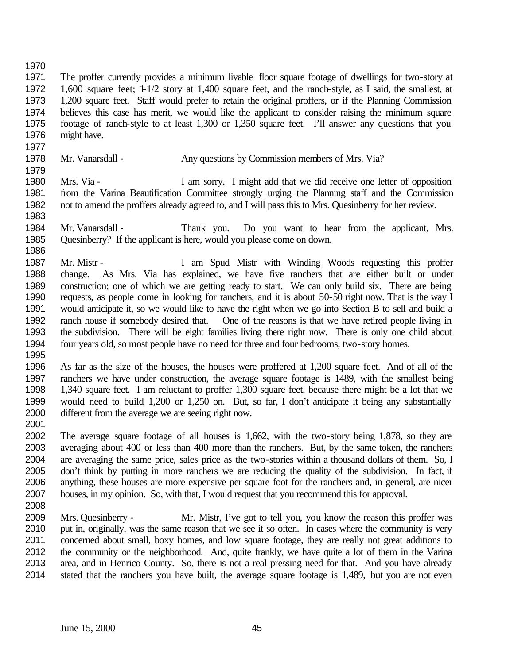The proffer currently provides a minimum livable floor square footage of dwellings for two-story at 1,600 square feet; 1-1/2 story at 1,400 square feet, and the ranch-style, as I said, the smallest, at 1,200 square feet. Staff would prefer to retain the original proffers, or if the Planning Commission believes this case has merit, we would like the applicant to consider raising the minimum square footage of ranch-style to at least 1,300 or 1,350 square feet. I'll answer any questions that you might have.

- 1978 Mr. Vanarsdall - Any questions by Commission members of Mrs. Via?
- Mrs. Via I am sorry. I might add that we did receive one letter of opposition from the Varina Beautification Committee strongly urging the Planning staff and the Commission not to amend the proffers already agreed to, and I will pass this to Mrs. Quesinberry for her review.
- Mr. Vanarsdall Thank you. Do you want to hear from the applicant, Mrs. Quesinberry? If the applicant is here, would you please come on down.
- Mr. Mistr I am Spud Mistr with Winding Woods requesting this proffer change. As Mrs. Via has explained, we have five ranchers that are either built or under construction; one of which we are getting ready to start. We can only build six. There are being requests, as people come in looking for ranchers, and it is about 50-50 right now. That is the way I would anticipate it, so we would like to have the right when we go into Section B to sell and build a ranch house if somebody desired that. One of the reasons is that we have retired people living in the subdivision. There will be eight families living there right now. There is only one child about four years old, so most people have no need for three and four bedrooms, two-story homes.
- 

- As far as the size of the houses, the houses were proffered at 1,200 square feet. And of all of the ranchers we have under construction, the average square footage is 1489, with the smallest being 1,340 square feet. I am reluctant to proffer 1,300 square feet, because there might be a lot that we would need to build 1,200 or 1,250 on. But, so far, I don't anticipate it being any substantially different from the average we are seeing right now.
- 

 The average square footage of all houses is 1,662, with the two-story being 1,878, so they are averaging about 400 or less than 400 more than the ranchers. But, by the same token, the ranchers are averaging the same price, sales price as the two-stories within a thousand dollars of them. So, I don't think by putting in more ranchers we are reducing the quality of the subdivision. In fact, if anything, these houses are more expensive per square foot for the ranchers and, in general, are nicer houses, in my opinion. So, with that, I would request that you recommend this for approval.

- 
- Mrs. Quesinberry Mr. Mistr, I've got to tell you, you know the reason this proffer was put in, originally, was the same reason that we see it so often. In cases where the community is very concerned about small, boxy homes, and low square footage, they are really not great additions to the community or the neighborhood. And, quite frankly, we have quite a lot of them in the Varina area, and in Henrico County. So, there is not a real pressing need for that. And you have already stated that the ranchers you have built, the average square footage is 1,489, but you are not even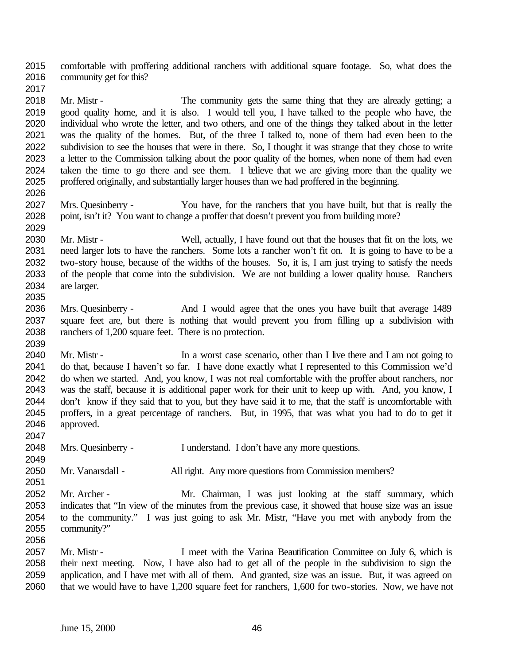comfortable with proffering additional ranchers with additional square footage. So, what does the community get for this?

 Mr. Mistr - The community gets the same thing that they are already getting; a good quality home, and it is also. I would tell you, I have talked to the people who have, the individual who wrote the letter, and two others, and one of the things they talked about in the letter was the quality of the homes. But, of the three I talked to, none of them had even been to the subdivision to see the houses that were in there. So, I thought it was strange that they chose to write a letter to the Commission talking about the poor quality of the homes, when none of them had even taken the time to go there and see them. I believe that we are giving more than the quality we proffered originally, and substantially larger houses than we had proffered in the beginning.

 Mrs. Quesinberry - You have, for the ranchers that you have built, but that is really the point, isn't it? You want to change a proffer that doesn't prevent you from building more? 

 Mr. Mistr - Well, actually, I have found out that the houses that fit on the lots, we need larger lots to have the ranchers. Some lots a rancher won't fit on. It is going to have to be a two-story house, because of the widths of the houses. So, it is, I am just trying to satisfy the needs of the people that come into the subdivision. We are not building a lower quality house. Ranchers are larger.

- Mrs. Quesinberry And I would agree that the ones you have built that average 1489 square feet are, but there is nothing that would prevent you from filling up a subdivision with ranchers of 1,200 square feet. There is no protection.
- 2040 Mr. Mistr In a worst case scenario, other than I live there and I am not going to do that, because I haven't so far. I have done exactly what I represented to this Commission we'd do when we started. And, you know, I was not real comfortable with the proffer about ranchers, nor was the staff, because it is additional paper work for their unit to keep up with. And, you know, I don't know if they said that to you, but they have said it to me, that the staff is uncomfortable with proffers, in a great percentage of ranchers. But, in 1995, that was what you had to do to get it approved.
- Mrs. Quesinberry I understand. I don't have any more questions.
- 2050 Mr. Vanarsdall All right. Any more questions from Commission members?
- Mr. Archer Mr. Chairman, I was just looking at the staff summary, which indicates that "In view of the minutes from the previous case, it showed that house size was an issue to the community." I was just going to ask Mr. Mistr, "Have you met with anybody from the community?"
- Mr. Mistr I meet with the Varina Beautification Committee on July 6, which is their next meeting. Now, I have also had to get all of the people in the subdivision to sign the application, and I have met with all of them. And granted, size was an issue. But, it was agreed on that we would have to have 1,200 square feet for ranchers, 1,600 for two-stories. Now, we have not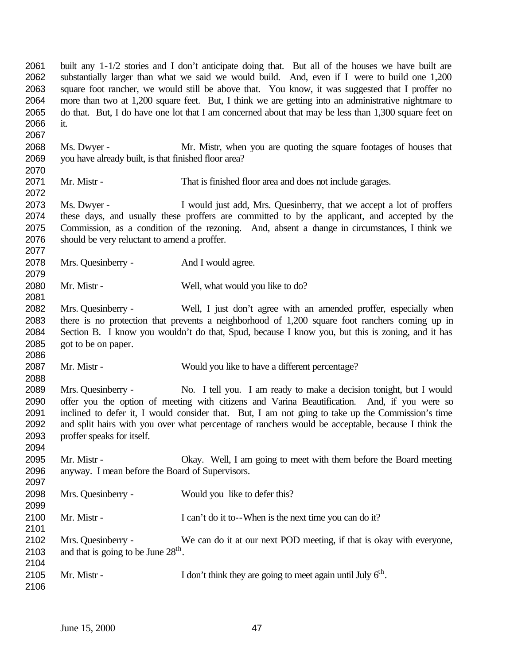built any 1-1/2 stories and I don't anticipate doing that. But all of the houses we have built are substantially larger than what we said we would build. And, even if I were to build one 1,200 square foot rancher, we would still be above that. You know, it was suggested that I proffer no more than two at 1,200 square feet. But, I think we are getting into an administrative nightmare to 2065 do that. But, I do have one lot that I am concerned about that may be less than 1,300 square feet on it.

- Ms. Dwyer Mr. Mistr, when you are quoting the square footages of houses that you have already built, is that finished floor area?
- Mr. Mistr That is finished floor area and does not include garages.

 Ms. Dwyer - I would just add, Mrs. Quesinberry, that we accept a lot of proffers these days, and usually these proffers are committed to by the applicant, and accepted by the 2075 Commission, as a condition of the rezoning. And, absent a change in circumstances, I think we should be very reluctant to amend a proffer.

2078 Mrs. Quesinberry - And I would agree. 

2080 Mr. Mistr - Well, what would you like to do?

- Mrs. Quesinberry Well, I just don't agree with an amended proffer, especially when there is no protection that prevents a neighborhood of 1,200 square foot ranchers coming up in Section B. I know you wouldn't do that, Spud, because I know you, but this is zoning, and it has got to be on paper.
- 2087 Mr. Mistr Would you like to have a different percentage?

 Mrs. Quesinberry - No. I tell you. I am ready to make a decision tonight, but I would offer you the option of meeting with citizens and Varina Beautification. And, if you were so inclined to defer it, I would consider that. But, I am not going to take up the Commission's time and split hairs with you over what percentage of ranchers would be acceptable, because I think the proffer speaks for itself.

 Mr. Mistr - Okay. Well, I am going to meet with them before the Board meeting anyway. I mean before the Board of Supervisors.

 Mrs. Quesinberry - Would you like to defer this? 2100 Mr. Mistr - I can't do it to--When is the next time you can do it? Mrs. Quesinberry - We can do it at our next POD meeting, if that is okay with everyone, 2103 and that is going to be June  $28<sup>th</sup>$ . 2105 Mr. Mistr - I don't think they are going to meet again until July  $6<sup>th</sup>$ .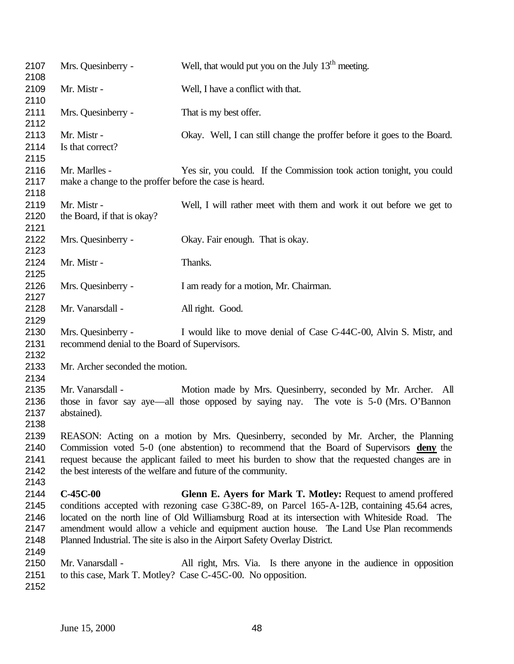| 2109<br>Mr. Mistr -<br>Well, I have a conflict with that.<br>2110<br>2111<br>Mrs. Quesinberry -<br>That is my best offer.<br>2112<br>2113<br>Mr. Mistr -<br>Okay. Well, I can still change the proffer before it goes to the Board.<br>2114<br>Is that correct?<br>2115<br>2116<br>Mr. Marlles -<br>Yes sir, you could. If the Commission took action tonight, you could<br>2117<br>make a change to the proffer before the case is heard.<br>2118<br>2119<br>Mr. Mistr -<br>Well, I will rather meet with them and work it out before we get to<br>2120<br>the Board, if that is okay?<br>2121<br>2122<br>Mrs. Quesinberry -<br>Okay. Fair enough. That is okay.<br>2123<br>2124<br>Mr. Mistr -<br>Thanks.<br>2125<br>2126<br>Mrs. Quesinberry -<br>I am ready for a motion, Mr. Chairman.<br>2127<br>2128<br>Mr. Vanarsdall -<br>All right. Good.<br>2129<br>2130<br>Mrs. Quesinberry -<br>I would like to move denial of Case C-44C-00, Alvin S. Mistr, and<br>2131<br>recommend denial to the Board of Supervisors.<br>2132<br>2133<br>Mr. Archer seconded the motion.<br>2134<br>2135<br>Mr. Vanarsdall -<br>Motion made by Mrs. Quesinberry, seconded by Mr. Archer. All<br>2136<br>those in favor say aye—all those opposed by saying nay. The vote is 5-0 (Mrs. O'Bannon<br>2137<br>abstained).<br>2138<br>REASON: Acting on a motion by Mrs. Quesinberry, seconded by Mr. Archer, the Planning<br>2139<br>2140<br>Commission voted 5-0 (one abstention) to recommend that the Board of Supervisors deny the<br>2141<br>request because the applicant failed to meet his burden to show that the requested changes are in<br>2142<br>the best interests of the welfare and future of the community.<br>2143<br>$C-45C-00$<br>2144<br>Glenn E. Ayers for Mark T. Motley: Request to amend proffered<br>conditions accepted with rezoning case C38C-89, on Parcel 165-A-12B, containing 45.64 acres,<br>2145<br>2146<br>located on the north line of Old Williamsburg Road at its intersection with Whiteside Road. The<br>amendment would allow a vehicle and equipment auction house. The Land Use Plan recommends<br>2147<br>2148<br>Planned Industrial. The site is also in the Airport Safety Overlay District.<br>2149<br>2150<br>Mr. Vanarsdall -<br>All right, Mrs. Via. Is there anyone in the audience in opposition<br>2151<br>to this case, Mark T. Motley? Case C-45C-00. No opposition.<br>2152 | 2107<br>2108 | Mrs. Quesinberry - | Well, that would put you on the July $13th$ meeting. |
|---------------------------------------------------------------------------------------------------------------------------------------------------------------------------------------------------------------------------------------------------------------------------------------------------------------------------------------------------------------------------------------------------------------------------------------------------------------------------------------------------------------------------------------------------------------------------------------------------------------------------------------------------------------------------------------------------------------------------------------------------------------------------------------------------------------------------------------------------------------------------------------------------------------------------------------------------------------------------------------------------------------------------------------------------------------------------------------------------------------------------------------------------------------------------------------------------------------------------------------------------------------------------------------------------------------------------------------------------------------------------------------------------------------------------------------------------------------------------------------------------------------------------------------------------------------------------------------------------------------------------------------------------------------------------------------------------------------------------------------------------------------------------------------------------------------------------------------------------------------------------------------------------------------------------------------------------------------------------------------------------------------------------------------------------------------------------------------------------------------------------------------------------------------------------------------------------------------------------------------------------------------------------------------------------------------------------------------------------------------------------------------------------------------------|--------------|--------------------|------------------------------------------------------|
|                                                                                                                                                                                                                                                                                                                                                                                                                                                                                                                                                                                                                                                                                                                                                                                                                                                                                                                                                                                                                                                                                                                                                                                                                                                                                                                                                                                                                                                                                                                                                                                                                                                                                                                                                                                                                                                                                                                                                                                                                                                                                                                                                                                                                                                                                                                                                                                                                     |              |                    |                                                      |
|                                                                                                                                                                                                                                                                                                                                                                                                                                                                                                                                                                                                                                                                                                                                                                                                                                                                                                                                                                                                                                                                                                                                                                                                                                                                                                                                                                                                                                                                                                                                                                                                                                                                                                                                                                                                                                                                                                                                                                                                                                                                                                                                                                                                                                                                                                                                                                                                                     |              |                    |                                                      |
|                                                                                                                                                                                                                                                                                                                                                                                                                                                                                                                                                                                                                                                                                                                                                                                                                                                                                                                                                                                                                                                                                                                                                                                                                                                                                                                                                                                                                                                                                                                                                                                                                                                                                                                                                                                                                                                                                                                                                                                                                                                                                                                                                                                                                                                                                                                                                                                                                     |              |                    |                                                      |
|                                                                                                                                                                                                                                                                                                                                                                                                                                                                                                                                                                                                                                                                                                                                                                                                                                                                                                                                                                                                                                                                                                                                                                                                                                                                                                                                                                                                                                                                                                                                                                                                                                                                                                                                                                                                                                                                                                                                                                                                                                                                                                                                                                                                                                                                                                                                                                                                                     |              |                    |                                                      |
|                                                                                                                                                                                                                                                                                                                                                                                                                                                                                                                                                                                                                                                                                                                                                                                                                                                                                                                                                                                                                                                                                                                                                                                                                                                                                                                                                                                                                                                                                                                                                                                                                                                                                                                                                                                                                                                                                                                                                                                                                                                                                                                                                                                                                                                                                                                                                                                                                     |              |                    |                                                      |
|                                                                                                                                                                                                                                                                                                                                                                                                                                                                                                                                                                                                                                                                                                                                                                                                                                                                                                                                                                                                                                                                                                                                                                                                                                                                                                                                                                                                                                                                                                                                                                                                                                                                                                                                                                                                                                                                                                                                                                                                                                                                                                                                                                                                                                                                                                                                                                                                                     |              |                    |                                                      |
|                                                                                                                                                                                                                                                                                                                                                                                                                                                                                                                                                                                                                                                                                                                                                                                                                                                                                                                                                                                                                                                                                                                                                                                                                                                                                                                                                                                                                                                                                                                                                                                                                                                                                                                                                                                                                                                                                                                                                                                                                                                                                                                                                                                                                                                                                                                                                                                                                     |              |                    |                                                      |
|                                                                                                                                                                                                                                                                                                                                                                                                                                                                                                                                                                                                                                                                                                                                                                                                                                                                                                                                                                                                                                                                                                                                                                                                                                                                                                                                                                                                                                                                                                                                                                                                                                                                                                                                                                                                                                                                                                                                                                                                                                                                                                                                                                                                                                                                                                                                                                                                                     |              |                    |                                                      |
|                                                                                                                                                                                                                                                                                                                                                                                                                                                                                                                                                                                                                                                                                                                                                                                                                                                                                                                                                                                                                                                                                                                                                                                                                                                                                                                                                                                                                                                                                                                                                                                                                                                                                                                                                                                                                                                                                                                                                                                                                                                                                                                                                                                                                                                                                                                                                                                                                     |              |                    |                                                      |
|                                                                                                                                                                                                                                                                                                                                                                                                                                                                                                                                                                                                                                                                                                                                                                                                                                                                                                                                                                                                                                                                                                                                                                                                                                                                                                                                                                                                                                                                                                                                                                                                                                                                                                                                                                                                                                                                                                                                                                                                                                                                                                                                                                                                                                                                                                                                                                                                                     |              |                    |                                                      |
|                                                                                                                                                                                                                                                                                                                                                                                                                                                                                                                                                                                                                                                                                                                                                                                                                                                                                                                                                                                                                                                                                                                                                                                                                                                                                                                                                                                                                                                                                                                                                                                                                                                                                                                                                                                                                                                                                                                                                                                                                                                                                                                                                                                                                                                                                                                                                                                                                     |              |                    |                                                      |
|                                                                                                                                                                                                                                                                                                                                                                                                                                                                                                                                                                                                                                                                                                                                                                                                                                                                                                                                                                                                                                                                                                                                                                                                                                                                                                                                                                                                                                                                                                                                                                                                                                                                                                                                                                                                                                                                                                                                                                                                                                                                                                                                                                                                                                                                                                                                                                                                                     |              |                    |                                                      |
|                                                                                                                                                                                                                                                                                                                                                                                                                                                                                                                                                                                                                                                                                                                                                                                                                                                                                                                                                                                                                                                                                                                                                                                                                                                                                                                                                                                                                                                                                                                                                                                                                                                                                                                                                                                                                                                                                                                                                                                                                                                                                                                                                                                                                                                                                                                                                                                                                     |              |                    |                                                      |
|                                                                                                                                                                                                                                                                                                                                                                                                                                                                                                                                                                                                                                                                                                                                                                                                                                                                                                                                                                                                                                                                                                                                                                                                                                                                                                                                                                                                                                                                                                                                                                                                                                                                                                                                                                                                                                                                                                                                                                                                                                                                                                                                                                                                                                                                                                                                                                                                                     |              |                    |                                                      |
|                                                                                                                                                                                                                                                                                                                                                                                                                                                                                                                                                                                                                                                                                                                                                                                                                                                                                                                                                                                                                                                                                                                                                                                                                                                                                                                                                                                                                                                                                                                                                                                                                                                                                                                                                                                                                                                                                                                                                                                                                                                                                                                                                                                                                                                                                                                                                                                                                     |              |                    |                                                      |
|                                                                                                                                                                                                                                                                                                                                                                                                                                                                                                                                                                                                                                                                                                                                                                                                                                                                                                                                                                                                                                                                                                                                                                                                                                                                                                                                                                                                                                                                                                                                                                                                                                                                                                                                                                                                                                                                                                                                                                                                                                                                                                                                                                                                                                                                                                                                                                                                                     |              |                    |                                                      |
|                                                                                                                                                                                                                                                                                                                                                                                                                                                                                                                                                                                                                                                                                                                                                                                                                                                                                                                                                                                                                                                                                                                                                                                                                                                                                                                                                                                                                                                                                                                                                                                                                                                                                                                                                                                                                                                                                                                                                                                                                                                                                                                                                                                                                                                                                                                                                                                                                     |              |                    |                                                      |
|                                                                                                                                                                                                                                                                                                                                                                                                                                                                                                                                                                                                                                                                                                                                                                                                                                                                                                                                                                                                                                                                                                                                                                                                                                                                                                                                                                                                                                                                                                                                                                                                                                                                                                                                                                                                                                                                                                                                                                                                                                                                                                                                                                                                                                                                                                                                                                                                                     |              |                    |                                                      |
|                                                                                                                                                                                                                                                                                                                                                                                                                                                                                                                                                                                                                                                                                                                                                                                                                                                                                                                                                                                                                                                                                                                                                                                                                                                                                                                                                                                                                                                                                                                                                                                                                                                                                                                                                                                                                                                                                                                                                                                                                                                                                                                                                                                                                                                                                                                                                                                                                     |              |                    |                                                      |
|                                                                                                                                                                                                                                                                                                                                                                                                                                                                                                                                                                                                                                                                                                                                                                                                                                                                                                                                                                                                                                                                                                                                                                                                                                                                                                                                                                                                                                                                                                                                                                                                                                                                                                                                                                                                                                                                                                                                                                                                                                                                                                                                                                                                                                                                                                                                                                                                                     |              |                    |                                                      |
|                                                                                                                                                                                                                                                                                                                                                                                                                                                                                                                                                                                                                                                                                                                                                                                                                                                                                                                                                                                                                                                                                                                                                                                                                                                                                                                                                                                                                                                                                                                                                                                                                                                                                                                                                                                                                                                                                                                                                                                                                                                                                                                                                                                                                                                                                                                                                                                                                     |              |                    |                                                      |
|                                                                                                                                                                                                                                                                                                                                                                                                                                                                                                                                                                                                                                                                                                                                                                                                                                                                                                                                                                                                                                                                                                                                                                                                                                                                                                                                                                                                                                                                                                                                                                                                                                                                                                                                                                                                                                                                                                                                                                                                                                                                                                                                                                                                                                                                                                                                                                                                                     |              |                    |                                                      |
|                                                                                                                                                                                                                                                                                                                                                                                                                                                                                                                                                                                                                                                                                                                                                                                                                                                                                                                                                                                                                                                                                                                                                                                                                                                                                                                                                                                                                                                                                                                                                                                                                                                                                                                                                                                                                                                                                                                                                                                                                                                                                                                                                                                                                                                                                                                                                                                                                     |              |                    |                                                      |
|                                                                                                                                                                                                                                                                                                                                                                                                                                                                                                                                                                                                                                                                                                                                                                                                                                                                                                                                                                                                                                                                                                                                                                                                                                                                                                                                                                                                                                                                                                                                                                                                                                                                                                                                                                                                                                                                                                                                                                                                                                                                                                                                                                                                                                                                                                                                                                                                                     |              |                    |                                                      |
|                                                                                                                                                                                                                                                                                                                                                                                                                                                                                                                                                                                                                                                                                                                                                                                                                                                                                                                                                                                                                                                                                                                                                                                                                                                                                                                                                                                                                                                                                                                                                                                                                                                                                                                                                                                                                                                                                                                                                                                                                                                                                                                                                                                                                                                                                                                                                                                                                     |              |                    |                                                      |
|                                                                                                                                                                                                                                                                                                                                                                                                                                                                                                                                                                                                                                                                                                                                                                                                                                                                                                                                                                                                                                                                                                                                                                                                                                                                                                                                                                                                                                                                                                                                                                                                                                                                                                                                                                                                                                                                                                                                                                                                                                                                                                                                                                                                                                                                                                                                                                                                                     |              |                    |                                                      |
|                                                                                                                                                                                                                                                                                                                                                                                                                                                                                                                                                                                                                                                                                                                                                                                                                                                                                                                                                                                                                                                                                                                                                                                                                                                                                                                                                                                                                                                                                                                                                                                                                                                                                                                                                                                                                                                                                                                                                                                                                                                                                                                                                                                                                                                                                                                                                                                                                     |              |                    |                                                      |
|                                                                                                                                                                                                                                                                                                                                                                                                                                                                                                                                                                                                                                                                                                                                                                                                                                                                                                                                                                                                                                                                                                                                                                                                                                                                                                                                                                                                                                                                                                                                                                                                                                                                                                                                                                                                                                                                                                                                                                                                                                                                                                                                                                                                                                                                                                                                                                                                                     |              |                    |                                                      |
|                                                                                                                                                                                                                                                                                                                                                                                                                                                                                                                                                                                                                                                                                                                                                                                                                                                                                                                                                                                                                                                                                                                                                                                                                                                                                                                                                                                                                                                                                                                                                                                                                                                                                                                                                                                                                                                                                                                                                                                                                                                                                                                                                                                                                                                                                                                                                                                                                     |              |                    |                                                      |
|                                                                                                                                                                                                                                                                                                                                                                                                                                                                                                                                                                                                                                                                                                                                                                                                                                                                                                                                                                                                                                                                                                                                                                                                                                                                                                                                                                                                                                                                                                                                                                                                                                                                                                                                                                                                                                                                                                                                                                                                                                                                                                                                                                                                                                                                                                                                                                                                                     |              |                    |                                                      |
|                                                                                                                                                                                                                                                                                                                                                                                                                                                                                                                                                                                                                                                                                                                                                                                                                                                                                                                                                                                                                                                                                                                                                                                                                                                                                                                                                                                                                                                                                                                                                                                                                                                                                                                                                                                                                                                                                                                                                                                                                                                                                                                                                                                                                                                                                                                                                                                                                     |              |                    |                                                      |
|                                                                                                                                                                                                                                                                                                                                                                                                                                                                                                                                                                                                                                                                                                                                                                                                                                                                                                                                                                                                                                                                                                                                                                                                                                                                                                                                                                                                                                                                                                                                                                                                                                                                                                                                                                                                                                                                                                                                                                                                                                                                                                                                                                                                                                                                                                                                                                                                                     |              |                    |                                                      |
|                                                                                                                                                                                                                                                                                                                                                                                                                                                                                                                                                                                                                                                                                                                                                                                                                                                                                                                                                                                                                                                                                                                                                                                                                                                                                                                                                                                                                                                                                                                                                                                                                                                                                                                                                                                                                                                                                                                                                                                                                                                                                                                                                                                                                                                                                                                                                                                                                     |              |                    |                                                      |
|                                                                                                                                                                                                                                                                                                                                                                                                                                                                                                                                                                                                                                                                                                                                                                                                                                                                                                                                                                                                                                                                                                                                                                                                                                                                                                                                                                                                                                                                                                                                                                                                                                                                                                                                                                                                                                                                                                                                                                                                                                                                                                                                                                                                                                                                                                                                                                                                                     |              |                    |                                                      |
|                                                                                                                                                                                                                                                                                                                                                                                                                                                                                                                                                                                                                                                                                                                                                                                                                                                                                                                                                                                                                                                                                                                                                                                                                                                                                                                                                                                                                                                                                                                                                                                                                                                                                                                                                                                                                                                                                                                                                                                                                                                                                                                                                                                                                                                                                                                                                                                                                     |              |                    |                                                      |
|                                                                                                                                                                                                                                                                                                                                                                                                                                                                                                                                                                                                                                                                                                                                                                                                                                                                                                                                                                                                                                                                                                                                                                                                                                                                                                                                                                                                                                                                                                                                                                                                                                                                                                                                                                                                                                                                                                                                                                                                                                                                                                                                                                                                                                                                                                                                                                                                                     |              |                    |                                                      |
|                                                                                                                                                                                                                                                                                                                                                                                                                                                                                                                                                                                                                                                                                                                                                                                                                                                                                                                                                                                                                                                                                                                                                                                                                                                                                                                                                                                                                                                                                                                                                                                                                                                                                                                                                                                                                                                                                                                                                                                                                                                                                                                                                                                                                                                                                                                                                                                                                     |              |                    |                                                      |
|                                                                                                                                                                                                                                                                                                                                                                                                                                                                                                                                                                                                                                                                                                                                                                                                                                                                                                                                                                                                                                                                                                                                                                                                                                                                                                                                                                                                                                                                                                                                                                                                                                                                                                                                                                                                                                                                                                                                                                                                                                                                                                                                                                                                                                                                                                                                                                                                                     |              |                    |                                                      |
|                                                                                                                                                                                                                                                                                                                                                                                                                                                                                                                                                                                                                                                                                                                                                                                                                                                                                                                                                                                                                                                                                                                                                                                                                                                                                                                                                                                                                                                                                                                                                                                                                                                                                                                                                                                                                                                                                                                                                                                                                                                                                                                                                                                                                                                                                                                                                                                                                     |              |                    |                                                      |
|                                                                                                                                                                                                                                                                                                                                                                                                                                                                                                                                                                                                                                                                                                                                                                                                                                                                                                                                                                                                                                                                                                                                                                                                                                                                                                                                                                                                                                                                                                                                                                                                                                                                                                                                                                                                                                                                                                                                                                                                                                                                                                                                                                                                                                                                                                                                                                                                                     |              |                    |                                                      |
|                                                                                                                                                                                                                                                                                                                                                                                                                                                                                                                                                                                                                                                                                                                                                                                                                                                                                                                                                                                                                                                                                                                                                                                                                                                                                                                                                                                                                                                                                                                                                                                                                                                                                                                                                                                                                                                                                                                                                                                                                                                                                                                                                                                                                                                                                                                                                                                                                     |              |                    |                                                      |
|                                                                                                                                                                                                                                                                                                                                                                                                                                                                                                                                                                                                                                                                                                                                                                                                                                                                                                                                                                                                                                                                                                                                                                                                                                                                                                                                                                                                                                                                                                                                                                                                                                                                                                                                                                                                                                                                                                                                                                                                                                                                                                                                                                                                                                                                                                                                                                                                                     |              |                    |                                                      |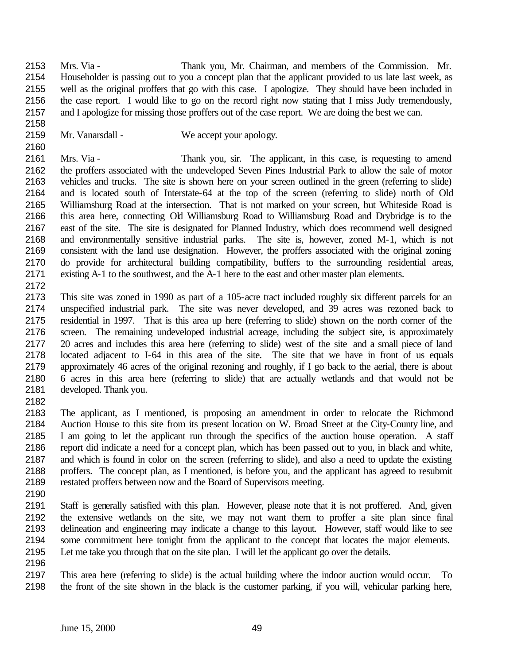Mrs. Via - Thank you, Mr. Chairman, and members of the Commission. Mr. Householder is passing out to you a concept plan that the applicant provided to us late last week, as well as the original proffers that go with this case. I apologize. They should have been included in the case report. I would like to go on the record right now stating that I miss Judy tremendously, and I apologize for missing those proffers out of the case report. We are doing the best we can.

2159 Mr. Vanarsdall - We accept your apology.

 Mrs. Via - Thank you, sir. The applicant, in this case, is requesting to amend the proffers associated with the undeveloped Seven Pines Industrial Park to allow the sale of motor vehicles and trucks. The site is shown here on your screen outlined in the green (referring to slide) and is located south of Interstate-64 at the top of the screen (referring to slide) north of Old Williamsburg Road at the intersection. That is not marked on your screen, but Whiteside Road is this area here, connecting Old Williamsburg Road to Williamsburg Road and Drybridge is to the east of the site. The site is designated for Planned Industry, which does recommend well designed and environmentally sensitive industrial parks. The site is, however, zoned M-1, which is not consistent with the land use designation. However, the proffers associated with the original zoning do provide for architectural building compatibility, buffers to the surrounding residential areas, existing A-1 to the southwest, and the A-1 here to the east and other master plan elements.

- 
- This site was zoned in 1990 as part of a 105-acre tract included roughly six different parcels for an unspecified industrial park. The site was never developed, and 39 acres was rezoned back to residential in 1997. That is this area up here (referring to slide) shown on the north corner of the screen. The remaining undeveloped industrial acreage, including the subject site, is approximately 20 acres and includes this area here (referring to slide) west of the site and a small piece of land located adjacent to I-64 in this area of the site. The site that we have in front of us equals approximately 46 acres of the original rezoning and roughly, if I go back to the aerial, there is about 6 acres in this area here (referring to slide) that are actually wetlands and that would not be developed. Thank you.
- 

 The applicant, as I mentioned, is proposing an amendment in order to relocate the Richmond Auction House to this site from its present location on W. Broad Street at the City-County line, and I am going to let the applicant run through the specifics of the auction house operation. A staff report did indicate a need for a concept plan, which has been passed out to you, in black and white, and which is found in color on the screen (referring to slide), and also a need to update the existing proffers. The concept plan, as I mentioned, is before you, and the applicant has agreed to resubmit restated proffers between now and the Board of Supervisors meeting.

 Staff is generally satisfied with this plan. However, please note that it is not proffered. And, given the extensive wetlands on the site, we may not want them to proffer a site plan since final delineation and engineering may indicate a change to this layout. However, staff would like to see some commitment here tonight from the applicant to the concept that locates the major elements. Let me take you through that on the site plan. I will let the applicant go over the details.

 This area here (referring to slide) is the actual building where the indoor auction would occur. To the front of the site shown in the black is the customer parking, if you will, vehicular parking here,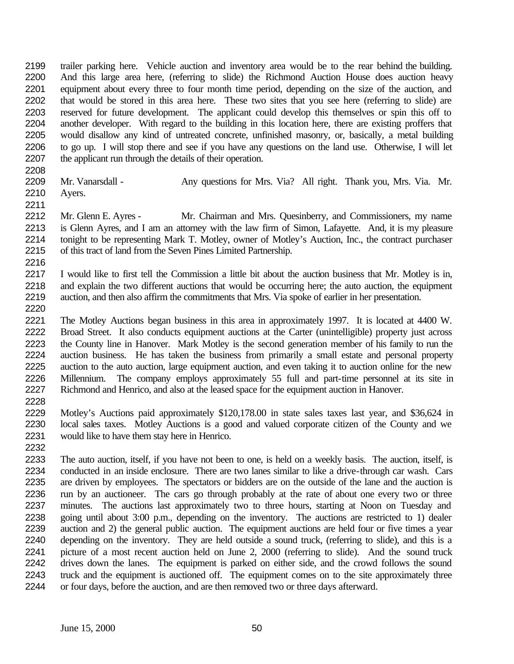trailer parking here. Vehicle auction and inventory area would be to the rear behind the building. And this large area here, (referring to slide) the Richmond Auction House does auction heavy equipment about every three to four month time period, depending on the size of the auction, and that would be stored in this area here. These two sites that you see here (referring to slide) are reserved for future development. The applicant could develop this themselves or spin this off to another developer. With regard to the building in this location here, there are existing proffers that would disallow any kind of untreated concrete, unfinished masonry, or, basically, a metal building to go up. I will stop there and see if you have any questions on the land use. Otherwise, I will let the applicant run through the details of their operation.

2209 Mr. Vanarsdall - Any questions for Mrs. Via? All right. Thank you, Mrs. Via. Mr. Ayers.

2212 Mr. Glenn E. Ayres - Mr. Chairman and Mrs. Quesinberry, and Commissioners, my name is Glenn Ayres, and I am an attorney with the law firm of Simon, Lafayette. And, it is my pleasure tonight to be representing Mark T. Motley, owner of Motley's Auction, Inc., the contract purchaser of this tract of land from the Seven Pines Limited Partnership. 

 I would like to first tell the Commission a little bit about the auction business that Mr. Motley is in, and explain the two different auctions that would be occurring here; the auto auction, the equipment auction, and then also affirm the commitments that Mrs. Via spoke of earlier in her presentation.

 The Motley Auctions began business in this area in approximately 1997. It is located at 4400 W. Broad Street. It also conducts equipment auctions at the Carter (unintelligible) property just across the County line in Hanover. Mark Motley is the second generation member of his family to run the auction business. He has taken the business from primarily a small estate and personal property auction to the auto auction, large equipment auction, and even taking it to auction online for the new 2226 Millennium. The company employs approximately 55 full and part-time personnel at its site in<br>2227 Richmond and Henrico, and also at the leased space for the equipment auction in Hanover. Richmond and Henrico, and also at the leased space for the equipment auction in Hanover. 

 Motley's Auctions paid approximately \$120,178.00 in state sales taxes last year, and \$36,624 in local sales taxes. Motley Auctions is a good and valued corporate citizen of the County and we would like to have them stay here in Henrico.

 The auto auction, itself, if you have not been to one, is held on a weekly basis. The auction, itself, is conducted in an inside enclosure. There are two lanes similar to like a drive-through car wash. Cars are driven by employees. The spectators or bidders are on the outside of the lane and the auction is run by an auctioneer. The cars go through probably at the rate of about one every two or three minutes. The auctions last approximately two to three hours, starting at Noon on Tuesday and going until about 3:00 p.m., depending on the inventory. The auctions are restricted to 1) dealer auction and 2) the general public auction. The equipment auctions are held four or five times a year depending on the inventory. They are held outside a sound truck, (referring to slide), and this is a picture of a most recent auction held on June 2, 2000 (referring to slide). And the sound truck drives down the lanes. The equipment is parked on either side, and the crowd follows the sound truck and the equipment is auctioned off. The equipment comes on to the site approximately three or four days, before the auction, and are then removed two or three days afterward.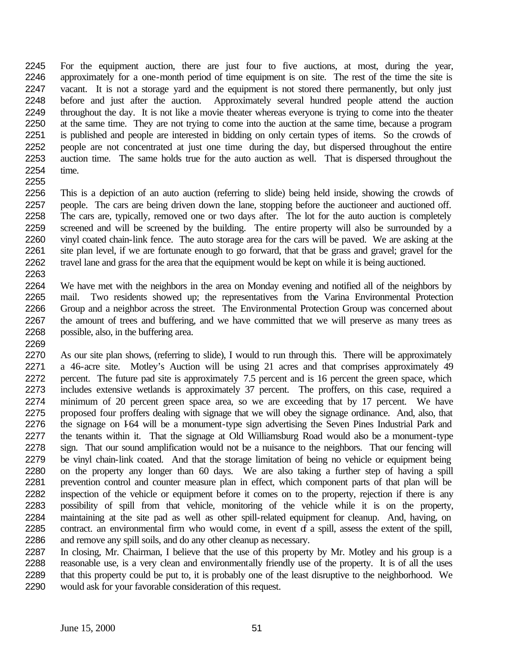For the equipment auction, there are just four to five auctions, at most, during the year, approximately for a one-month period of time equipment is on site. The rest of the time the site is vacant. It is not a storage yard and the equipment is not stored there permanently, but only just before and just after the auction. Approximately several hundred people attend the auction throughout the day. It is not like a movie theater whereas everyone is trying to come into the theater at the same time. They are not trying to come into the auction at the same time, because a program is published and people are interested in bidding on only certain types of items. So the crowds of people are not concentrated at just one time during the day, but dispersed throughout the entire auction time. The same holds true for the auto auction as well. That is dispersed throughout the time. 

 This is a depiction of an auto auction (referring to slide) being held inside, showing the crowds of people. The cars are being driven down the lane, stopping before the auctioneer and auctioned off. The cars are, typically, removed one or two days after. The lot for the auto auction is completely screened and will be screened by the building. The entire property will also be surrounded by a vinyl coated chain-link fence. The auto storage area for the cars will be paved. We are asking at the site plan level, if we are fortunate enough to go forward, that that be grass and gravel; gravel for the travel lane and grass for the area that the equipment would be kept on while it is being auctioned. 

 We have met with the neighbors in the area on Monday evening and notified all of the neighbors by mail. Two residents showed up; the representatives from the Varina Environmental Protection Group and a neighbor across the street. The Environmental Protection Group was concerned about the amount of trees and buffering, and we have committed that we will preserve as many trees as possible, also, in the buffering area.

 As our site plan shows, (referring to slide), I would to run through this. There will be approximately a 46-acre site. Motley's Auction will be using 21 acres and that comprises approximately 49 percent. The future pad site is approximately 7.5 percent and is 16 percent the green space, which includes extensive wetlands is approximately 37 percent. The proffers, on this case, required a minimum of 20 percent green space area, so we are exceeding that by 17 percent. We have proposed four proffers dealing with signage that we will obey the signage ordinance. And, also, that 2276 the signage on I-64 will be a monument-type sign advertising the Seven Pines Industrial Park and the tenants within it. That the signage at Old Williamsburg Road would also be a monument-type sign. That our sound amplification would not be a nuisance to the neighbors. That our fencing will be vinyl chain-link coated. And that the storage limitation of being no vehicle or equipment being on the property any longer than 60 days. We are also taking a further step of having a spill prevention control and counter measure plan in effect, which component parts of that plan will be inspection of the vehicle or equipment before it comes on to the property, rejection if there is any possibility of spill from that vehicle, monitoring of the vehicle while it is on the property, maintaining at the site pad as well as other spill-related equipment for cleanup. And, having, on 2285 contract. an environmental firm who would come, in event of a spill, assess the extent of the spill, 2286 and remove any spill soils, and do any other cleanup as necessary. and remove any spill soils, and do any other cleanup as necessary.

 In closing, Mr. Chairman, I believe that the use of this property by Mr. Motley and his group is a reasonable use, is a very clean and environmentally friendly use of the property. It is of all the uses that this property could be put to, it is probably one of the least disruptive to the neighborhood. We would ask for your favorable consideration of this request.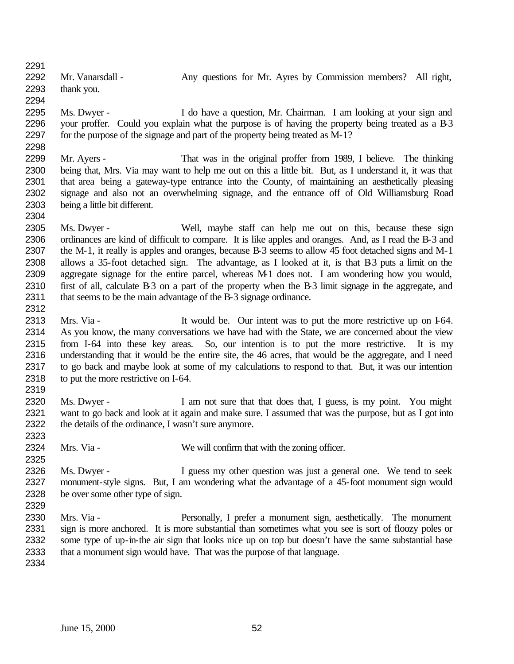2292 Mr. Vanarsdall - Any questions for Mr. Ayres by Commission members? All right, thank you. 

 Ms. Dwyer - I do have a question, Mr. Chairman. I am looking at your sign and your proffer. Could you explain what the purpose is of having the property being treated as a B-3 for the purpose of the signage and part of the property being treated as M-1?

 Mr. Ayers - That was in the original proffer from 1989, I believe. The thinking being that, Mrs. Via may want to help me out on this a little bit. But, as I understand it, it was that that area being a gateway-type entrance into the County, of maintaining an aesthetically pleasing signage and also not an overwhelming signage, and the entrance off of Old Williamsburg Road being a little bit different.

 Ms. Dwyer - Well, maybe staff can help me out on this, because these sign ordinances are kind of difficult to compare. It is like apples and oranges. And, as I read the B-3 and the M-1, it really is apples and oranges, because B-3 seems to allow 45 foot detached signs and M-1 allows a 35-foot detached sign. The advantage, as I looked at it, is that B-3 puts a limit on the aggregate signage for the entire parcel, whereas M-1 does not. I am wondering how you would, 2310 first of all, calculate B-3 on a part of the property when the B-3 limit signage in the aggregate, and 2311 that seems to be the main advantage of the B-3 signage ordinance.

2313 Mrs. Via - It would be. Our intent was to put the more restrictive up on I-64. As you know, the many conversations we have had with the State, we are concerned about the view from I-64 into these key areas. So, our intention is to put the more restrictive. It is my understanding that it would be the entire site, the 46 acres, that would be the aggregate, and I need to go back and maybe look at some of my calculations to respond to that. But, it was our intention to put the more restrictive on I-64.

 Ms. Dwyer - I am not sure that that does that, I guess, is my point. You might want to go back and look at it again and make sure. I assumed that was the purpose, but as I got into the details of the ordinance, I wasn't sure anymore.

Mrs. Via - We will confirm that with the zoning officer.

2326 Ms. Dwyer - I guess my other question was just a general one. We tend to seek monument-style signs. But, I am wondering what the advantage of a 45-foot monument sign would be over some other type of sign.

 Mrs. Via - Personally, I prefer a monument sign, aesthetically. The monument 2331 sign is more anchored. It is more substantial than sometimes what you see is sort of floozy poles or 2332 some type of up-in-the air sign that looks nice up on top but doesn't have the same substantial base some type of up-in-the air sign that looks nice up on top but doesn't have the same substantial base that a monument sign would have. That was the purpose of that language.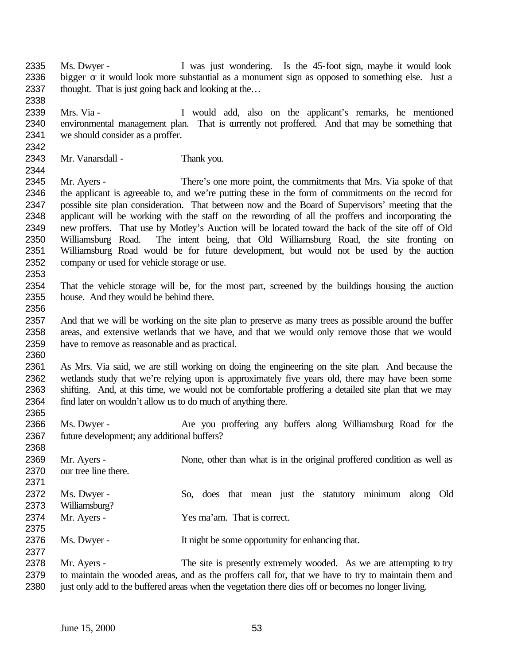Ms. Dwyer - I was just wondering. Is the 45-foot sign, maybe it would look 2336 bigger  $\alpha$  it would look more substantial as a monument sign as opposed to something else. Just a 2337 thought. That is just going back and looking at the...

 Mrs. Via - I would add, also on the applicant's remarks, he mentioned environmental management plan. That is currently not proffered. And that may be something that we should consider as a proffer.

Mr. Vanarsdall - Thank you.

 Mr. Ayers - There's one more point, the commitments that Mrs. Via spoke of that the applicant is agreeable to, and we're putting these in the form of commitments on the record for possible site plan consideration. That between now and the Board of Supervisors' meeting that the applicant will be working with the staff on the rewording of all the proffers and incorporating the new proffers. That use by Motley's Auction will be located toward the back of the site off of Old Williamsburg Road. The intent being, that Old Williamsburg Road, the site fronting on Williamsburg Road would be for future development, but would not be used by the auction company or used for vehicle storage or use.

 That the vehicle storage will be, for the most part, screened by the buildings housing the auction house. And they would be behind there.

 And that we will be working on the site plan to preserve as many trees as possible around the buffer areas, and extensive wetlands that we have, and that we would only remove those that we would have to remove as reasonable and as practical.

 As Mrs. Via said, we are still working on doing the engineering on the site plan. And because the wetlands study that we're relying upon is approximately five years old, there may have been some shifting. And, at this time, we would not be comfortable proffering a detailed site plan that we may find later on wouldn't allow us to do much of anything there.

 Ms. Dwyer - Are you proffering any buffers along Williamsburg Road for the future development; any additional buffers?

2369 Mr. Ayers - None, other than what is in the original proffered condition as well as our tree line there. Ms. Dwyer - So, does that mean just the statutory minimum along Old Williamsburg? Mr. Ayers - Yes ma'am. That is correct. 2376 Ms. Dwyer - It night be some opportunity for enhancing that. 2378 Mr. Ayers - The site is presently extremely wooded. As we are attempting to try

 to maintain the wooded areas, and as the proffers call for, that we have to try to maintain them and just only add to the buffered areas when the vegetation there dies off or becomes no longer living.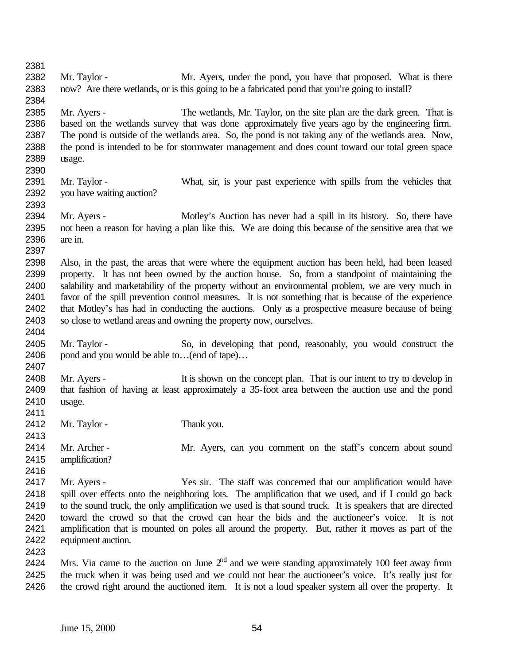2382 Mr. Taylor - Mr. Ayers, under the pond, you have that proposed. What is there now? Are there wetlands, or is this going to be a fabricated pond that you're going to install? 2385 Mr. Ayers - The wetlands, Mr. Taylor, on the site plan are the dark green. That is based on the wetlands survey that was done approximately five years ago by the engineering firm. The pond is outside of the wetlands area. So, the pond is not taking any of the wetlands area. Now, the pond is intended to be for stormwater management and does count toward our total green space usage. Mr. Taylor - What, sir, is your past experience with spills from the vehicles that you have waiting auction? Mr. Ayers - Motley's Auction has never had a spill in its history. So, there have not been a reason for having a plan like this. We are doing this because of the sensitive area that we are in. Also, in the past, the areas that were where the equipment auction has been held, had been leased property. It has not been owned by the auction house. So, from a standpoint of maintaining the salability and marketability of the property without an environmental problem, we are very much in favor of the spill prevention control measures. It is not something that is because of the experience that Motley's has had in conducting the auctions. Only as a prospective measure because of being so close to wetland areas and owning the property now, ourselves. Mr. Taylor - So, in developing that pond, reasonably, you would construct the pond and you would be able to…(end of tape)… Mr. Ayers - It is shown on the concept plan. That is our intent to try to develop in that fashion of having at least approximately a 35-foot area between the auction use and the pond usage. 2412 Mr. Taylor - Thank you. 2414 Mr. Archer - Mr. Ayers, can you comment on the staff's concern about sound amplification? Mr. Ayers - Yes sir. The staff was concerned that our amplification would have spill over effects onto the neighboring lots. The amplification that we used, and if I could go back to the sound truck, the only amplification we used is that sound truck. It is speakers that are directed toward the crowd so that the crowd can hear the bids and the auctioneer's voice. It is not amplification that is mounted on poles all around the property. But, rather it moves as part of the equipment auction. 2424 Mrs. Via came to the auction on June  $2<sup>nd</sup>$  and we were standing approximately 100 feet away from the truck when it was being used and we could not hear the auctioneer's voice. It's really just for the crowd right around the auctioned item. It is not a loud speaker system all over the property. It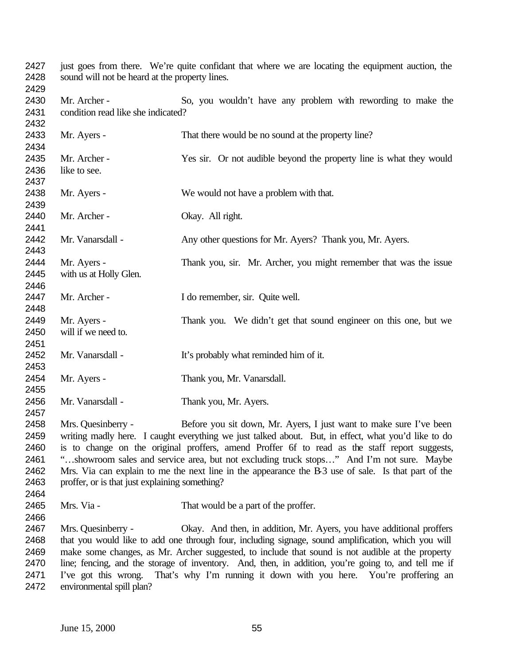| 2427         | just goes from there. We're quite confidant that where we are locating the equipment auction, the    |                                                                                                     |  |
|--------------|------------------------------------------------------------------------------------------------------|-----------------------------------------------------------------------------------------------------|--|
| 2428         | sound will not be heard at the property lines.                                                       |                                                                                                     |  |
| 2429         |                                                                                                      |                                                                                                     |  |
| 2430         | Mr. Archer -                                                                                         | So, you wouldn't have any problem with rewording to make the                                        |  |
| 2431<br>2432 | condition read like she indicated?                                                                   |                                                                                                     |  |
| 2433         | Mr. Ayers -                                                                                          | That there would be no sound at the property line?                                                  |  |
| 2434<br>2435 | Mr. Archer -                                                                                         | Yes sir. Or not audible beyond the property line is what they would                                 |  |
|              |                                                                                                      |                                                                                                     |  |
| 2436         | like to see.                                                                                         |                                                                                                     |  |
| 2437         |                                                                                                      |                                                                                                     |  |
| 2438         | Mr. Ayers -                                                                                          | We would not have a problem with that.                                                              |  |
| 2439         |                                                                                                      |                                                                                                     |  |
| 2440         | Mr. Archer -                                                                                         | Okay. All right.                                                                                    |  |
| 2441         |                                                                                                      |                                                                                                     |  |
| 2442         | Mr. Vanarsdall -                                                                                     | Any other questions for Mr. Ayers? Thank you, Mr. Ayers.                                            |  |
| 2443         |                                                                                                      |                                                                                                     |  |
| 2444         | Mr. Ayers -                                                                                          | Thank you, sir. Mr. Archer, you might remember that was the issue                                   |  |
| 2445         | with us at Holly Glen.                                                                               |                                                                                                     |  |
| 2446         |                                                                                                      |                                                                                                     |  |
| 2447         | Mr. Archer -                                                                                         | I do remember, sir. Quite well.                                                                     |  |
| 2448         |                                                                                                      |                                                                                                     |  |
| 2449         | Mr. Ayers -                                                                                          | Thank you. We didn't get that sound engineer on this one, but we                                    |  |
| 2450         | will if we need to.                                                                                  |                                                                                                     |  |
| 2451         |                                                                                                      |                                                                                                     |  |
| 2452         | Mr. Vanarsdall -                                                                                     | It's probably what reminded him of it.                                                              |  |
| 2453         |                                                                                                      |                                                                                                     |  |
| 2454         | Mr. Ayers -                                                                                          | Thank you, Mr. Vanarsdall.                                                                          |  |
| 2455         |                                                                                                      |                                                                                                     |  |
| 2456         | Mr. Vanarsdall -                                                                                     | Thank you, Mr. Ayers.                                                                               |  |
| 2457         |                                                                                                      |                                                                                                     |  |
| 2458         | Mrs. Quesinberry -                                                                                   | Before you sit down, Mr. Ayers, I just want to make sure I've been                                  |  |
|              |                                                                                                      |                                                                                                     |  |
| 2459         |                                                                                                      | writing madly here. I caught everything we just talked about. But, in effect, what you'd like to do |  |
| 2460         |                                                                                                      | is to change on the original proffers, amend Proffer 6f to read as the staff report suggests,       |  |
| 2461         |                                                                                                      | "showroom sales and service area, but not excluding truck stops" And I'm not sure. Maybe            |  |
| 2462         |                                                                                                      | Mrs. Via can explain to me the next line in the appearance the B 3 use of sale. Is that part of the |  |
| 2463         | proffer, or is that just explaining something?                                                       |                                                                                                     |  |
| 2464         |                                                                                                      |                                                                                                     |  |
| 2465         | Mrs. Via -                                                                                           | That would be a part of the proffer.                                                                |  |
| 2466         |                                                                                                      |                                                                                                     |  |
| 2467         | Mrs. Quesinberry -                                                                                   | Okay. And then, in addition, Mr. Ayers, you have additional proffers                                |  |
| 2468         |                                                                                                      | that you would like to add one through four, including signage, sound amplification, which you will |  |
| 2469         | make some changes, as Mr. Archer suggested, to include that sound is not audible at the property     |                                                                                                     |  |
| 2470         | line; fencing, and the storage of inventory. And, then, in addition, you're going to, and tell me if |                                                                                                     |  |
| 2471         | I've got this wrong.                                                                                 | That's why I'm running it down with you here. You're proffering an                                  |  |
| 2472         | environmental spill plan?                                                                            |                                                                                                     |  |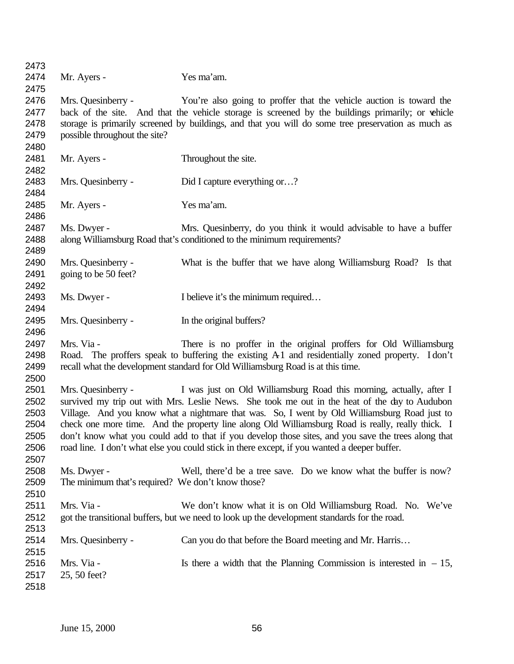| 2473 |                                                   |                                                                                                     |
|------|---------------------------------------------------|-----------------------------------------------------------------------------------------------------|
| 2474 | Mr. Ayers -                                       | Yes ma'am.                                                                                          |
| 2475 |                                                   |                                                                                                     |
| 2476 | Mrs. Quesinberry -                                | You're also going to proffer that the vehicle auction is toward the                                 |
| 2477 |                                                   | back of the site. And that the vehicle storage is screened by the buildings primarily; or vehicle   |
| 2478 |                                                   | storage is primarily screened by buildings, and that you will do some tree preservation as much as  |
| 2479 | possible throughout the site?                     |                                                                                                     |
| 2480 |                                                   |                                                                                                     |
| 2481 | Mr. Ayers -                                       | Throughout the site.                                                                                |
| 2482 |                                                   |                                                                                                     |
| 2483 | Mrs. Quesinberry -                                | Did I capture everything or?                                                                        |
| 2484 |                                                   |                                                                                                     |
| 2485 | Mr. Ayers -                                       | Yes ma'am.                                                                                          |
| 2486 |                                                   |                                                                                                     |
| 2487 | Ms. Dwyer -                                       | Mrs. Quesinberry, do you think it would advisable to have a buffer                                  |
| 2488 |                                                   | along Williamsburg Road that's conditioned to the minimum requirements?                             |
| 2489 |                                                   |                                                                                                     |
| 2490 | Mrs. Quesinberry -                                | What is the buffer that we have along Williamsburg Road? Is that                                    |
| 2491 | going to be 50 feet?                              |                                                                                                     |
| 2492 |                                                   |                                                                                                     |
| 2493 | Ms. Dwyer -                                       | I believe it's the minimum required                                                                 |
| 2494 |                                                   |                                                                                                     |
| 2495 | Mrs. Quesinberry -                                | In the original buffers?                                                                            |
| 2496 |                                                   |                                                                                                     |
| 2497 | Mrs. Via -                                        | There is no proffer in the original proffers for Old Williamsburg                                   |
| 2498 |                                                   | Road. The proffers speak to buffering the existing A1 and residentially zoned property. Idon't      |
| 2499 |                                                   | recall what the development standard for Old Williamsburg Road is at this time.                     |
| 2500 |                                                   |                                                                                                     |
| 2501 | Mrs. Quesinberry -                                | I was just on Old Williamsburg Road this morning, actually, after I                                 |
| 2502 |                                                   | survived my trip out with Mrs. Leslie News. She took me out in the heat of the day to Audubon       |
| 2503 |                                                   | Village. And you know what a nightmare that was. So, I went by Old Williamsburg Road just to        |
| 2504 |                                                   | check one more time. And the property line along Old Williamsburg Road is really, really thick. I   |
| 2505 |                                                   | don't know what you could add to that if you develop those sites, and you save the trees along that |
| 2506 |                                                   | road line. I don't what else you could stick in there except, if you wanted a deeper buffer.        |
| 2507 |                                                   |                                                                                                     |
| 2508 | Ms. Dwyer -                                       | Well, there'd be a tree save. Do we know what the buffer is now?                                    |
| 2509 | The minimum that's required? We don't know those? |                                                                                                     |
| 2510 |                                                   |                                                                                                     |
| 2511 | Mrs. Via -                                        | We don't know what it is on Old Williamsburg Road. No. We've                                        |
| 2512 |                                                   | got the transitional buffers, but we need to look up the development standards for the road.        |
| 2513 |                                                   |                                                                                                     |
| 2514 | Mrs. Quesinberry -                                | Can you do that before the Board meeting and Mr. Harris                                             |
| 2515 |                                                   |                                                                                                     |
| 2516 | Mrs. Via -                                        | Is there a width that the Planning Commission is interested in $-15$ ,                              |
| 2517 | 25, 50 feet?                                      |                                                                                                     |
| 2518 |                                                   |                                                                                                     |
|      |                                                   |                                                                                                     |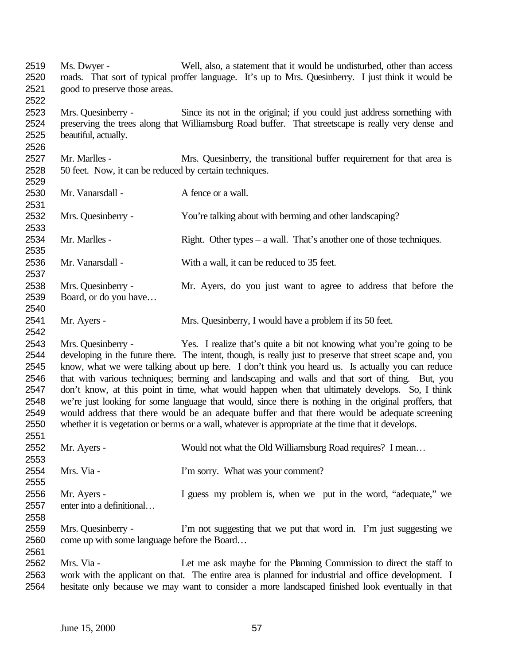| 2519<br>2520 | Ms. Dwyer -                                            | Well, also, a statement that it would be undisturbed, other than access<br>roads. That sort of typical proffer language. It's up to Mrs. Quesinberry. I just think it would be |
|--------------|--------------------------------------------------------|--------------------------------------------------------------------------------------------------------------------------------------------------------------------------------|
| 2521<br>2522 | good to preserve those areas.                          |                                                                                                                                                                                |
| 2523         | Mrs. Quesinberry -                                     | Since its not in the original; if you could just address something with                                                                                                        |
| 2524         |                                                        | preserving the trees along that Williamsburg Road buffer. That streetscape is really very dense and                                                                            |
| 2525         | beautiful, actually.                                   |                                                                                                                                                                                |
| 2526         |                                                        |                                                                                                                                                                                |
| 2527         | Mr. Marlles -                                          | Mrs. Quesinberry, the transitional buffer requirement for that area is                                                                                                         |
| 2528         | 50 feet. Now, it can be reduced by certain techniques. |                                                                                                                                                                                |
| 2529         |                                                        |                                                                                                                                                                                |
| 2530         | Mr. Vanarsdall -                                       | A fence or a wall.                                                                                                                                                             |
| 2531         |                                                        |                                                                                                                                                                                |
| 2532         | Mrs. Quesinberry -                                     | You're talking about with berming and other landscaping?                                                                                                                       |
| 2533         |                                                        |                                                                                                                                                                                |
| 2534         | Mr. Marlles -                                          | Right. Other types – a wall. That's another one of those techniques.                                                                                                           |
| 2535         |                                                        |                                                                                                                                                                                |
| 2536         | Mr. Vanarsdall -                                       | With a wall, it can be reduced to 35 feet.                                                                                                                                     |
| 2537         |                                                        |                                                                                                                                                                                |
| 2538         | Mrs. Quesinberry -                                     | Mr. Ayers, do you just want to agree to address that before the                                                                                                                |
| 2539         | Board, or do you have                                  |                                                                                                                                                                                |
| 2540         |                                                        |                                                                                                                                                                                |
| 2541         | Mr. Ayers -                                            | Mrs. Quesinberry, I would have a problem if its 50 feet.                                                                                                                       |
| 2542         |                                                        |                                                                                                                                                                                |
| 2543         | Mrs. Quesinberry -                                     | Yes. I realize that's quite a bit not knowing what you're going to be                                                                                                          |
| 2544         |                                                        | developing in the future there. The intent, though, is really just to preserve that street scape and, you                                                                      |
| 2545         |                                                        | know, what we were talking about up here. I don't think you heard us. Is actually you can reduce                                                                               |
| 2546         |                                                        | that with various techniques; berming and landscaping and walls and that sort of thing. But, you                                                                               |
| 2547         |                                                        | don't know, at this point in time, what would happen when that ultimately develops. So, I think                                                                                |
| 2548         |                                                        | we're just looking for some language that would, since there is nothing in the original proffers, that                                                                         |
| 2549         |                                                        | would address that there would be an adequate buffer and that there would be adequate screening                                                                                |
| 2550         |                                                        | whether it is vegetation or berms or a wall, whatever is appropriate at the time that it develops.                                                                             |
| 2551         |                                                        |                                                                                                                                                                                |
| 2552         | Mr. Ayers -                                            | Would not what the Old Williamsburg Road requires? I mean                                                                                                                      |
| 2553         |                                                        |                                                                                                                                                                                |
| 2554         | Mrs. Via -                                             | I'm sorry. What was your comment?                                                                                                                                              |
| 2555         |                                                        |                                                                                                                                                                                |
| 2556         | Mr. Ayers -                                            | I guess my problem is, when we put in the word, "adequate," we                                                                                                                 |
| 2557         | enter into a definitional                              |                                                                                                                                                                                |
| 2558         |                                                        |                                                                                                                                                                                |
| 2559         | Mrs. Quesinberry -                                     | I'm not suggesting that we put that word in. I'm just suggesting we                                                                                                            |
| 2560         | come up with some language before the Board            |                                                                                                                                                                                |
| 2561         |                                                        |                                                                                                                                                                                |
| 2562         | Mrs. Via -                                             | Let me ask maybe for the Planning Commission to direct the staff to                                                                                                            |
| 2563         |                                                        | work with the applicant on that. The entire area is planned for industrial and office development. I                                                                           |
| 2564         |                                                        |                                                                                                                                                                                |
|              |                                                        | hesitate only because we may want to consider a more landscaped finished look eventually in that                                                                               |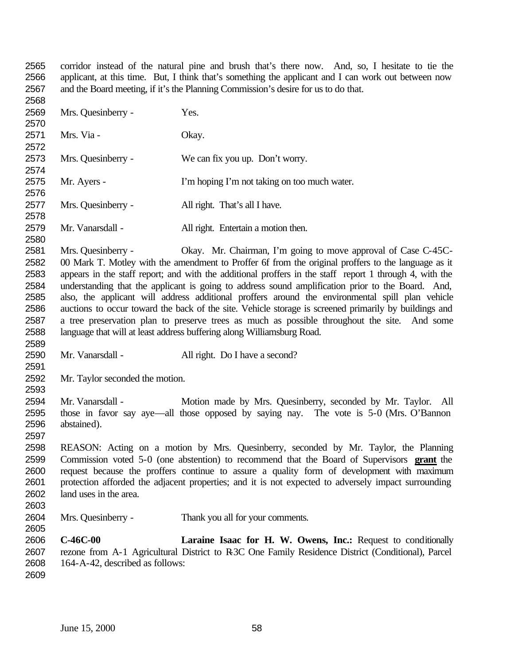corridor instead of the natural pine and brush that's there now. And, so, I hesitate to tie the applicant, at this time. But, I think that's something the applicant and I can work out between now and the Board meeting, if it's the Planning Commission's desire for us to do that. 

 Mrs. Quesinberry - Yes. Mrs. Via - Okay. Mrs. Quesinberry - We can fix you up. Don't worry. Mr. Ayers - I'm hoping I'm not taking on too much water. Mrs. Quesinberry - All right. That's all I have. Mr. Vanarsdall - All right. Entertain a motion then. Mrs. Quesinberry - Okay. Mr. Chairman, I'm going to move approval of Case C-45C- 00 Mark T. Motley with the amendment to Proffer 6f from the original proffers to the language as it appears in the staff report; and with the additional proffers in the staff report 1 through 4, with the understanding that the applicant is going to address sound amplification prior to the Board. And, also, the applicant will address additional proffers around the environmental spill plan vehicle auctions to occur toward the back of the site. Vehicle storage is screened primarily by buildings and a tree preservation plan to preserve trees as much as possible throughout the site. And some language that will at least address buffering along Williamsburg Road. Mr. Vanarsdall - All right. Do I have a second? Mr. Taylor seconded the motion. 2594 Mr. Vanarsdall - Motion made by Mrs. Quesinberry, seconded by Mr. Taylor. All those in favor say aye—all those opposed by saying nay. The vote is 5-0 (Mrs. O'Bannon abstained). REASON: Acting on a motion by Mrs. Quesinberry, seconded by Mr. Taylor, the Planning Commission voted 5-0 (one abstention) to recommend that the Board of Supervisors **grant** the 2600 request because the proffers continue to assure a quality form of development with maximum protection afforded the adjacent properties; and it is not expected to adversely impact surrounding land uses in the area. Mrs. Quesinberry - Thank you all for your comments. **C-46C-00 Laraine Isaac for H. W. Owens, Inc.:** Request to conditionally rezone from A-1 Agricultural District to R-3C One Family Residence District (Conditional), Parcel 164-A-42, described as follows: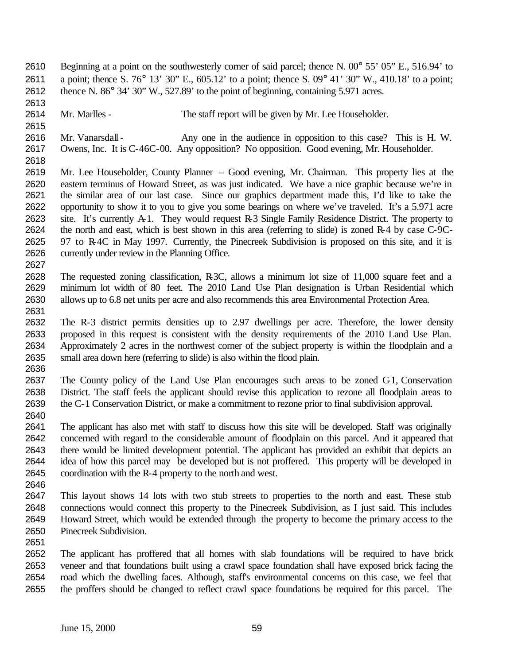- 2610 Beginning at a point on the southwesterly corner of said parcel; thence N. 00° 55' 05" E., 516.94' to a point; thence S. 76° 13' 30" E., 605.12' to a point; thence S. 09° 41' 30" W., 410.18' to a point; thence N. 86° 34' 30" W., 527.89' to the point of beginning, containing 5.971 acres.
- Mr. Marlles The staff report will be given by Mr. Lee Householder.
- 2616 Mr. Vanarsdall Any one in the audience in opposition to this case? This is H. W. Owens, Inc. It is C-46C-00. Any opposition? No opposition. Good evening, Mr. Householder.
- 

- Mr. Lee Householder, County Planner Good evening, Mr. Chairman. This property lies at the eastern terminus of Howard Street, as was just indicated. We have a nice graphic because we're in the similar area of our last case. Since our graphics department made this, I'd like to take the opportunity to show it to you to give you some bearings on where we've traveled. It's a 5.971 acre site. It's currently A-1. They would request R-3 Single Family Residence District. The property to the north and east, which is best shown in this area (referring to slide) is zoned R-4 by case C-9C- 97 to R-4C in May 1997. Currently, the Pinecreek Subdivision is proposed on this site, and it is currently under review in the Planning Office.
- The requested zoning classification, R-3C, allows a minimum lot size of 11,000 square feet and a minimum lot width of 80 feet. The 2010 Land Use Plan designation is Urban Residential which allows up to 6.8 net units per acre and also recommends this area Environmental Protection Area.
- The R-3 district permits densities up to 2.97 dwellings per acre. Therefore, the lower density proposed in this request is consistent with the density requirements of the 2010 Land Use Plan. Approximately 2 acres in the northwest corner of the subject property is within the floodplain and a small area down here (referring to slide) is also within the flood plain.
- The County policy of the Land Use Plan encourages such areas to be zoned C-1, Conservation District. The staff feels the applicant should revise this application to rezone all floodplain areas to the C-1 Conservation District, or make a commitment to rezone prior to final subdivision approval.
- The applicant has also met with staff to discuss how this site will be developed. Staff was originally concerned with regard to the considerable amount of floodplain on this parcel. And it appeared that there would be limited development potential. The applicant has provided an exhibit that depicts an idea of how this parcel may be developed but is not proffered. This property will be developed in coordination with the R-4 property to the north and west.
- 
- This layout shows 14 lots with two stub streets to properties to the north and east. These stub connections would connect this property to the Pinecreek Subdivision, as I just said. This includes Howard Street, which would be extended through the property to become the primary access to the Pinecreek Subdivision.
- 

 The applicant has proffered that all homes with slab foundations will be required to have brick veneer and that foundations built using a crawl space foundation shall have exposed brick facing the road which the dwelling faces. Although, staff's environmental concerns on this case, we feel that the proffers should be changed to reflect crawl space foundations be required for this parcel. The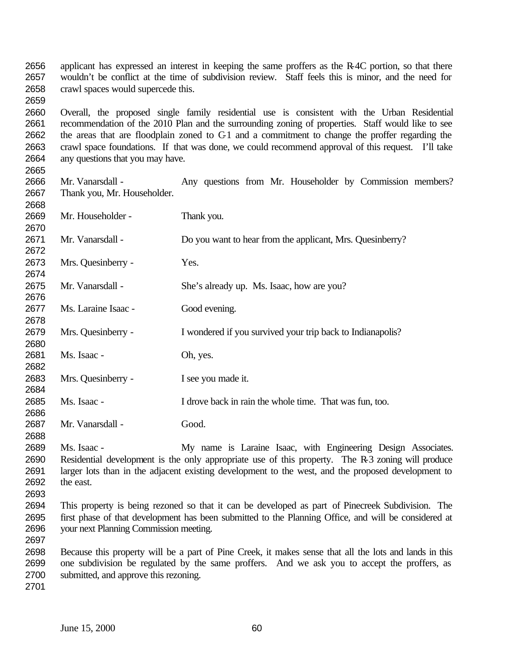applicant has expressed an interest in keeping the same proffers as the R-4C portion, so that there wouldn't be conflict at the time of subdivision review. Staff feels this is minor, and the need for crawl spaces would supercede this.

 Overall, the proposed single family residential use is consistent with the Urban Residential recommendation of the 2010 Plan and the surrounding zoning of properties. Staff would like to see the areas that are floodplain zoned to C-1 and a commitment to change the proffer regarding the crawl space foundations. If that was done, we could recommend approval of this request. I'll take any questions that you may have.

 Mr. Vanarsdall - Any questions from Mr. Householder by Commission members? Thank you, Mr. Householder.

 Mr. Householder - Thank you. Mr. Vanarsdall - Do you want to hear from the applicant, Mrs. Quesinberry? Mrs. Quesinberry - Yes. Mr. Vanarsdall - She's already up. Ms. Isaac, how are you? Ms. Laraine Isaac - Good evening. Mrs. Quesinberry - I wondered if you survived your trip back to Indianapolis? Ms. Isaac - Oh, yes. Mrs. Quesinberry - I see you made it. Ms. Isaac - I drove back in rain the whole time. That was fun, too. Mr. Vanarsdall - Good. Ms. Isaac - My name is Laraine Isaac, with Engineering Design Associates. Residential development is the only appropriate use of this property. The R-3 zoning will produce larger lots than in the adjacent existing development to the west, and the proposed development to

- the east.
- 

 This property is being rezoned so that it can be developed as part of Pinecreek Subdivision. The first phase of that development has been submitted to the Planning Office, and will be considered at your next Planning Commission meeting. 

 Because this property will be a part of Pine Creek, it makes sense that all the lots and lands in this one subdivision be regulated by the same proffers. And we ask you to accept the proffers, as submitted, and approve this rezoning.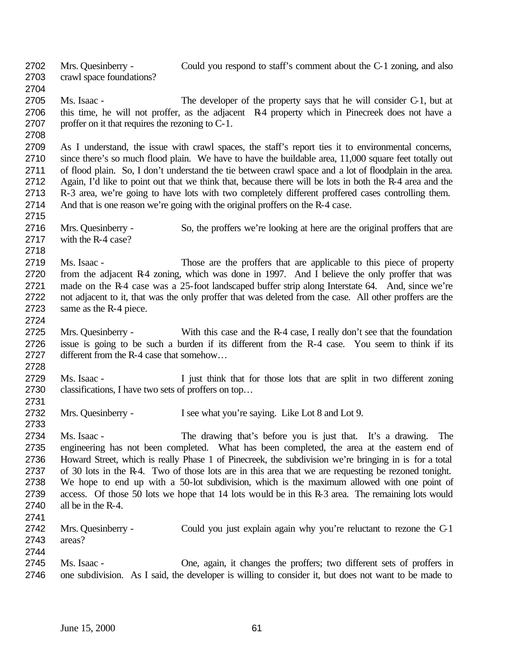Mrs. Quesinberry - Could you respond to staff's comment about the C-1 zoning, and also crawl space foundations? Ms. Isaac - The developer of the property says that he will consider C-1, but at 2706 this time, he will not proffer, as the adjacent R4 property which in Pinecreek does not have a proffer on it that requires the rezoning to C-1. As I understand, the issue with crawl spaces, the staff's report ties it to environmental concerns, 2710 since there's so much flood plain. We have to have the buildable area, 11,000 square feet totally out

 of flood plain. So, I don't understand the tie between crawl space and a lot of floodplain in the area. Again, I'd like to point out that we think that, because there will be lots in both the R-4 area and the R-3 area, we're going to have lots with two completely different proffered cases controlling them. And that is one reason we're going with the original proffers on the R-4 case.

- Mrs. Quesinberry So, the proffers we're looking at here are the original proffers that are with the R-4 case?
- Ms. Isaac Those are the proffers that are applicable to this piece of property 2720 from the adjacent R4 zoning, which was done in 1997. And I believe the only proffer that was made on the R-4 case was a 25-foot landscaped buffer strip along Interstate 64. And, since we're not adjacent to it, that was the only proffer that was deleted from the case. All other proffers are the same as the R-4 piece.
- Mrs. Quesinberry With this case and the R-4 case, I really don't see that the foundation issue is going to be such a burden if its different from the R-4 case. You seem to think if its different from the R-4 case that somehow…
- Ms. Isaac I just think that for those lots that are split in two different zoning classifications, I have two sets of proffers on top…
- Mrs. Quesinberry I see what you're saying. Like Lot 8 and Lot 9.
- Ms. Isaac The drawing that's before you is just that. It's a drawing. The engineering has not been completed. What has been completed, the area at the eastern end of Howard Street, which is really Phase 1 of Pinecreek, the subdivision we're bringing in is for a total of 30 lots in the R-4. Two of those lots are in this area that we are requesting be rezoned tonight. We hope to end up with a 50-lot subdivision, which is the maximum allowed with one point of access. Of those 50 lots we hope that 14 lots would be in this R-3 area. The remaining lots would all be in the R-4.
- 2742 Mrs. Quesinberry Could you just explain again why you're reluctant to rezone the C-1 areas?
- Ms. Isaac One, again, it changes the proffers; two different sets of proffers in one subdivision. As I said, the developer is willing to consider it, but does not want to be made to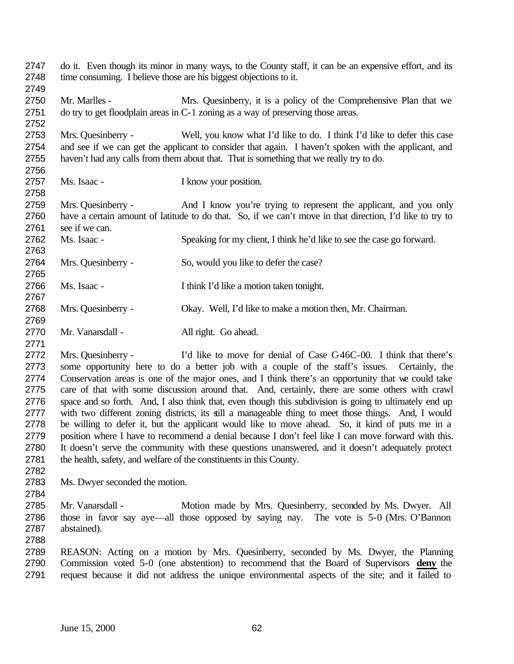do it. Even though its minor in many ways, to the County staff, it can be an expensive effort, and its time consuming. I believe those are his biggest objections to it. Mr. Marlles - Mrs. Quesinberry, it is a policy of the Comprehensive Plan that we do try to get floodplain areas in C-1 zoning as a way of preserving those areas. Mrs. Quesinberry - Well, you know what I'd like to do. I think I'd like to defer this case and see if we can get the applicant to consider that again. I haven't spoken with the applicant, and haven't had any calls from them about that. That is something that we really try to do. Ms. Isaac - I know your position. Mrs. Quesinberry - And I know you're trying to represent the applicant, and you only have a certain amount of latitude to do that. So, if we can't move in that direction, I'd like to try to see if we can. Ms. Isaac - Speaking for my client, I think he'd like to see the case go forward. 2764 Mrs. Quesinberry - So, would you like to defer the case? Ms. Isaac - I think I'd like a motion taken tonight. Mrs. Quesinberry - Okay. Well, I'd like to make a motion then, Mr. Chairman. Mr. Vanarsdall - All right. Go ahead. Mrs. Quesinberry - I'd like to move for denial of Case C-46C-00. I think that there's some opportunity here to do a better job with a couple of the staff's issues. Certainly, the Conservation areas is one of the major ones, and I think there's an opportunity that we could take care of that with some discussion around that. And, certainly, there are some others with crawl space and so forth. And, I also think that, even though this subdivision is going to ultimately end up with two different zoning districts, its still a manageable thing to meet those things. And, I would be willing to defer it, but the applicant would like to move ahead. So, it kind of puts me in a position where I have to recommend a denial because I don't feel like I can move forward with this. It doesn't serve the community with these questions unanswered, and it doesn't adequately protect the health, safety, and welfare of the constituents in this County. Ms. Dwyer seconded the motion. Mr. Vanarsdall - Motion made by Mrs. Quesinberry, seconded by Ms. Dwyer. All those in favor say aye—all those opposed by saying nay. The vote is 5-0 (Mrs. O'Bannon abstained). REASON: Acting on a motion by Mrs. Quesinberry, seconded by Ms. Dwyer, the Planning Commission voted 5-0 (one abstention) to recommend that the Board of Supervisors **deny** the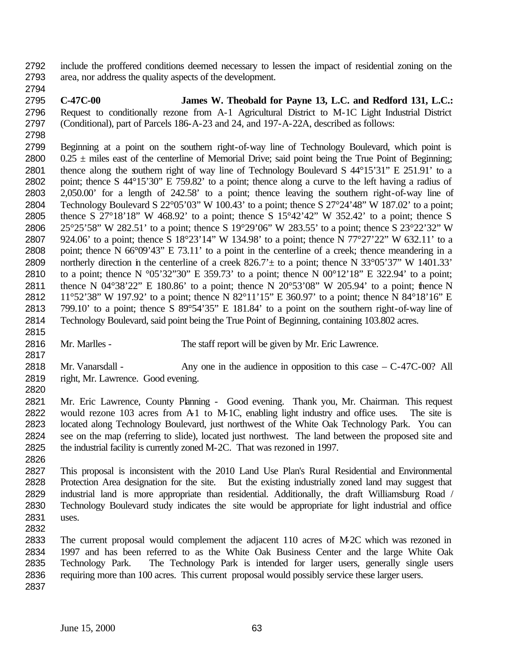- include the proffered conditions deemed necessary to lessen the impact of residential zoning on the area, nor address the quality aspects of the development.
- **C-47C-00 James W. Theobald for Payne 13, L.C. and Redford 131, L.C.:** Request to conditionally rezone from A-1 Agricultural District to M-1C Light Industrial District (Conditional), part of Parcels 186-A-23 and 24, and 197-A-22A, described as follows:
- 

- Beginning at a point on the southern right-of-way line of Technology Boulevard, which point is 2800 0.25  $\pm$  miles east of the centerline of Memorial Drive; said point being the True Point of Beginning; thence along the southern right of way line of Technology Boulevard S 44°15'31" E 251.91' to a point; thence S 44°15'30" E 759.82' to a point; thence along a curve to the left having a radius of 2,050.00' for a length of 242.58' to a point; thence leaving the southern right-of-way line of Technology Boulevard S 22°05'03" W 100.43' to a point; thence S 27°24'48" W 187.02' to a point; thence S 27°18'18" W 468.92' to a point; thence S 15°42'42" W 352.42' to a point; thence S 25°25'58" W 282.51' to a point; thence S 19°29'06" W 283.55' to a point; thence S 23°22'32" W 924.06' to a point; thence S 18°23'14" W 134.98' to a point; thence N 77°27'22" W 632.11' to a point; thence N 66°09'43" E 73.11' to a point in the centerline of a creek; thence meandering in a 2809 northerly direction in the centerline of a creek  $826.7' \pm$  to a point; thence N 33°05'37" W 1401.33' 2810 to a point; thence N  $\degree$ 05'32"30" E 359.73' to a point; thence N 00 $\degree$ 12'18" E 322.94' to a point; thence N 04°38'22" E 180.86' to a point; thence N 20°53'08" W 205.94' to a point; thence N 11°52'38" W 197.92' to a point; thence N 82°11'15" E 360.97' to a point; thence N 84°18'16" E 799.10' to a point; thence S 89°54'35" E 181.84' to a point on the southern right-of-way line of Technology Boulevard, said point being the True Point of Beginning, containing 103.802 acres.
- Mr. Marlles The staff report will be given by Mr. Eric Lawrence.
- 2818 Mr. Vanarsdall Any one in the audience in opposition to this case C-47C-00? All right, Mr. Lawrence. Good evening.
- Mr. Eric Lawrence, County Planning Good evening. Thank you, Mr. Chairman. This request 2822 would rezone 103 acres from A-1 to M-1C, enabling light industry and office uses. The site is located along Technology Boulevard, just northwest of the White Oak Technology Park. You can see on the map (referring to slide), located just northwest. The land between the proposed site and the industrial facility is currently zoned M-2C. That was rezoned in 1997.
- This proposal is inconsistent with the 2010 Land Use Plan's Rural Residential and Environmental Protection Area designation for the site. But the existing industrially zoned land may suggest that industrial land is more appropriate than residential. Additionally, the draft Williamsburg Road / Technology Boulevard study indicates the site would be appropriate for light industrial and office uses.
	- The current proposal would complement the adjacent 110 acres of M-2C which was rezoned in 1997 and has been referred to as the White Oak Business Center and the large White Oak Technology Park. The Technology Park is intended for larger users, generally single users requiring more than 100 acres. This current proposal would possibly service these larger users.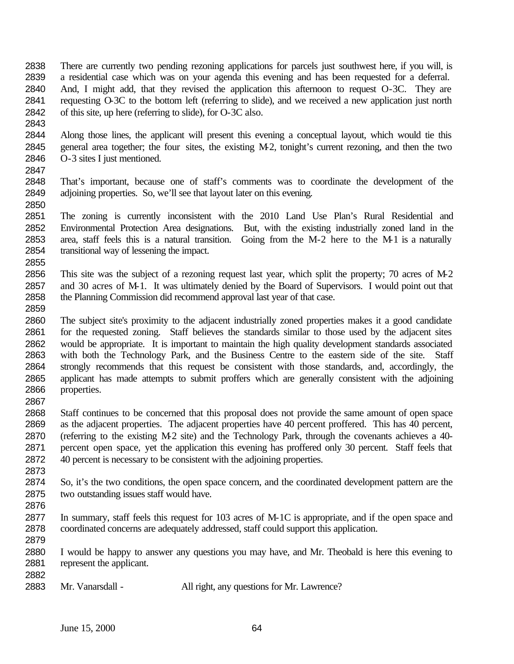- There are currently two pending rezoning applications for parcels just southwest here, if you will, is a residential case which was on your agenda this evening and has been requested for a deferral. And, I might add, that they revised the application this afternoon to request O-3C. They are requesting O-3C to the bottom left (referring to slide), and we received a new application just north of this site, up here (referring to slide), for O-3C also.
- Along those lines, the applicant will present this evening a conceptual layout, which would tie this general area together; the four sites, the existing M-2, tonight's current rezoning, and then the two O-3 sites I just mentioned.
- That's important, because one of staff's comments was to coordinate the development of the adjoining properties. So, we'll see that layout later on this evening.
- The zoning is currently inconsistent with the 2010 Land Use Plan's Rural Residential and Environmental Protection Area designations. But, with the existing industrially zoned land in the area, staff feels this is a natural transition. Going from the M-2 here to the M-1 is a naturally transitional way of lessening the impact.
- This site was the subject of a rezoning request last year, which split the property; 70 acres of M-2 and 30 acres of M-1. It was ultimately denied by the Board of Supervisors. I would point out that the Planning Commission did recommend approval last year of that case.
- The subject site's proximity to the adjacent industrially zoned properties makes it a good candidate 2861 for the requested zoning. Staff believes the standards similar to those used by the adjacent sites would be appropriate. It is important to maintain the high quality development standards associated with both the Technology Park, and the Business Centre to the eastern side of the site. Staff strongly recommends that this request be consistent with those standards, and, accordingly, the applicant has made attempts to submit proffers which are generally consistent with the adjoining properties.
- 

 Staff continues to be concerned that this proposal does not provide the same amount of open space as the adjacent properties. The adjacent properties have 40 percent proffered. This has 40 percent, (referring to the existing M-2 site) and the Technology Park, through the covenants achieves a 40- percent open space, yet the application this evening has proffered only 30 percent. Staff feels that 40 percent is necessary to be consistent with the adjoining properties.

- So, it's the two conditions, the open space concern, and the coordinated development pattern are the two outstanding issues staff would have.
- 

- In summary, staff feels this request for 103 acres of M-1C is appropriate, and if the open space and coordinated concerns are adequately addressed, staff could support this application.
- I would be happy to answer any questions you may have, and Mr. Theobald is here this evening to represent the applicant.
- 2883 Mr. Vanarsdall All right, any questions for Mr. Lawrence?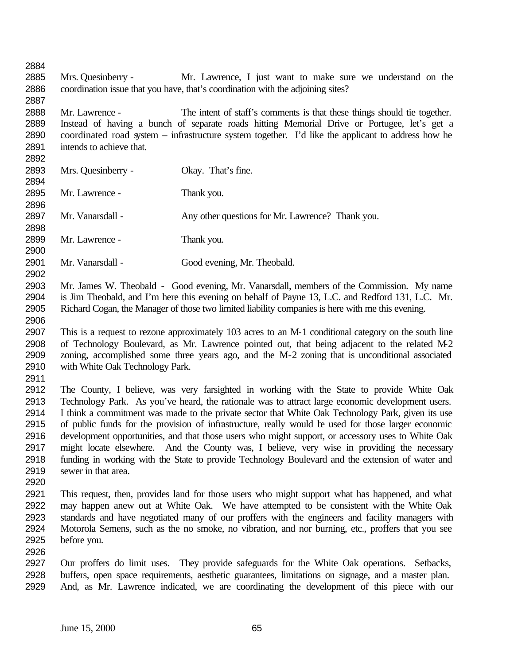Mrs. Quesinberry - Mr. Lawrence, I just want to make sure we understand on the coordination issue that you have, that's coordination with the adjoining sites? Mr. Lawrence - The intent of staff's comments is that these things should tie together. Instead of having a bunch of separate roads hitting Memorial Drive or Portugee, let's get a coordinated road system – infrastructure system together. I'd like the applicant to address how he 2891 intends to achieve that. Mrs. Quesinberry - Okay. That's fine. Mr. Lawrence - Thank you. 2897 Mr. Vanarsdall - Any other questions for Mr. Lawrence? Thank you. Mr. Lawrence - Thank you. Mr. Vanarsdall - Good evening, Mr. Theobald. Mr. James W. Theobald - Good evening, Mr. Vanarsdall, members of the Commission. My name is Jim Theobald, and I'm here this evening on behalf of Payne 13, L.C. and Redford 131, L.C. Mr. Richard Cogan, the Manager of those two limited liability companies is here with me this evening. This is a request to rezone approximately 103 acres to an M-1 conditional category on the south line of Technology Boulevard, as Mr. Lawrence pointed out, that being adjacent to the related M-2 zoning, accomplished some three years ago, and the M-2 zoning that is unconditional associated with White Oak Technology Park. The County, I believe, was very farsighted in working with the State to provide White Oak Technology Park. As you've heard, the rationale was to attract large economic development users. I think a commitment was made to the private sector that White Oak Technology Park, given its use of public funds for the provision of infrastructure, really would be used for those larger economic development opportunities, and that those users who might support, or accessory uses to White Oak might locate elsewhere. And the County was, I believe, very wise in providing the necessary funding in working with the State to provide Technology Boulevard and the extension of water and sewer in that area. This request, then, provides land for those users who might support what has happened, and what may happen anew out at White Oak. We have attempted to be consistent with the White Oak standards and have negotiated many of our proffers with the engineers and facility managers with Motorola Semens, such as the no smoke, no vibration, and nor burning, etc., proffers that you see before you. Our proffers do limit uses. They provide safeguards for the White Oak operations. Setbacks, buffers, open space requirements, aesthetic guarantees, limitations on signage, and a master plan. And, as Mr. Lawrence indicated, we are coordinating the development of this piece with our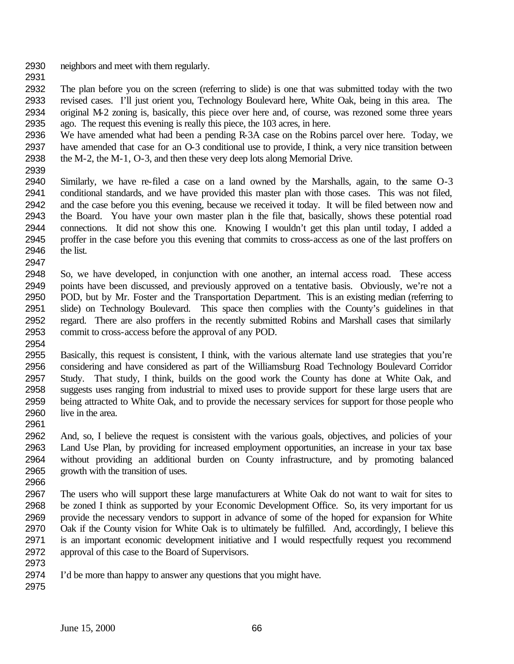- neighbors and meet with them regularly.
- 

 The plan before you on the screen (referring to slide) is one that was submitted today with the two revised cases. I'll just orient you, Technology Boulevard here, White Oak, being in this area. The original M-2 zoning is, basically, this piece over here and, of course, was rezoned some three years ago. The request this evening is really this piece, the 103 acres, in here.

 We have amended what had been a pending R-3A case on the Robins parcel over here. Today, we have amended that case for an O-3 conditional use to provide, I think, a very nice transition between the M-2, the M-1, O-3, and then these very deep lots along Memorial Drive.

 Similarly, we have re-filed a case on a land owned by the Marshalls, again, to the same O-3 conditional standards, and we have provided this master plan with those cases. This was not filed, and the case before you this evening, because we received it today. It will be filed between now and the Board. You have your own master plan in the file that, basically, shows these potential road connections. It did not show this one. Knowing I wouldn't get this plan until today, I added a proffer in the case before you this evening that commits to cross-access as one of the last proffers on the list. 

 So, we have developed, in conjunction with one another, an internal access road. These access points have been discussed, and previously approved on a tentative basis. Obviously, we're not a POD, but by Mr. Foster and the Transportation Department. This is an existing median (referring to slide) on Technology Boulevard. This space then complies with the County's guidelines in that regard. There are also proffers in the recently submitted Robins and Marshall cases that similarly commit to cross-access before the approval of any POD.

- Basically, this request is consistent, I think, with the various alternate land use strategies that you're considering and have considered as part of the Williamsburg Road Technology Boulevard Corridor Study. That study, I think, builds on the good work the County has done at White Oak, and suggests uses ranging from industrial to mixed uses to provide support for these large users that are being attracted to White Oak, and to provide the necessary services for support for those people who live in the area.
- 

 And, so, I believe the request is consistent with the various goals, objectives, and policies of your Land Use Plan, by providing for increased employment opportunities, an increase in your tax base without providing an additional burden on County infrastructure, and by promoting balanced growth with the transition of uses.

 The users who will support these large manufacturers at White Oak do not want to wait for sites to be zoned I think as supported by your Economic Development Office. So, its very important for us provide the necessary vendors to support in advance of some of the hoped for expansion for White Oak if the County vision for White Oak is to ultimately be fulfilled. And, accordingly, I believe this is an important economic development initiative and I would respectfully request you recommend approval of this case to the Board of Supervisors.

I'd be more than happy to answer any questions that you might have.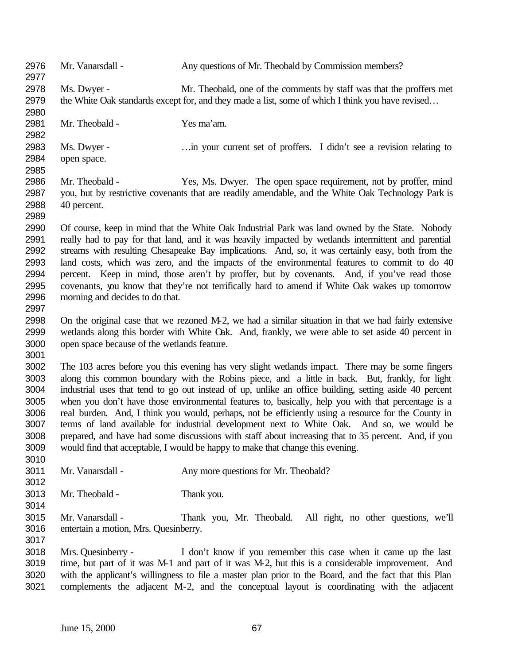| 2976<br>2977 | Mr. Vanarsdall -                            | Any questions of Mr. Theobald by Commission members?                                                   |
|--------------|---------------------------------------------|--------------------------------------------------------------------------------------------------------|
| 2978         | Ms. Dwyer -                                 | Mr. Theobald, one of the comments by staff was that the proffers met                                   |
| 2979         |                                             | the White Oak standards except for, and they made a list, some of which I think you have revised       |
| 2980         |                                             |                                                                                                        |
| 2981         | Mr. Theobald -                              | Yes ma'am.                                                                                             |
| 2982         |                                             |                                                                                                        |
| 2983         | Ms. Dwyer -                                 | in your current set of proffers. I didn't see a revision relating to                                   |
| 2984         | open space.                                 |                                                                                                        |
| 2985         |                                             |                                                                                                        |
| 2986         | Mr. Theobald -                              | Yes, Ms. Dwyer. The open space requirement, not by proffer, mind                                       |
| 2987         |                                             | you, but by restrictive covenants that are readily amendable, and the White Oak Technology Park is     |
| 2988         | 40 percent.                                 |                                                                                                        |
| 2989         |                                             |                                                                                                        |
| 2990         |                                             | Of course, keep in mind that the White Oak Industrial Park was land owned by the State. Nobody         |
| 2991         |                                             | really had to pay for that land, and it was heavily impacted by wetlands intermittent and parential    |
| 2992         |                                             | streams with resulting Chesapeake Bay implications. And, so, it was certainly easy, both from the      |
| 2993         |                                             | land costs, which was zero, and the impacts of the environmental features to commit to do 40           |
| 2994         |                                             | percent. Keep in mind, those aren't by proffer, but by covenants. And, if you've read those            |
| 2995         |                                             | covenants, you know that they're not terrifically hard to amend if White Oak wakes up tomorrow         |
| 2996         | morning and decides to do that.             |                                                                                                        |
| 2997         |                                             |                                                                                                        |
| 2998         |                                             | On the original case that we rezoned M-2, we had a similar situation in that we had fairly extensive   |
| 2999         |                                             |                                                                                                        |
|              |                                             | wetlands along this border with White Oak. And, frankly, we were able to set aside 40 percent in       |
| 3000         | open space because of the wetlands feature. |                                                                                                        |
| 3001         |                                             |                                                                                                        |
| 3002         |                                             | The 103 acres before you this evening has very slight wetlands impact. There may be some fingers       |
| 3003         |                                             | along this common boundary with the Robins piece, and a little in back. But, frankly, for light        |
| 3004         |                                             | industrial uses that tend to go out instead of up, unlike an office building, setting aside 40 percent |
| 3005         |                                             | when you don't have those environmental features to, basically, help you with that percentage is a     |
| 3006         |                                             | real burden. And, I think you would, perhaps, not be efficiently using a resource for the County in    |
| 3007         |                                             | terms of land available for industrial development next to White Oak. And so, we would be              |
| 3008         |                                             | prepared, and have had some discussions with staff about increasing that to 35 percent. And, if you    |
| 3009         |                                             | would find that acceptable, I would be happy to make that change this evening.                         |
| 3010         |                                             |                                                                                                        |
| 3011         | Mr. Vanarsdall -                            | Any more questions for Mr. Theobald?                                                                   |
| 3012         |                                             |                                                                                                        |
| 3013         | Mr. Theobald -                              | Thank you.                                                                                             |
| 3014         |                                             |                                                                                                        |
| 3015         | Mr. Vanarsdall -                            | Thank you, Mr. Theobald.<br>All right, no other questions, we'll                                       |
| 3016         | entertain a motion, Mrs. Quesinberry.       |                                                                                                        |
| 3017         |                                             |                                                                                                        |
| 3018         | Mrs. Quesinberry -                          | I don't know if you remember this case when it came up the last                                        |
| 3019         |                                             | time, but part of it was M-1 and part of it was M-2, but this is a considerable improvement. And       |
| 3020         |                                             | with the applicant's willingness to file a master plan prior to the Board, and the fact that this Plan |
| 3021         |                                             | complements the adjacent M-2, and the conceptual layout is coordinating with the adjacent              |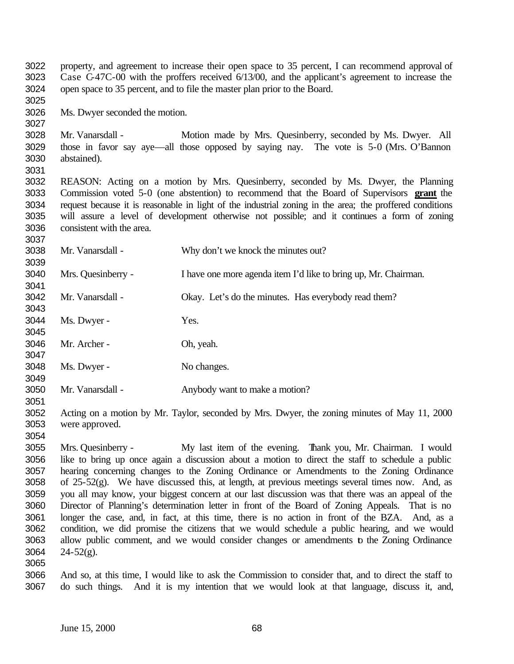property, and agreement to increase their open space to 35 percent, I can recommend approval of Case C-47C-00 with the proffers received 6/13/00, and the applicant's agreement to increase the open space to 35 percent, and to file the master plan prior to the Board.

Ms. Dwyer seconded the motion.

 Mr. Vanarsdall - Motion made by Mrs. Quesinberry, seconded by Ms. Dwyer. All those in favor say aye—all those opposed by saying nay. The vote is 5-0 (Mrs. O'Bannon abstained).

 REASON: Acting on a motion by Mrs. Quesinberry, seconded by Ms. Dwyer, the Planning Commission voted 5-0 (one abstention) to recommend that the Board of Supervisors **grant** the request because it is reasonable in light of the industrial zoning in the area; the proffered conditions will assure a level of development otherwise not possible; and it continues a form of zoning consistent with the area.

 Mr. Vanarsdall - Why don't we knock the minutes out? Mrs. Quesinberry - I have one more agenda item I'd like to bring up, Mr. Chairman. 3042 Mr. Vanarsdall - Okay. Let's do the minutes. Has everybody read them? Ms. Dwyer - Yes. Mr. Archer - Oh, yeah. 3048 Ms. Dwyer - No changes. Mr. Vanarsdall - Anybody want to make a motion? 

 Acting on a motion by Mr. Taylor, seconded by Mrs. Dwyer, the zoning minutes of May 11, 2000 were approved.

 Mrs. Quesinberry - My last item of the evening. Thank you, Mr. Chairman. I would like to bring up once again a discussion about a motion to direct the staff to schedule a public hearing concerning changes to the Zoning Ordinance or Amendments to the Zoning Ordinance of 25-52(g). We have discussed this, at length, at previous meetings several times now. And, as you all may know, your biggest concern at our last discussion was that there was an appeal of the Director of Planning's determination letter in front of the Board of Zoning Appeals. That is no longer the case, and, in fact, at this time, there is no action in front of the BZA. And, as a condition, we did promise the citizens that we would schedule a public hearing, and we would 3063 allow public comment, and we would consider changes or amendments to the Zoning Ordinance  $24-52(g)$ . 

 And so, at this time, I would like to ask the Commission to consider that, and to direct the staff to do such things. And it is my intention that we would look at that language, discuss it, and,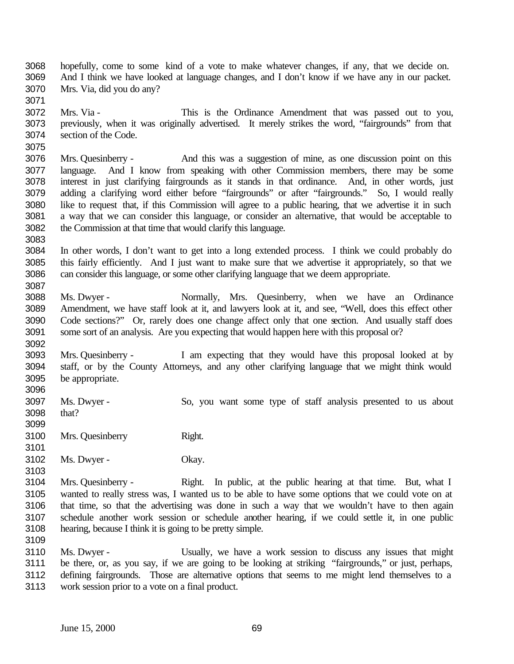hopefully, come to some kind of a vote to make whatever changes, if any, that we decide on. And I think we have looked at language changes, and I don't know if we have any in our packet. Mrs. Via, did you do any?

 Mrs. Via - This is the Ordinance Amendment that was passed out to you, previously, when it was originally advertised. It merely strikes the word, "fairgrounds" from that section of the Code.

 Mrs. Quesinberry - And this was a suggestion of mine, as one discussion point on this language. And I know from speaking with other Commission members, there may be some interest in just clarifying fairgrounds as it stands in that ordinance. And, in other words, just adding a clarifying word either before "fairgrounds" or after "fairgrounds." So, I would really like to request that, if this Commission will agree to a public hearing, that we advertise it in such a way that we can consider this language, or consider an alternative, that would be acceptable to the Commission at that time that would clarify this language.

 In other words, I don't want to get into a long extended process. I think we could probably do this fairly efficiently. And I just want to make sure that we advertise it appropriately, so that we can consider this language, or some other clarifying language that we deem appropriate. 

 Ms. Dwyer - Normally, Mrs. Quesinberry, when we have an Ordinance Amendment, we have staff look at it, and lawyers look at it, and see, "Well, does this effect other Code sections?" Or, rarely does one change affect only that one section. And usually staff does some sort of an analysis. Are you expecting that would happen here with this proposal or?

 Mrs. Quesinberry - I am expecting that they would have this proposal looked at by staff, or by the County Attorneys, and any other clarifying language that we might think would be appropriate. 

 Ms. Dwyer - So, you want some type of staff analysis presented to us about that? 

3100 Mrs. Quesinberry Right.

Ms. Dwyer - Okay.

 Mrs. Quesinberry - Right. In public, at the public hearing at that time. But, what I wanted to really stress was, I wanted us to be able to have some options that we could vote on at that time, so that the advertising was done in such a way that we wouldn't have to then again schedule another work session or schedule another hearing, if we could settle it, in one public hearing, because I think it is going to be pretty simple.

 Ms. Dwyer - Usually, we have a work session to discuss any issues that might be there, or, as you say, if we are going to be looking at striking "fairgrounds," or just, perhaps, defining fairgrounds. Those are alternative options that seems to me might lend themselves to a work session prior to a vote on a final product.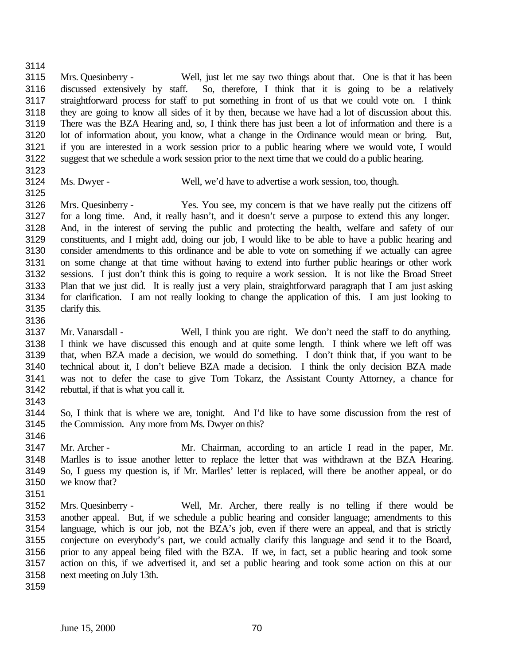Mrs. Quesinberry - Well, just let me say two things about that. One is that it has been discussed extensively by staff. So, therefore, I think that it is going to be a relatively straightforward process for staff to put something in front of us that we could vote on. I think they are going to know all sides of it by then, because we have had a lot of discussion about this. There was the BZA Hearing and, so, I think there has just been a lot of information and there is a lot of information about, you know, what a change in the Ordinance would mean or bring. But, if you are interested in a work session prior to a public hearing where we would vote, I would suggest that we schedule a work session prior to the next time that we could do a public hearing.

- 
- 

Ms. Dwyer - Well, we'd have to advertise a work session, too, though.

 Mrs. Quesinberry - Yes. You see, my concern is that we have really put the citizens off for a long time. And, it really hasn't, and it doesn't serve a purpose to extend this any longer. And, in the interest of serving the public and protecting the health, welfare and safety of our constituents, and I might add, doing our job, I would like to be able to have a public hearing and consider amendments to this ordinance and be able to vote on something if we actually can agree on some change at that time without having to extend into further public hearings or other work sessions. I just don't think this is going to require a work session. It is not like the Broad Street Plan that we just did. It is really just a very plain, straightforward paragraph that I am just asking for clarification. I am not really looking to change the application of this. I am just looking to clarify this.

 Mr. Vanarsdall - Well, I think you are right. We don't need the staff to do anything. I think we have discussed this enough and at quite some length. I think where we left off was that, when BZA made a decision, we would do something. I don't think that, if you want to be technical about it, I don't believe BZA made a decision. I think the only decision BZA made was not to defer the case to give Tom Tokarz, the Assistant County Attorney, a chance for rebuttal, if that is what you call it.

 So, I think that is where we are, tonight. And I'd like to have some discussion from the rest of the Commission. Any more from Ms. Dwyer on this?

 Mr. Archer - Mr. Chairman, according to an article I read in the paper, Mr. Marlles is to issue another letter to replace the letter that was withdrawn at the BZA Hearing. So, I guess my question is, if Mr. Marlles' letter is replaced, will there be another appeal, or do we know that? 

- Mrs. Quesinberry Well, Mr. Archer, there really is no telling if there would be another appeal. But, if we schedule a public hearing and consider language; amendments to this language, which is our job, not the BZA's job, even if there were an appeal, and that is strictly conjecture on everybody's part, we could actually clarify this language and send it to the Board, prior to any appeal being filed with the BZA. If we, in fact, set a public hearing and took some action on this, if we advertised it, and set a public hearing and took some action on this at our next meeting on July 13th.
-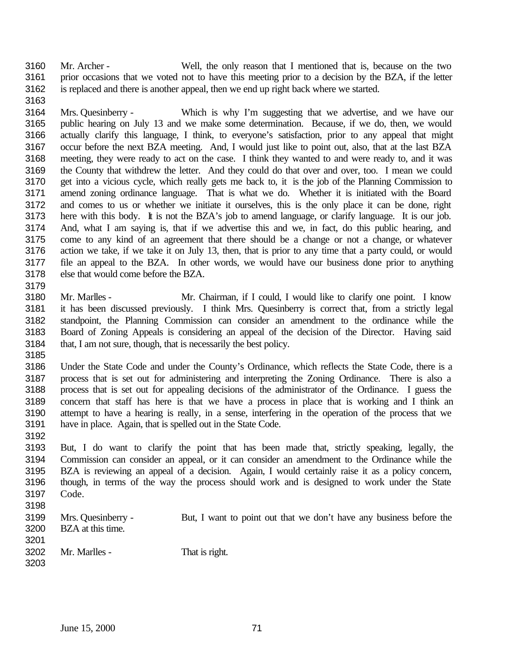Mr. Archer - Well, the only reason that I mentioned that is, because on the two prior occasions that we voted not to have this meeting prior to a decision by the BZA, if the letter is replaced and there is another appeal, then we end up right back where we started.

 Mrs. Quesinberry - Which is why I'm suggesting that we advertise, and we have our public hearing on July 13 and we make some determination. Because, if we do, then, we would actually clarify this language, I think, to everyone's satisfaction, prior to any appeal that might occur before the next BZA meeting. And, I would just like to point out, also, that at the last BZA meeting, they were ready to act on the case. I think they wanted to and were ready to, and it was the County that withdrew the letter. And they could do that over and over, too. I mean we could get into a vicious cycle, which really gets me back to, it is the job of the Planning Commission to amend zoning ordinance language. That is what we do. Whether it is initiated with the Board and comes to us or whether we initiate it ourselves, this is the only place it can be done, right here with this body. It is not the BZA's job to amend language, or clarify language. It is our job. And, what I am saying is, that if we advertise this and we, in fact, do this public hearing, and come to any kind of an agreement that there should be a change or not a change, or whatever action we take, if we take it on July 13, then, that is prior to any time that a party could, or would file an appeal to the BZA. In other words, we would have our business done prior to anything else that would come before the BZA. 

 Mr. Marlles - Mr. Chairman, if I could, I would like to clarify one point. I know it has been discussed previously. I think Mrs. Quesinberry is correct that, from a strictly legal standpoint, the Planning Commission can consider an amendment to the ordinance while the Board of Zoning Appeals is considering an appeal of the decision of the Director. Having said that, I am not sure, though, that is necessarily the best policy. 

 Under the State Code and under the County's Ordinance, which reflects the State Code, there is a process that is set out for administering and interpreting the Zoning Ordinance. There is also a process that is set out for appealing decisions of the administrator of the Ordinance. I guess the concern that staff has here is that we have a process in place that is working and I think an attempt to have a hearing is really, in a sense, interfering in the operation of the process that we have in place. Again, that is spelled out in the State Code.

 But, I do want to clarify the point that has been made that, strictly speaking, legally, the Commission can consider an appeal, or it can consider an amendment to the Ordinance while the BZA is reviewing an appeal of a decision. Again, I would certainly raise it as a policy concern, though, in terms of the way the process should work and is designed to work under the State Code.

| ১। ଏଠ |                    |                                                                     |
|-------|--------------------|---------------------------------------------------------------------|
| 3199  | Mrs. Quesinberry - | But, I want to point out that we don't have any business before the |
| 3200  | BZA at this time.  |                                                                     |
| 3201  |                    |                                                                     |
| 3202  | Mr. Marlles -      | That is right.                                                      |
| 3203  |                    |                                                                     |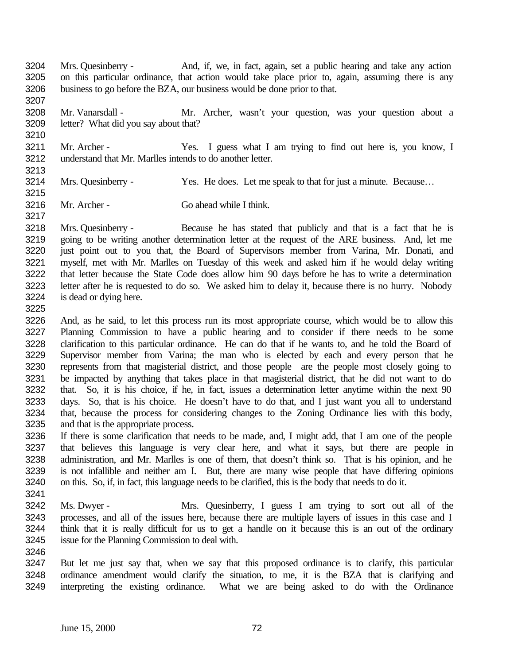- Mrs. Quesinberry And, if, we, in fact, again, set a public hearing and take any action on this particular ordinance, that action would take place prior to, again, assuming there is any business to go before the BZA, our business would be done prior to that.
- Mr. Vanarsdall Mr. Archer, wasn't your question, was your question about a letter? What did you say about that?
- Mr. Archer Yes. I guess what I am trying to find out here is, you know, I understand that Mr. Marlles intends to do another letter.
- 

- 3214 Mrs. Quesinberry Yes. He does. Let me speak to that for just a minute. Because...
- Mr. Archer Go ahead while I think.

 Mrs. Quesinberry - Because he has stated that publicly and that is a fact that he is going to be writing another determination letter at the request of the ARE business. And, let me just point out to you that, the Board of Supervisors member from Varina, Mr. Donati, and myself, met with Mr. Marlles on Tuesday of this week and asked him if he would delay writing that letter because the State Code does allow him 90 days before he has to write a determination letter after he is requested to do so. We asked him to delay it, because there is no hurry. Nobody is dead or dying here.

- And, as he said, to let this process run its most appropriate course, which would be to allow this Planning Commission to have a public hearing and to consider if there needs to be some clarification to this particular ordinance. He can do that if he wants to, and he told the Board of Supervisor member from Varina; the man who is elected by each and every person that he represents from that magisterial district, and those people are the people most closely going to be impacted by anything that takes place in that magisterial district, that he did not want to do that. So, it is his choice, if he, in fact, issues a determination letter anytime within the next 90 days. So, that is his choice. He doesn't have to do that, and I just want you all to understand that, because the process for considering changes to the Zoning Ordinance lies with this body, and that is the appropriate process.
- If there is some clarification that needs to be made, and, I might add, that I am one of the people that believes this language is very clear here, and what it says, but there are people in administration, and Mr. Marlles is one of them, that doesn't think so. That is his opinion, and he is not infallible and neither am I. But, there are many wise people that have differing opinions on this. So, if, in fact, this language needs to be clarified, this is the body that needs to do it.
- Ms. Dwyer - Mrs. Quesinberry, I guess I am trying to sort out all of the processes, and all of the issues here, because there are multiple layers of issues in this case and I think that it is really difficult for us to get a handle on it because this is an out of the ordinary issue for the Planning Commission to deal with.
- But let me just say that, when we say that this proposed ordinance is to clarify, this particular ordinance amendment would clarify the situation, to me, it is the BZA that is clarifying and interpreting the existing ordinance. What we are being asked to do with the Ordinance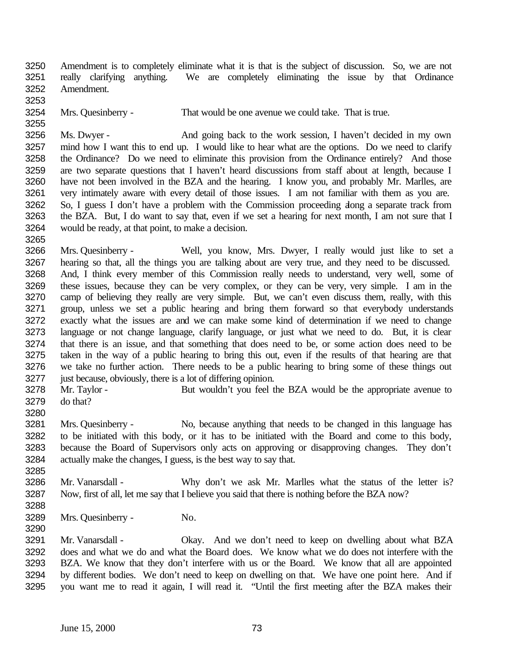Amendment is to completely eliminate what it is that is the subject of discussion. So, we are not really clarifying anything. We are completely eliminating the issue by that Ordinance Amendment.

Mrs. Quesinberry - That would be one avenue we could take. That is true.

 Ms. Dwyer - And going back to the work session, I haven't decided in my own mind how I want this to end up. I would like to hear what are the options. Do we need to clarify the Ordinance? Do we need to eliminate this provision from the Ordinance entirely? And those are two separate questions that I haven't heard discussions from staff about at length, because I have not been involved in the BZA and the hearing. I know you, and probably Mr. Marlles, are very intimately aware with every detail of those issues. I am not familiar with them as you are. 3262 So, I guess I don't have a problem with the Commission proceeding dong a separate track from the BZA. But, I do want to say that, even if we set a hearing for next month, I am not sure that I would be ready, at that point, to make a decision.

 Mrs. Quesinberry - Well, you know, Mrs. Dwyer, I really would just like to set a hearing so that, all the things you are talking about are very true, and they need to be discussed. And, I think every member of this Commission really needs to understand, very well, some of these issues, because they can be very complex, or they can be very, very simple. I am in the camp of believing they really are very simple. But, we can't even discuss them, really, with this group, unless we set a public hearing and bring them forward so that everybody understands exactly what the issues are and we can make some kind of determination if we need to change language or not change language, clarify language, or just what we need to do. But, it is clear that there is an issue, and that something that does need to be, or some action does need to be taken in the way of a public hearing to bring this out, even if the results of that hearing are that we take no further action. There needs to be a public hearing to bring some of these things out just because, obviously, there is a lot of differing opinion.

3278 Mr. Taylor - But wouldn't you feel the BZA would be the appropriate avenue to do that?

 Mrs. Quesinberry - No, because anything that needs to be changed in this language has to be initiated with this body, or it has to be initiated with the Board and come to this body, because the Board of Supervisors only acts on approving or disapproving changes. They don't actually make the changes, I guess, is the best way to say that.

 Mr. Vanarsdall - Why don't we ask Mr. Marlles what the status of the letter is? Now, first of all, let me say that I believe you said that there is nothing before the BZA now?

Mrs. Quesinberry - No.

3291 Mr. Vanarsdall - Okay. And we don't need to keep on dwelling about what BZA does and what we do and what the Board does. We know what we do does not interfere with the BZA. We know that they don't interfere with us or the Board. We know that all are appointed by different bodies. We don't need to keep on dwelling on that. We have one point here. And if you want me to read it again, I will read it. "Until the first meeting after the BZA makes their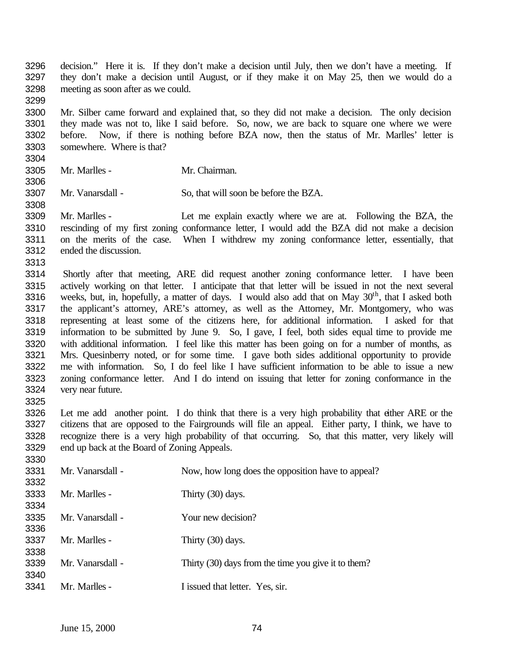decision." Here it is. If they don't make a decision until July, then we don't have a meeting. If they don't make a decision until August, or if they make it on May 25, then we would do a meeting as soon after as we could.

 Mr. Silber came forward and explained that, so they did not make a decision. The only decision they made was not to, like I said before. So, now, we are back to square one where we were before. Now, if there is nothing before BZA now, then the status of Mr. Marlles' letter is somewhere. Where is that?

- Mr. Marlles Mr. Chairman.
- Mr. Vanarsdall So, that will soon be before the BZA.

 Mr. Marlles - Let me explain exactly where we are at. Following the BZA, the rescinding of my first zoning conformance letter, I would add the BZA did not make a decision on the merits of the case. When I withdrew my zoning conformance letter, essentially, that ended the discussion.

 Shortly after that meeting, ARE did request another zoning conformance letter. I have been actively working on that letter. I anticipate that that letter will be issued in not the next several 3316 weeks, but, in, hopefully, a matter of days. I would also add that on May  $30<sup>th</sup>$ , that I asked both the applicant's attorney, ARE's attorney, as well as the Attorney, Mr. Montgomery, who was representing at least some of the citizens here, for additional information. I asked for that information to be submitted by June 9. So, I gave, I feel, both sides equal time to provide me with additional information. I feel like this matter has been going on for a number of months, as Mrs. Quesinberry noted, or for some time. I gave both sides additional opportunity to provide me with information. So, I do feel like I have sufficient information to be able to issue a new zoning conformance letter. And I do intend on issuing that letter for zoning conformance in the very near future.

 Let me add another point. I do think that there is a very high probability that either ARE or the citizens that are opposed to the Fairgrounds will file an appeal. Either party, I think, we have to recognize there is a very high probability of that occurring. So, that this matter, very likely will end up back at the Board of Zoning Appeals.

| 3331 | Mr. Vanarsdall - | Now, how long does the opposition have to appeal?   |
|------|------------------|-----------------------------------------------------|
| 3332 |                  |                                                     |
| 3333 | Mr. Marlles -    | Thirty (30) days.                                   |
| 3334 |                  |                                                     |
| 3335 | Mr. Vanarsdall - | Your new decision?                                  |
| 3336 |                  |                                                     |
| 3337 | Mr. Marlles -    | Thirty (30) days.                                   |
| 3338 |                  |                                                     |
| 3339 | Mr. Vanarsdall - | Thirty (30) days from the time you give it to them? |
| 3340 |                  |                                                     |
| 3341 | Mr. Marlles -    | I issued that letter. Yes, sir.                     |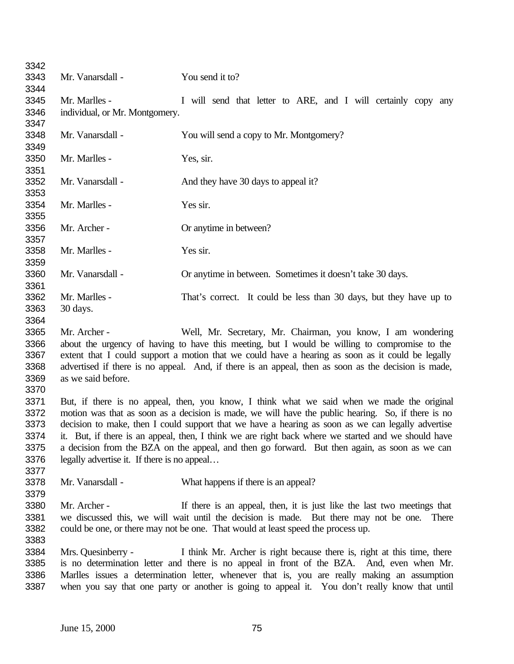| 3342 |                                                                                                     |                                                                                                     |
|------|-----------------------------------------------------------------------------------------------------|-----------------------------------------------------------------------------------------------------|
| 3343 | Mr. Vanarsdall -                                                                                    | You send it to?                                                                                     |
| 3344 |                                                                                                     |                                                                                                     |
| 3345 | Mr. Marlles -                                                                                       | I will send that letter to ARE, and I will certainly copy any                                       |
| 3346 | individual, or Mr. Montgomery.                                                                      |                                                                                                     |
| 3347 |                                                                                                     |                                                                                                     |
| 3348 | Mr. Vanarsdall -                                                                                    | You will send a copy to Mr. Montgomery?                                                             |
| 3349 |                                                                                                     |                                                                                                     |
| 3350 | Mr. Marlles -                                                                                       | Yes, sir.                                                                                           |
| 3351 |                                                                                                     |                                                                                                     |
| 3352 | Mr. Vanarsdall -                                                                                    | And they have 30 days to appeal it?                                                                 |
| 3353 |                                                                                                     |                                                                                                     |
| 3354 | Mr. Marlles -                                                                                       | Yes sir.                                                                                            |
| 3355 |                                                                                                     |                                                                                                     |
| 3356 | Mr. Archer -                                                                                        | Or anytime in between?                                                                              |
| 3357 |                                                                                                     |                                                                                                     |
| 3358 | Mr. Marlles -                                                                                       | Yes sir.                                                                                            |
| 3359 |                                                                                                     |                                                                                                     |
| 3360 | Mr. Vanarsdall -                                                                                    | Or anytime in between. Sometimes it doesn't take 30 days.                                           |
| 3361 |                                                                                                     |                                                                                                     |
| 3362 | Mr. Marlles -                                                                                       | That's correct. It could be less than 30 days, but they have up to                                  |
| 3363 | 30 days.                                                                                            |                                                                                                     |
| 3364 |                                                                                                     |                                                                                                     |
| 3365 | Mr. Archer -                                                                                        | Well, Mr. Secretary, Mr. Chairman, you know, I am wondering                                         |
| 3366 |                                                                                                     | about the urgency of having to have this meeting, but I would be willing to compromise to the       |
| 3367 | extent that I could support a motion that we could have a hearing as soon as it could be legally    |                                                                                                     |
| 3368 |                                                                                                     | advertised if there is no appeal. And, if there is an appeal, then as soon as the decision is made, |
| 3369 | as we said before.                                                                                  |                                                                                                     |
| 3370 |                                                                                                     |                                                                                                     |
| 3371 |                                                                                                     | But, if there is no appeal, then, you know, I think what we said when we made the original          |
| 3372 |                                                                                                     | motion was that as soon as a decision is made, we will have the public hearing. So, if there is no  |
| 3373 |                                                                                                     | decision to make, then I could support that we have a hearing as soon as we can legally advertise   |
| 3374 | it. But, if there is an appeal, then, I think we are right back where we started and we should have |                                                                                                     |
| 3375 | a decision from the BZA on the appeal, and then go forward. But then again, as soon as we can       |                                                                                                     |
| 3376 | legally advertise it. If there is no appeal                                                         |                                                                                                     |
| 3377 |                                                                                                     |                                                                                                     |
| 3378 | Mr. Vanarsdall -                                                                                    | What happens if there is an appeal?                                                                 |
| 3379 |                                                                                                     |                                                                                                     |
| 3380 | Mr. Archer -                                                                                        | If there is an appeal, then, it is just like the last two meetings that                             |
| 3381 |                                                                                                     | we discussed this, we will wait until the decision is made. But there may not be one. There         |
| 3382 |                                                                                                     | could be one, or there may not be one. That would at least speed the process up.                    |
| 3383 |                                                                                                     |                                                                                                     |
| 3384 | Mrs. Quesinberry -                                                                                  | I think Mr. Archer is right because there is, right at this time, there                             |
| 3385 | is no determination letter and there is no appeal in front of the BZA. And, even when Mr.           |                                                                                                     |
| 3386 |                                                                                                     | Marlles issues a determination letter, whenever that is, you are really making an assumption        |
| 3387 |                                                                                                     | when you say that one party or another is going to appeal it. You don't really know that until      |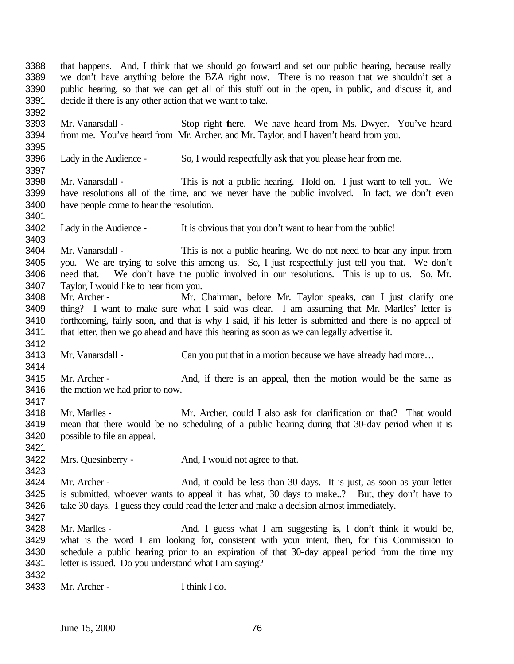that happens. And, I think that we should go forward and set our public hearing, because really we don't have anything before the BZA right now. There is no reason that we shouldn't set a public hearing, so that we can get all of this stuff out in the open, in public, and discuss it, and decide if there is any other action that we want to take. Mr. Vanarsdall - Stop right there. We have heard from Ms. Dwyer. You've heard from me. You've heard from Mr. Archer, and Mr. Taylor, and I haven't heard from you. Lady in the Audience - So, I would respectfully ask that you please hear from me. Mr. Vanarsdall - This is not a public hearing. Hold on. I just want to tell you. We have resolutions all of the time, and we never have the public involved. In fact, we don't even have people come to hear the resolution. Lady in the Audience - It is obvious that you don't want to hear from the public! Mr. Vanarsdall - This is not a public hearing. We do not need to hear any input from you. We are trying to solve this among us. So, I just respectfully just tell you that. We don't need that. We don't have the public involved in our resolutions. This is up to us. So, Mr. Taylor, I would like to hear from you. Mr. Archer - Mr. Chairman, before Mr. Taylor speaks, can I just clarify one thing? I want to make sure what I said was clear. I am assuming that Mr. Marlles' letter is 3410 forthcoming, fairly soon, and that is why I said, if his letter is submitted and there is no appeal of that letter, then we go ahead and have this hearing as soon as we can legally advertise it. 3413 Mr. Vanarsdall - Can you put that in a motion because we have already had more... 3415 Mr. Archer - And, if there is an appeal, then the motion would be the same as 3416 the motion we had prior to now. Mr. Marlles - Mr. Archer, could I also ask for clarification on that? That would mean that there would be no scheduling of a public hearing during that 30-day period when it is possible to file an appeal. Mrs. Quesinberry - And, I would not agree to that. 3424 Mr. Archer - And, it could be less than 30 days. It is just, as soon as your letter is submitted, whoever wants to appeal it has what, 30 days to make..? But, they don't have to take 30 days. I guess they could read the letter and make a decision almost immediately. Mr. Marlles - And, I guess what I am suggesting is, I don't think it would be, what is the word I am looking for, consistent with your intent, then, for this Commission to schedule a public hearing prior to an expiration of that 30-day appeal period from the time my letter is issued. Do you understand what I am saying? Mr. Archer - I think I do.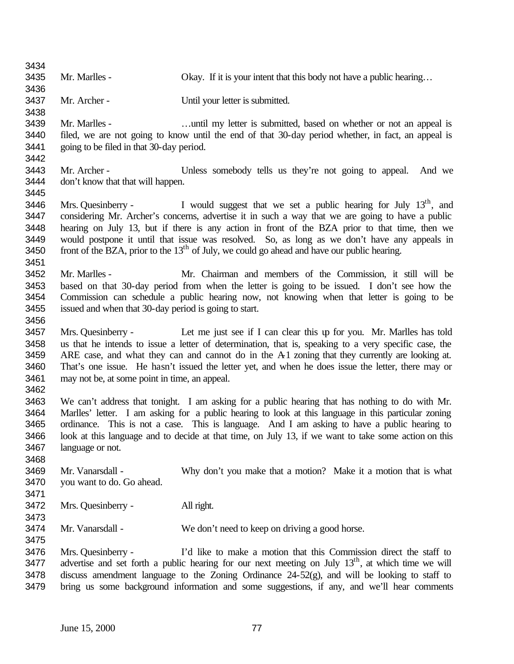| 3434 |                                                                                                                |                                                                                                    |  |
|------|----------------------------------------------------------------------------------------------------------------|----------------------------------------------------------------------------------------------------|--|
| 3435 | Mr. Marlles -                                                                                                  | Okay. If it is your intent that this body not have a public hearing                                |  |
| 3436 |                                                                                                                |                                                                                                    |  |
| 3437 | Mr. Archer -                                                                                                   | Until your letter is submitted.                                                                    |  |
| 3438 |                                                                                                                |                                                                                                    |  |
| 3439 | Mr. Marlles -                                                                                                  |                                                                                                    |  |
|      |                                                                                                                | until my letter is submitted, based on whether or not an appeal is                                 |  |
| 3440 |                                                                                                                | filed, we are not going to know until the end of that 30-day period whether, in fact, an appeal is |  |
| 3441 | going to be filed in that 30-day period.                                                                       |                                                                                                    |  |
| 3442 |                                                                                                                |                                                                                                    |  |
| 3443 | Mr. Archer -                                                                                                   | Unless somebody tells us they're not going to appeal.<br>And we                                    |  |
| 3444 | don't know that that will happen.                                                                              |                                                                                                    |  |
| 3445 |                                                                                                                |                                                                                                    |  |
| 3446 | Mrs. Quesinberry -                                                                                             | I would suggest that we set a public hearing for July $13th$ , and                                 |  |
| 3447 | considering Mr. Archer's concerns, advertise it in such a way that we are going to have a public               |                                                                                                    |  |
| 3448 |                                                                                                                | hearing on July 13, but if there is any action in front of the BZA prior to that time, then we     |  |
| 3449 |                                                                                                                | would postpone it until that issue was resolved. So, as long as we don't have any appeals in       |  |
| 3450 |                                                                                                                | front of the BZA, prior to the $13th$ of July, we could go ahead and have our public hearing.      |  |
| 3451 |                                                                                                                |                                                                                                    |  |
| 3452 | Mr. Marlles -                                                                                                  | Mr. Chairman and members of the Commission, it still will be                                       |  |
| 3453 |                                                                                                                | based on that 30-day period from when the letter is going to be issued. I don't see how the        |  |
| 3454 | Commission can schedule a public hearing now, not knowing when that letter is going to be                      |                                                                                                    |  |
| 3455 | issued and when that 30-day period is going to start.                                                          |                                                                                                    |  |
|      |                                                                                                                |                                                                                                    |  |
| 3456 |                                                                                                                |                                                                                                    |  |
| 3457 | Mrs. Quesinberry -                                                                                             | Let me just see if I can clear this up for you. Mr. Marlles has told                               |  |
| 3458 | us that he intends to issue a letter of determination, that is, speaking to a very specific case, the          |                                                                                                    |  |
| 3459 | ARE case, and what they can and cannot do in the A1 zoning that they currently are looking at.                 |                                                                                                    |  |
| 3460 |                                                                                                                | That's one issue. He hasn't issued the letter yet, and when he does issue the letter, there may or |  |
| 3461 | may not be, at some point in time, an appeal.                                                                  |                                                                                                    |  |
| 3462 |                                                                                                                |                                                                                                    |  |
| 3463 |                                                                                                                | We can't address that tonight. I am asking for a public hearing that has nothing to do with Mr.    |  |
| 3464 | Marlles' letter. I am asking for a public hearing to look at this language in this particular zoning           |                                                                                                    |  |
| 3465 | ordinance. This is not a case. This is language. And I am asking to have a public hearing to                   |                                                                                                    |  |
| 3466 | look at this language and to decide at that time, on July 13, if we want to take some action on this           |                                                                                                    |  |
| 3467 | language or not.                                                                                               |                                                                                                    |  |
| 3468 |                                                                                                                |                                                                                                    |  |
| 3469 | Mr. Vanarsdall -                                                                                               | Why don't you make that a motion? Make it a motion that is what                                    |  |
| 3470 | you want to do. Go ahead.                                                                                      |                                                                                                    |  |
| 3471 |                                                                                                                |                                                                                                    |  |
| 3472 | Mrs. Quesinberry -                                                                                             | All right.                                                                                         |  |
| 3473 |                                                                                                                |                                                                                                    |  |
| 3474 | Mr. Vanarsdall -                                                                                               | We don't need to keep on driving a good horse.                                                     |  |
| 3475 |                                                                                                                |                                                                                                    |  |
|      |                                                                                                                |                                                                                                    |  |
| 3476 | Mrs. Quesinberry -                                                                                             | I'd like to make a motion that this Commission direct the staff to                                 |  |
| 3477 | advertise and set forth a public hearing for our next meeting on July 13 <sup>th</sup> , at which time we will |                                                                                                    |  |
| 3478 |                                                                                                                | discuss amendment language to the Zoning Ordinance $24-52(g)$ , and will be looking to staff to    |  |
| 3479 |                                                                                                                | bring us some background information and some suggestions, if any, and we'll hear comments         |  |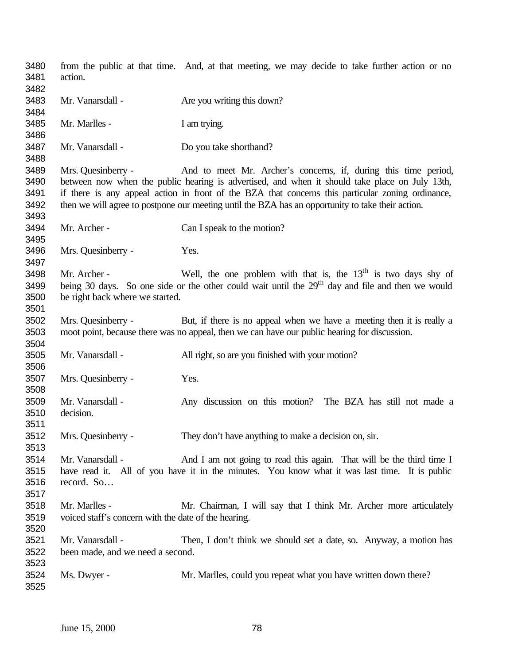from the public at that time. And, at that meeting, we may decide to take further action or no action. Mr. Vanarsdall - Are you writing this down? Mr. Marlles - I am trying. Mr. Vanarsdall - Do you take shorthand? Mrs. Quesinberry - And to meet Mr. Archer's concerns, if, during this time period, between now when the public hearing is advertised, and when it should take place on July 13th, if there is any appeal action in front of the BZA that concerns this particular zoning ordinance, then we will agree to postpone our meeting until the BZA has an opportunity to take their action. Mr. Archer - Can I speak to the motion? Mrs. Quesinberry - Yes. 3498 Mr. Archer - Well, the one problem with that is, the  $13<sup>th</sup>$  is two days shy of 3499 being 30 days. So one side or the other could wait until the 29<sup>th</sup> day and file and then we would be right back where we started. Mrs. Quesinberry - But, if there is no appeal when we have a meeting then it is really a moot point, because there was no appeal, then we can have our public hearing for discussion. Mr. Vanarsdall - All right, so are you finished with your motion? Mrs. Quesinberry - Yes. Mr. Vanarsdall - Any discussion on this motion? The BZA has still not made a decision. Mrs. Quesinberry - They don't have anything to make a decision on, sir. Mr. Vanarsdall - And I am not going to read this again. That will be the third time I have read it. All of you have it in the minutes. You know what it was last time. It is public record. So… Mr. Marlles - Mr. Chairman, I will say that I think Mr. Archer more articulately voiced staff's concern with the date of the hearing. Mr. Vanarsdall - Then, I don't think we should set a date, so. Anyway, a motion has been made, and we need a second. Ms. Dwyer - Mr. Marlles, could you repeat what you have written down there?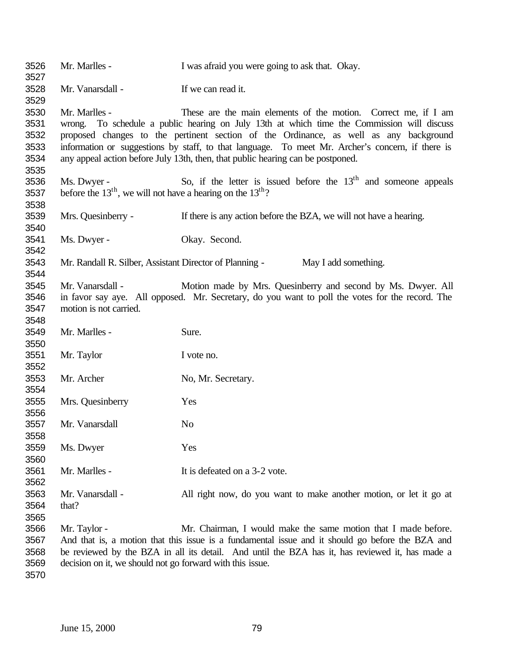| 3526<br>3527                                 | Mr. Marlles -                                                                                                                                                                                                                                                                                                                                                                                                                                                 | I was afraid you were going to ask that. Okay.                                                                                                                                                                                                                        |
|----------------------------------------------|---------------------------------------------------------------------------------------------------------------------------------------------------------------------------------------------------------------------------------------------------------------------------------------------------------------------------------------------------------------------------------------------------------------------------------------------------------------|-----------------------------------------------------------------------------------------------------------------------------------------------------------------------------------------------------------------------------------------------------------------------|
| 3528<br>3529                                 | Mr. Vanarsdall -                                                                                                                                                                                                                                                                                                                                                                                                                                              | If we can read it.                                                                                                                                                                                                                                                    |
| 3530<br>3531<br>3532<br>3533<br>3534<br>3535 | Mr. Marlles -<br>These are the main elements of the motion. Correct me, if I am<br>wrong. To schedule a public hearing on July 13th at which time the Commission will discuss<br>proposed changes to the pertinent section of the Ordinance, as well as any background<br>information or suggestions by staff, to that language. To meet Mr. Archer's concern, if there is<br>any appeal action before July 13th, then, that public hearing can be postponed. |                                                                                                                                                                                                                                                                       |
| 3536<br>3537<br>3538                         | Ms. Dwyer -<br>before the $13th$ , we will not have a hearing on the $13th$ ?                                                                                                                                                                                                                                                                                                                                                                                 | So, if the letter is issued before the $13th$ and someone appeals                                                                                                                                                                                                     |
| 3539<br>3540                                 | Mrs. Quesinberry -                                                                                                                                                                                                                                                                                                                                                                                                                                            | If there is any action before the BZA, we will not have a hearing.                                                                                                                                                                                                    |
| 3541<br>3542                                 | Ms. Dwyer -                                                                                                                                                                                                                                                                                                                                                                                                                                                   | Okay. Second.                                                                                                                                                                                                                                                         |
| 3543<br>3544                                 | Mr. Randall R. Silber, Assistant Director of Planning -                                                                                                                                                                                                                                                                                                                                                                                                       | May I add something.                                                                                                                                                                                                                                                  |
| 3545<br>3546<br>3547<br>3548                 | Mr. Vanarsdall -<br>motion is not carried.                                                                                                                                                                                                                                                                                                                                                                                                                    | Motion made by Mrs. Quesinberry and second by Ms. Dwyer. All<br>in favor say aye. All opposed. Mr. Secretary, do you want to poll the votes for the record. The                                                                                                       |
| 3549<br>3550                                 | Mr. Marlles -                                                                                                                                                                                                                                                                                                                                                                                                                                                 | Sure.                                                                                                                                                                                                                                                                 |
| 3551<br>3552                                 | Mr. Taylor                                                                                                                                                                                                                                                                                                                                                                                                                                                    | I vote no.                                                                                                                                                                                                                                                            |
| 3553<br>3554                                 | Mr. Archer                                                                                                                                                                                                                                                                                                                                                                                                                                                    | No, Mr. Secretary.                                                                                                                                                                                                                                                    |
| 3555<br>3556                                 | Mrs. Quesinberry                                                                                                                                                                                                                                                                                                                                                                                                                                              | Yes                                                                                                                                                                                                                                                                   |
| 3557<br>3558                                 | Mr. Vanarsdall                                                                                                                                                                                                                                                                                                                                                                                                                                                | No                                                                                                                                                                                                                                                                    |
| 3559<br>3560                                 | Ms. Dwyer                                                                                                                                                                                                                                                                                                                                                                                                                                                     | Yes                                                                                                                                                                                                                                                                   |
| 3561<br>3562                                 | Mr. Marlles -                                                                                                                                                                                                                                                                                                                                                                                                                                                 | It is defeated on a 3-2 vote.                                                                                                                                                                                                                                         |
| 3563<br>3564<br>3565                         | Mr. Vanarsdall -<br>that?                                                                                                                                                                                                                                                                                                                                                                                                                                     | All right now, do you want to make another motion, or let it go at                                                                                                                                                                                                    |
| 3566<br>3567<br>3568<br>3569                 | Mr. Taylor -<br>decision on it, we should not go forward with this issue.                                                                                                                                                                                                                                                                                                                                                                                     | Mr. Chairman, I would make the same motion that I made before.<br>And that is, a motion that this issue is a fundamental issue and it should go before the BZA and<br>be reviewed by the BZA in all its detail. And until the BZA has it, has reviewed it, has made a |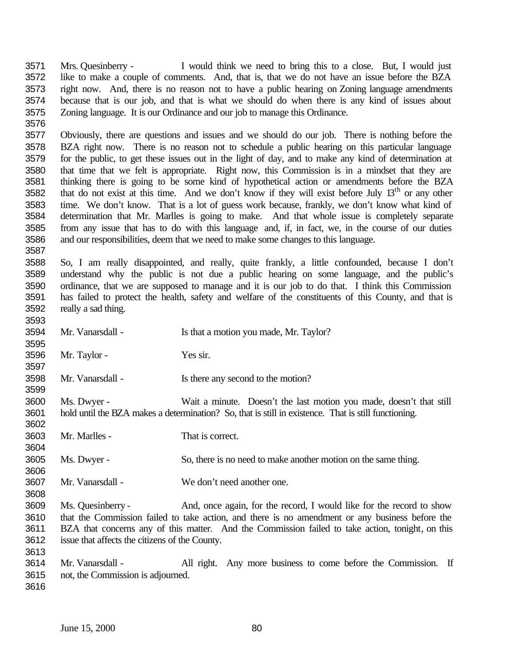Mrs. Quesinberry - I would think we need to bring this to a close. But, I would just like to make a couple of comments. And, that is, that we do not have an issue before the BZA right now. And, there is no reason not to have a public hearing on Zoning language amendments because that is our job, and that is what we should do when there is any kind of issues about Zoning language. It is our Ordinance and our job to manage this Ordinance.

 Obviously, there are questions and issues and we should do our job. There is nothing before the BZA right now. There is no reason not to schedule a public hearing on this particular language for the public, to get these issues out in the light of day, and to make any kind of determination at that time that we felt is appropriate. Right now, this Commission is in a mindset that they are thinking there is going to be some kind of hypothetical action or amendments before the BZA 3582 that do not exist at this time. And we don't know if they will exist before July  $13<sup>th</sup>$  or any other time. We don't know. That is a lot of guess work because, frankly, we don't know what kind of determination that Mr. Marlles is going to make. And that whole issue is completely separate from any issue that has to do with this language and, if, in fact, we, in the course of our duties and our responsibilities, deem that we need to make some changes to this language.

 So, I am really disappointed, and really, quite frankly, a little confounded, because I don't understand why the public is not due a public hearing on some language, and the public's ordinance, that we are supposed to manage and it is our job to do that. I think this Commission has failed to protect the health, safety and welfare of the constituents of this County, and that is really a sad thing.

 Mr. Vanarsdall - Is that a motion you made, Mr. Taylor? Mr. Taylor - Yes sir. Mr. Vanarsdall - Is there any second to the motion? Ms. Dwyer - Wait a minute. Doesn't the last motion you made, doesn't that still hold until the BZA makes a determination? So, that is still in existence. That is still functioning. Mr. Marlles - That is correct. Ms. Dwyer - So, there is no need to make another motion on the same thing. Mr. Vanarsdall - We don't need another one. Ms. Quesinberry - And, once again, for the record, I would like for the record to show that the Commission failed to take action, and there is no amendment or any business before the BZA that concerns any of this matter. And the Commission failed to take action, tonight, on this issue that affects the citizens of the County. 3614 Mr. Vanarsdall - All right. Any more business to come before the Commission. If not, the Commission is adjourned.